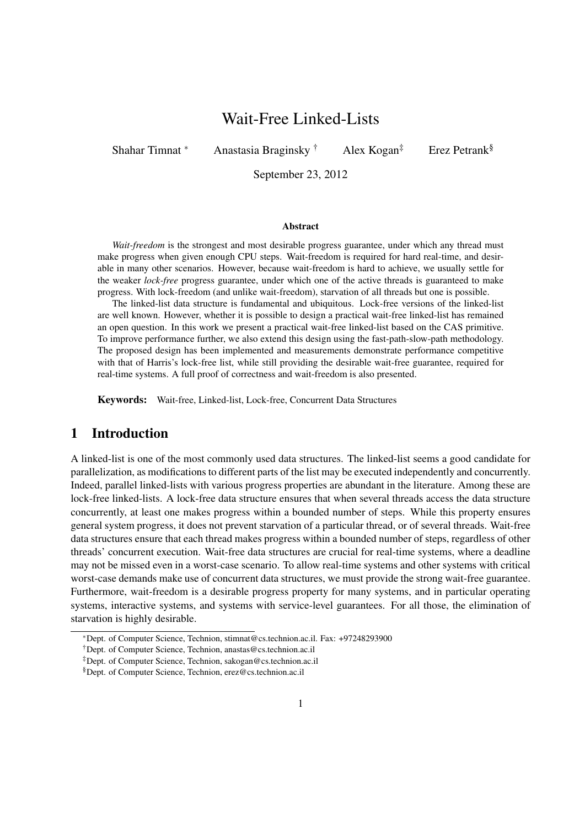# Wait-Free Linked-Lists

Shahar Timnat *\** Anastasia Braginsky <sup>†</sup> Alex Kogan<sup>‡</sup> Erez Petrank<sup>§</sup>

September 23, 2012

#### Abstract

*Wait-freedom* is the strongest and most desirable progress guarantee, under which any thread must make progress when given enough CPU steps. Wait-freedom is required for hard real-time, and desirable in many other scenarios. However, because wait-freedom is hard to achieve, we usually settle for the weaker *lock-free* progress guarantee, under which one of the active threads is guaranteed to make progress. With lock-freedom (and unlike wait-freedom), starvation of all threads but one is possible.

The linked-list data structure is fundamental and ubiquitous. Lock-free versions of the linked-list are well known. However, whether it is possible to design a practical wait-free linked-list has remained an open question. In this work we present a practical wait-free linked-list based on the CAS primitive. To improve performance further, we also extend this design using the fast-path-slow-path methodology. The proposed design has been implemented and measurements demonstrate performance competitive with that of Harris's lock-free list, while still providing the desirable wait-free guarantee, required for real-time systems. A full proof of correctness and wait-freedom is also presented.

Keywords: Wait-free, Linked-list, Lock-free, Concurrent Data Structures

## 1 Introduction

A linked-list is one of the most commonly used data structures. The linked-list seems a good candidate for parallelization, as modifications to different parts of the list may be executed independently and concurrently. Indeed, parallel linked-lists with various progress properties are abundant in the literature. Among these are lock-free linked-lists. A lock-free data structure ensures that when several threads access the data structure concurrently, at least one makes progress within a bounded number of steps. While this property ensures general system progress, it does not prevent starvation of a particular thread, or of several threads. Wait-free data structures ensure that each thread makes progress within a bounded number of steps, regardless of other threads' concurrent execution. Wait-free data structures are crucial for real-time systems, where a deadline may not be missed even in a worst-case scenario. To allow real-time systems and other systems with critical worst-case demands make use of concurrent data structures, we must provide the strong wait-free guarantee. Furthermore, wait-freedom is a desirable progress property for many systems, and in particular operating systems, interactive systems, and systems with service-level guarantees. For all those, the elimination of starvation is highly desirable.

*<sup>∗</sup>*Dept. of Computer Science, Technion, stimnat@cs.technion.ac.il. Fax: +97248293900

<sup>†</sup>Dept. of Computer Science, Technion, anastas@cs.technion.ac.il

<sup>‡</sup>Dept. of Computer Science, Technion, sakogan@cs.technion.ac.il

<sup>§</sup>Dept. of Computer Science, Technion, erez@cs.technion.ac.il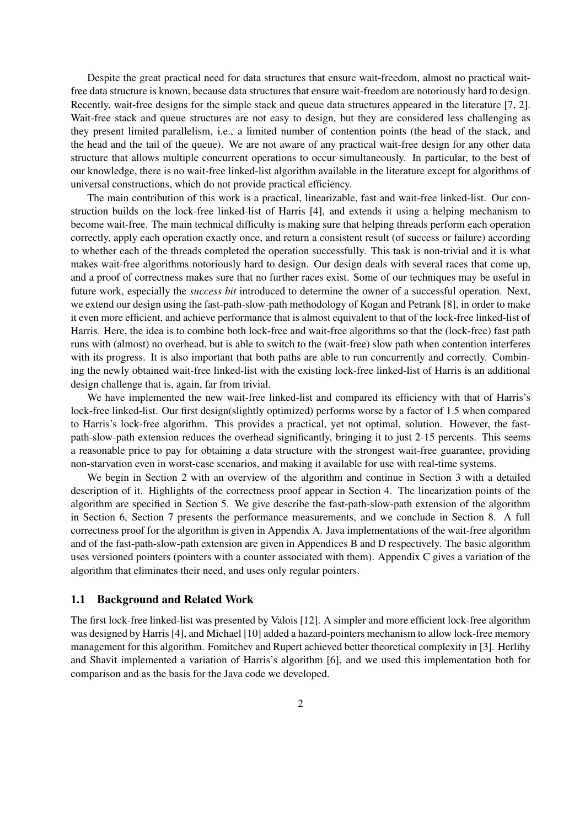Despite the great practical need for data structures that ensure wait-freedom, almost no practical waitfree data structure is known, because data structures that ensure wait-freedom are notoriously hard to design. Recently, wait-free designs for the simple stack and queue data structures appeared in the literature [7, 2]. Wait-free stack and queue structures are not easy to design, but they are considered less challenging as they present limited parallelism, i.e., a limited number of contention points (the head of the stack, and the head and the tail of the queue). We are not aware of any practical wait-free design for any other data structure that allows multiple concurrent operations to occur simultaneously. In particular, to the best of our knowledge, there is no wait-free linked-list algorithm available in the literature except for algorithms of universal constructions, which do not provide practical efficiency.

The main contribution of this work is a practical, linearizable, fast and wait-free linked-list. Our construction builds on the lock-free linked-list of Harris [4], and extends it using a helping mechanism to become wait-free. The main technical difficulty is making sure that helping threads perform each operation correctly, apply each operation exactly once, and return a consistent result (of success or failure) according to whether each of the threads completed the operation successfully. This task is non-trivial and it is what makes wait-free algorithms notoriously hard to design. Our design deals with several races that come up, and a proof of correctness makes sure that no further races exist. Some of our techniques may be useful in future work, especially the *success bit* introduced to determine the owner of a successful operation. Next, we extend our design using the fast-path-slow-path methodology of Kogan and Petrank [8], in order to make it even more efficient, and achieve performance that is almost equivalent to that of the lock-free linked-list of Harris. Here, the idea is to combine both lock-free and wait-free algorithms so that the (lock-free) fast path runs with (almost) no overhead, but is able to switch to the (wait-free) slow path when contention interferes with its progress. It is also important that both paths are able to run concurrently and correctly. Combining the newly obtained wait-free linked-list with the existing lock-free linked-list of Harris is an additional design challenge that is, again, far from trivial.

We have implemented the new wait-free linked-list and compared its efficiency with that of Harris's lock-free linked-list. Our first design(slightly optimized) performs worse by a factor of 1.5 when compared to Harris's lock-free algorithm. This provides a practical, yet not optimal, solution. However, the fastpath-slow-path extension reduces the overhead significantly, bringing it to just 2-15 percents. This seems a reasonable price to pay for obtaining a data structure with the strongest wait-free guarantee, providing non-starvation even in worst-case scenarios, and making it available for use with real-time systems.

We begin in Section 2 with an overview of the algorithm and continue in Section 3 with a detailed description of it. Highlights of the correctness proof appear in Section 4. The linearization points of the algorithm are specified in Section 5. We give describe the fast-path-slow-path extension of the algorithm in Section 6, Section 7 presents the performance measurements, and we conclude in Section 8. A full correctness proof for the algorithm is given in Appendix A. Java implementations of the wait-free algorithm and of the fast-path-slow-path extension are given in Appendices B and D respectively. The basic algorithm uses versioned pointers (pointers with a counter associated with them). Appendix C gives a variation of the algorithm that eliminates their need, and uses only regular pointers.

#### 1.1 Background and Related Work

The first lock-free linked-list was presented by Valois [12]. A simpler and more efficient lock-free algorithm was designed by Harris [4], and Michael [10] added a hazard-pointers mechanism to allow lock-free memory management for this algorithm. Fomitchev and Rupert achieved better theoretical complexity in [3]. Herlihy and Shavit implemented a variation of Harris's algorithm [6], and we used this implementation both for comparison and as the basis for the Java code we developed.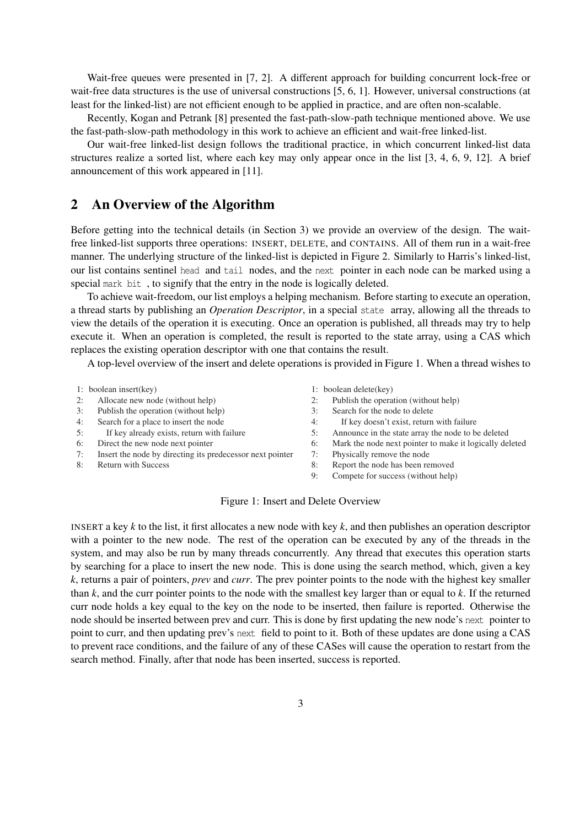Wait-free queues were presented in [7, 2]. A different approach for building concurrent lock-free or wait-free data structures is the use of universal constructions [5, 6, 1]. However, universal constructions (at least for the linked-list) are not efficient enough to be applied in practice, and are often non-scalable.

Recently, Kogan and Petrank [8] presented the fast-path-slow-path technique mentioned above. We use the fast-path-slow-path methodology in this work to achieve an efficient and wait-free linked-list.

Our wait-free linked-list design follows the traditional practice, in which concurrent linked-list data structures realize a sorted list, where each key may only appear once in the list [3, 4, 6, 9, 12]. A brief announcement of this work appeared in [11].

## 2 An Overview of the Algorithm

Before getting into the technical details (in Section 3) we provide an overview of the design. The waitfree linked-list supports three operations: INSERT, DELETE, and CONTAINS. All of them run in a wait-free manner. The underlying structure of the linked-list is depicted in Figure 2. Similarly to Harris's linked-list, our list contains sentinel head and tail nodes, and the next pointer in each node can be marked using a special mark bit , to signify that the entry in the node is logically deleted.

To achieve wait-freedom, our list employs a helping mechanism. Before starting to execute an operation, a thread starts by publishing an *Operation Descriptor*, in a special state array, allowing all the threads to view the details of the operation it is executing. Once an operation is published, all threads may try to help execute it. When an operation is completed, the result is reported to the state array, using a CAS which replaces the existing operation descriptor with one that contains the result.

A top-level overview of the insert and delete operations is provided in Figure 1. When a thread wishes to

- 1: boolean insert(key)
- 2: Allocate new node (without help)
- 3: Publish the operation (without help)
- 4: Search for a place to insert the node
- 5: If key already exists, return with failure
- 6: Direct the new node next pointer
- 7: Insert the node by directing its predecessor next pointer
- 8: Return with Success
- 1: boolean delete(key)
- 2: Publish the operation (without help)
- 3: Search for the node to delete
- 4: If key doesn't exist, return with failure
- 5: Announce in the state array the node to be deleted
- 6: Mark the node next pointer to make it logically deleted
- 7: Physically remove the node
- 8: Report the node has been removed
- 9: Compete for success (without help)

#### Figure 1: Insert and Delete Overview

INSERT a key *k* to the list, it first allocates a new node with key *k*, and then publishes an operation descriptor with a pointer to the new node. The rest of the operation can be executed by any of the threads in the system, and may also be run by many threads concurrently. Any thread that executes this operation starts by searching for a place to insert the new node. This is done using the search method, which, given a key *k*, returns a pair of pointers, *prev* and *curr*. The prev pointer points to the node with the highest key smaller than *k*, and the curr pointer points to the node with the smallest key larger than or equal to *k*. If the returned curr node holds a key equal to the key on the node to be inserted, then failure is reported. Otherwise the node should be inserted between prev and curr. This is done by first updating the new node's next pointer to point to curr, and then updating prev's next field to point to it. Both of these updates are done using a CAS to prevent race conditions, and the failure of any of these CASes will cause the operation to restart from the search method. Finally, after that node has been inserted, success is reported.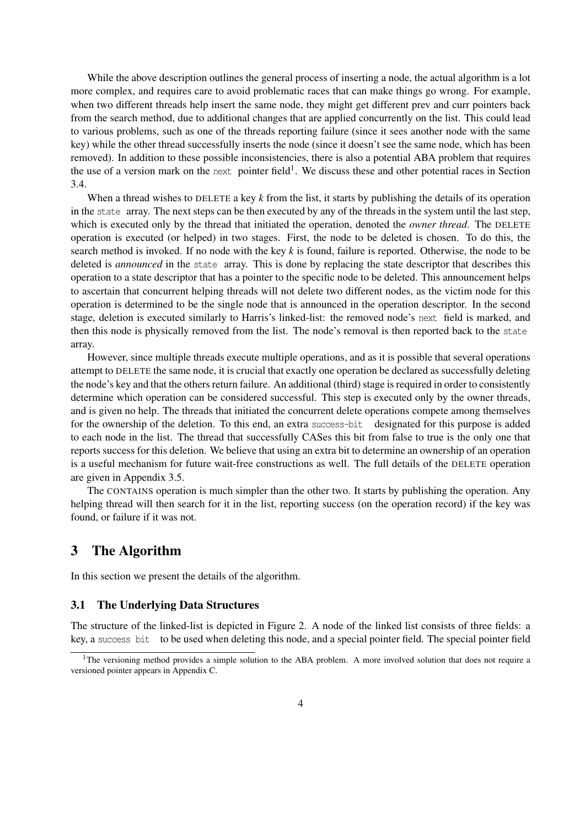While the above description outlines the general process of inserting a node, the actual algorithm is a lot more complex, and requires care to avoid problematic races that can make things go wrong. For example, when two different threads help insert the same node, they might get different prev and curr pointers back from the search method, due to additional changes that are applied concurrently on the list. This could lead to various problems, such as one of the threads reporting failure (since it sees another node with the same key) while the other thread successfully inserts the node (since it doesn't see the same node, which has been removed). In addition to these possible inconsistencies, there is also a potential ABA problem that requires the use of a version mark on the next pointer field<sup>1</sup>. We discuss these and other potential races in Section 3.4.

When a thread wishes to DELETE a key *k* from the list, it starts by publishing the details of its operation in the state array. The next steps can be then executed by any of the threads in the system until the last step, which is executed only by the thread that initiated the operation, denoted the *owner thread*. The DELETE operation is executed (or helped) in two stages. First, the node to be deleted is chosen. To do this, the search method is invoked. If no node with the key *k* is found, failure is reported. Otherwise, the node to be deleted is *announced* in the state array. This is done by replacing the state descriptor that describes this operation to a state descriptor that has a pointer to the specific node to be deleted. This announcement helps to ascertain that concurrent helping threads will not delete two different nodes, as the victim node for this operation is determined to be the single node that is announced in the operation descriptor. In the second stage, deletion is executed similarly to Harris's linked-list: the removed node's next field is marked, and then this node is physically removed from the list. The node's removal is then reported back to the state array.

However, since multiple threads execute multiple operations, and as it is possible that several operations attempt to DELETE the same node, it is crucial that exactly one operation be declared as successfully deleting the node's key and that the others return failure. An additional (third) stage is required in order to consistently determine which operation can be considered successful. This step is executed only by the owner threads, and is given no help. The threads that initiated the concurrent delete operations compete among themselves for the ownership of the deletion. To this end, an extra success-bit designated for this purpose is added to each node in the list. The thread that successfully CASes this bit from false to true is the only one that reports success for this deletion. We believe that using an extra bit to determine an ownership of an operation is a useful mechanism for future wait-free constructions as well. The full details of the DELETE operation are given in Appendix 3.5.

The CONTAINS operation is much simpler than the other two. It starts by publishing the operation. Any helping thread will then search for it in the list, reporting success (on the operation record) if the key was found, or failure if it was not.

## 3 The Algorithm

In this section we present the details of the algorithm.

#### 3.1 The Underlying Data Structures

The structure of the linked-list is depicted in Figure 2. A node of the linked list consists of three fields: a key, a success bit to be used when deleting this node, and a special pointer field. The special pointer field

<sup>&</sup>lt;sup>1</sup>The versioning method provides a simple solution to the ABA problem. A more involved solution that does not require a versioned pointer appears in Appendix C.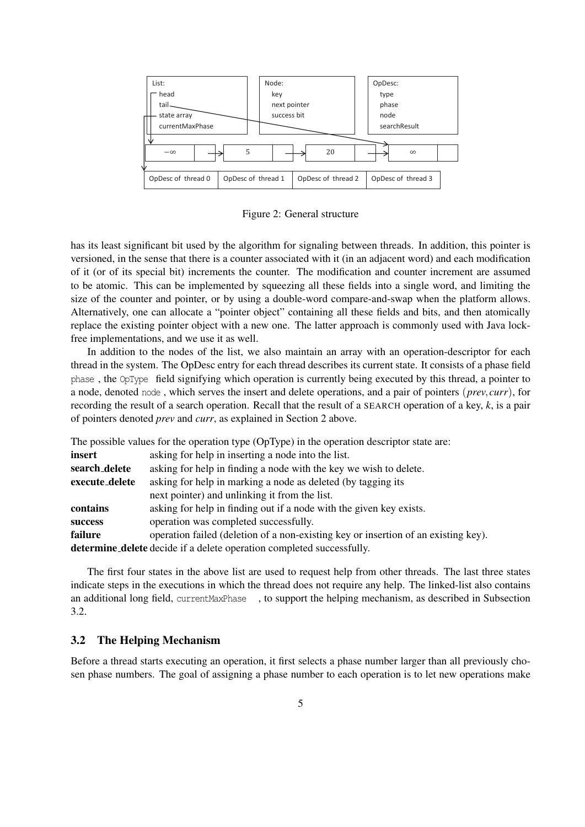

Figure 2: General structure

has its least significant bit used by the algorithm for signaling between threads. In addition, this pointer is versioned, in the sense that there is a counter associated with it (in an adjacent word) and each modification of it (or of its special bit) increments the counter. The modification and counter increment are assumed to be atomic. This can be implemented by squeezing all these fields into a single word, and limiting the size of the counter and pointer, or by using a double-word compare-and-swap when the platform allows. Alternatively, one can allocate a "pointer object" containing all these fields and bits, and then atomically replace the existing pointer object with a new one. The latter approach is commonly used with Java lockfree implementations, and we use it as well.

In addition to the nodes of the list, we also maintain an array with an operation-descriptor for each thread in the system. The OpDesc entry for each thread describes its current state. It consists of a phase field phase , the OpType field signifying which operation is currently being executed by this thread, a pointer to a node, denoted node , which serves the insert and delete operations, and a pair of pointers (*prev,curr*), for recording the result of a search operation. Recall that the result of a SEARCH operation of a key, *k*, is a pair of pointers denoted *prev* and *curr*, as explained in Section 2 above.

The possible values for the operation type (OpType) in the operation descriptor state are: insert asking for help in inserting a node into the list. search delete asking for help in finding a node with the key we wish to delete. execute delete asking for help in marking a node as deleted (by tagging its next pointer) and unlinking it from the list. contains asking for help in finding out if a node with the given key exists. success operation was completed successfully. failure operation failed (deletion of a non-existing key or insertion of an existing key).

determine delete decide if a delete operation completed successfully.

The first four states in the above list are used to request help from other threads. The last three states indicate steps in the executions in which the thread does not require any help. The linked-list also contains an additional long field, currentMaxPhase , to support the helping mechanism, as described in Subsection 3.2.

## 3.2 The Helping Mechanism

Before a thread starts executing an operation, it first selects a phase number larger than all previously chosen phase numbers. The goal of assigning a phase number to each operation is to let new operations make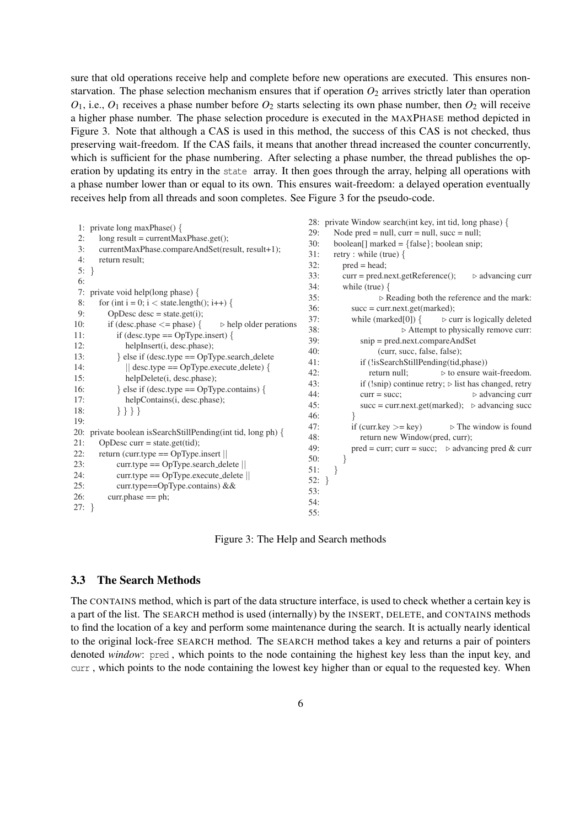sure that old operations receive help and complete before new operations are executed. This ensures nonstarvation. The phase selection mechanism ensures that if operation  $O_2$  arrives strictly later than operation  $O_1$ , i.e.,  $O_1$  receives a phase number before  $O_2$  starts selecting its own phase number, then  $O_2$  will receive a higher phase number. The phase selection procedure is executed in the MAXPHASE method depicted in Figure 3. Note that although a CAS is used in this method, the success of this CAS is not checked, thus preserving wait-freedom. If the CAS fails, it means that another thread increased the counter concurrently, which is sufficient for the phase numbering. After selecting a phase number, the thread publishes the operation by updating its entry in the state array. It then goes through the array, helping all operations with a phase number lower than or equal to its own. This ensures wait-freedom: a delayed operation eventually receives help from all threads and soon completes. See Figure 3 for the pseudo-code.

```
1: private long maxPhase() {
 2: long result = currentMaxPhase.get();
 3: currentMaxPhase.compareAndSet(result, result+1);
 4: return result;
 5: }
 6:
 7: private void help(long phase) {
 8: for (int i = 0; i < state.length(); i++) {
 9: OpDesc desc = state.get(i);
10: if (desc.phase \le = phase) { \triangleright help older perations
11: if (desc.type == OpType.insert) {
12: helpInsert(i, desc.phase);
13: } else if (desc.type == OpType.search_delete
14: \|\ desc.type == OpType.execute_delete) {
15: helpDelete(i, desc.phase);
16: {} } else if (desc.type == OpType.contains) {
17: helpContains(i, desc.phase);
18: } } } }
19:
20: private boolean isSearchStillPending(int tid, long ph) {
21: OpDesc curr = state.get(tid);
22: return (curr.type == OpType.insert)
23: curr.type == OpType.search_delete ||
24: curr.type == OpType.execute_delete ||
25: curr.type==OpType.contains) &&
26: curr.phase == ph;
27: }
                                                           28: private Window search(int key, int tid, long phase) {
                                                           29: Node pred = null, curr = null, succ = null;
                                                           30: boolean[] marked = {false}; boolean snip;
                                                           31: retry : while (true) {
                                                           32: pred = head;
                                                           33: curr = pred.next.getReference(); \triangleright advancing curr
                                                           34: while (true) {
                                                           35: \rhd Reading both the reference and the mark:
                                                           36: succ = curr.next.get(marked);
                                                           37: while (marked[0]) { \triangleright curr is logically deleted
                                                           38: ⊲ Attempt to physically remove curr:
                                                           39: snip = pred.next.compareAndSet
                                                           40: (curr, succ, false, false);
                                                           41: if (!isSearchStillPending(tid,phase))
                                                           42: return null; \rhd to ensure wait-freedom.
                                                           43: if (!snip) continue retry; \triangleright list has changed, retry
                                                           44: \text{curr} = \text{succ}; \quad \text{triangle} \text{advancing curr}45: succ = curr.next.get(marked); \triangleright advancing succ
                                                           46:47: if (curr.key >= key) \triangleright The window is found
                                                           48: return new Window(pred, curr);
                                                           49: pred = curr; curr = succ; \triangleright advancing pred & curr
                                                           50: }
                                                           51: }
                                                           52: }
                                                           53:
                                                           54:
                                                           55:
```
Figure 3: The Help and Search methods

#### 3.3 The Search Methods

The CONTAINS method, which is part of the data structure interface, is used to check whether a certain key is a part of the list. The SEARCH method is used (internally) by the INSERT, DELETE, and CONTAINS methods to find the location of a key and perform some maintenance during the search. It is actually nearly identical to the original lock-free SEARCH method. The SEARCH method takes a key and returns a pair of pointers denoted *window*: pred, which points to the node containing the highest key less than the input key, and curr , which points to the node containing the lowest key higher than or equal to the requested key. When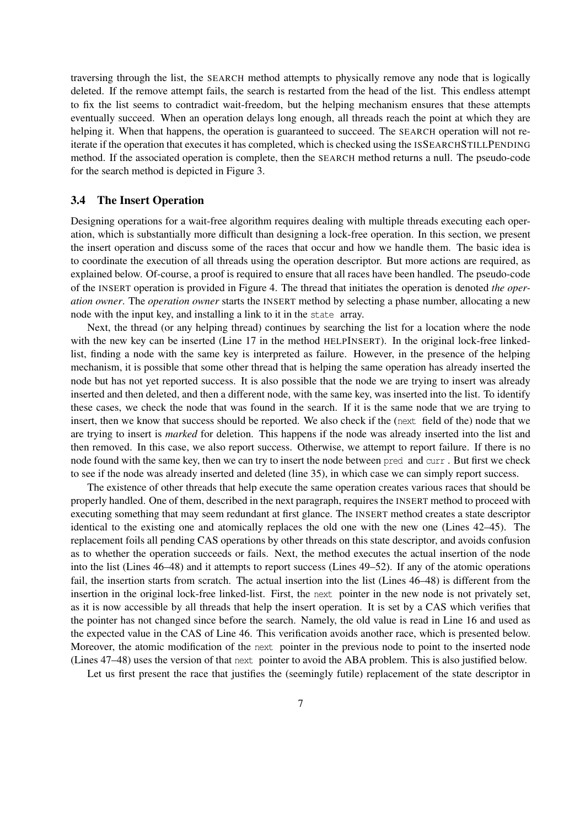traversing through the list, the SEARCH method attempts to physically remove any node that is logically deleted. If the remove attempt fails, the search is restarted from the head of the list. This endless attempt to fix the list seems to contradict wait-freedom, but the helping mechanism ensures that these attempts eventually succeed. When an operation delays long enough, all threads reach the point at which they are helping it. When that happens, the operation is guaranteed to succeed. The SEARCH operation will not reiterate if the operation that executes it has completed, which is checked using the ISSEARCHSTILLPENDING method. If the associated operation is complete, then the SEARCH method returns a null. The pseudo-code for the search method is depicted in Figure 3.

#### 3.4 The Insert Operation

Designing operations for a wait-free algorithm requires dealing with multiple threads executing each operation, which is substantially more difficult than designing a lock-free operation. In this section, we present the insert operation and discuss some of the races that occur and how we handle them. The basic idea is to coordinate the execution of all threads using the operation descriptor. But more actions are required, as explained below. Of-course, a proof is required to ensure that all races have been handled. The pseudo-code of the INSERT operation is provided in Figure 4. The thread that initiates the operation is denoted *the operation owner*. The *operation owner* starts the INSERT method by selecting a phase number, allocating a new node with the input key, and installing a link to it in the state array.

Next, the thread (or any helping thread) continues by searching the list for a location where the node with the new key can be inserted (Line 17 in the method HELPINSERT). In the original lock-free linkedlist, finding a node with the same key is interpreted as failure. However, in the presence of the helping mechanism, it is possible that some other thread that is helping the same operation has already inserted the node but has not yet reported success. It is also possible that the node we are trying to insert was already inserted and then deleted, and then a different node, with the same key, was inserted into the list. To identify these cases, we check the node that was found in the search. If it is the same node that we are trying to insert, then we know that success should be reported. We also check if the (next field of the) node that we are trying to insert is *marked* for deletion. This happens if the node was already inserted into the list and then removed. In this case, we also report success. Otherwise, we attempt to report failure. If there is no node found with the same key, then we can try to insert the node between pred and curr . But first we check to see if the node was already inserted and deleted (line 35), in which case we can simply report success.

The existence of other threads that help execute the same operation creates various races that should be properly handled. One of them, described in the next paragraph, requires the INSERT method to proceed with executing something that may seem redundant at first glance. The INSERT method creates a state descriptor identical to the existing one and atomically replaces the old one with the new one (Lines 42–45). The replacement foils all pending CAS operations by other threads on this state descriptor, and avoids confusion as to whether the operation succeeds or fails. Next, the method executes the actual insertion of the node into the list (Lines 46–48) and it attempts to report success (Lines 49–52). If any of the atomic operations fail, the insertion starts from scratch. The actual insertion into the list (Lines 46–48) is different from the insertion in the original lock-free linked-list. First, the next pointer in the new node is not privately set, as it is now accessible by all threads that help the insert operation. It is set by a CAS which verifies that the pointer has not changed since before the search. Namely, the old value is read in Line 16 and used as the expected value in the CAS of Line 46. This verification avoids another race, which is presented below. Moreover, the atomic modification of the next pointer in the previous node to point to the inserted node (Lines 47–48) uses the version of that next pointer to avoid the ABA problem. This is also justified below.

Let us first present the race that justifies the (seemingly futile) replacement of the state descriptor in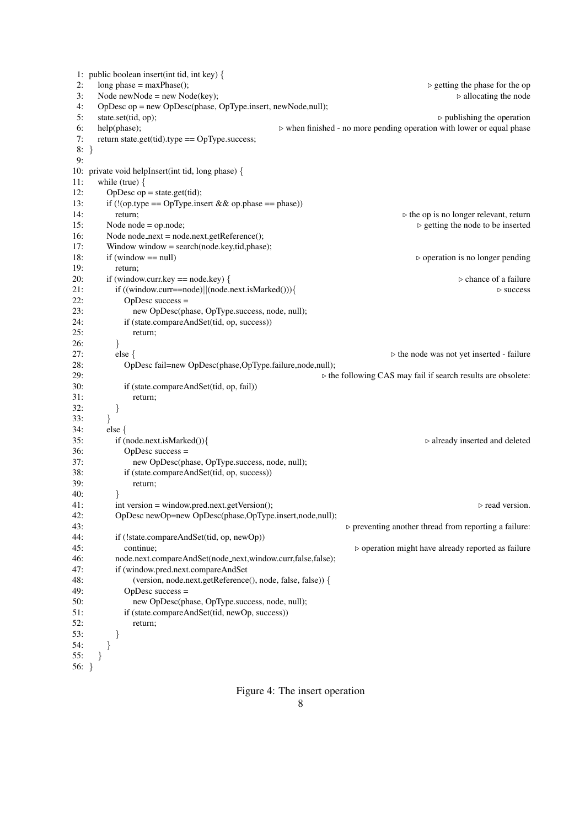|         | 1: public boolean insert (int tid, int key) {               |                                                                                      |
|---------|-------------------------------------------------------------|--------------------------------------------------------------------------------------|
| 2:      | long phase = $maxPhase$ );                                  | $\triangleright$ getting the phase for the op                                        |
| 3:      | Node new Node = new Node(key);                              | $\triangleright$ allocating the node                                                 |
| 4:      | OpDesc op = new OpDesc(phase, OpType.insert, newNode,null); |                                                                                      |
| 5:      | state.set(tid, op);                                         | $\triangleright$ publishing the operation                                            |
| 6:      | help(phase);                                                | $\triangleright$ when finished - no more pending operation with lower or equal phase |
| 7:      | return state.get(tid).type = $OpType$ .success;             |                                                                                      |
| $8: \}$ |                                                             |                                                                                      |
| 9:      |                                                             |                                                                                      |
|         | 10: private void helpInsert(int tid, long phase) {          |                                                                                      |
| 11:     | while (true) $\{$                                           |                                                                                      |
| 12:     | OpDesc $op = state.get(id);$                                |                                                                                      |
| 13:     | if (!(op.type == OpType.insert && op.phase == phase))       |                                                                                      |
| 14:     | return;                                                     | $\triangleright$ the op is no longer relevant, return                                |
| 15:     | Node $node = op node;$                                      | $\triangleright$ getting the node to be inserted                                     |
| 16:     | Node node_next = node.next.getReference();                  |                                                                                      |
| 17:     | Window window = search(node.key,tid,phase);                 |                                                                                      |
| 18:     | if (window $==$ null)                                       | $\rhd$ operation is no longer pending                                                |
| 19:     | return;                                                     |                                                                                      |
| 20:     | if (window.curr.key == node.key) {                          | $\triangleright$ chance of a failure                                                 |
| 21:     | if ((window.curr==node)  (node.next.isMarked())){           | $\triangleright$ success                                                             |
| 22:     | $OpDesc$ success =                                          |                                                                                      |
| 23:     | new OpDesc(phase, OpType.success, node, null);              |                                                                                      |
| 24:     | if (state.compareAndSet(tid, op, success))                  |                                                                                      |
| 25:     | return;                                                     |                                                                                      |
| 26:     | $\left\{ \right.$                                           |                                                                                      |
| 27:     | else                                                        | $\triangleright$ the node was not yet inserted - failure                             |
| 28:     | OpDesc fail=new OpDesc(phase,OpType.failure,node,null);     |                                                                                      |
| 29:     |                                                             | $\triangleright$ the following CAS may fail if search results are obsolete:          |
| 30:     | if (state.compareAndSet(tid, op, fail))                     |                                                                                      |
| 31:     | return;                                                     |                                                                                      |
| 32:     | ł                                                           |                                                                                      |
| 33:     | $\}$                                                        |                                                                                      |
| 34:     | $else\{$                                                    |                                                                                      |
| 35:     | if (node.next.isMarked()){                                  | $\rhd$ already inserted and deleted                                                  |
| 36:     | $OpDesc$ success =                                          |                                                                                      |
| 37:     | new OpDesc(phase, OpType.success, node, null);              |                                                                                      |
| 38:     | if (state.compareAndSet(tid, op, success))                  |                                                                                      |
| 39:     | return;                                                     |                                                                                      |
| 40:     |                                                             |                                                                                      |
| 41:     | int version = window.pred.next.getVersion();                | $\triangleright$ read version.                                                       |
| 42:     | OpDesc newOp=new OpDesc(phase,OpType.insert,node,null);     |                                                                                      |
| 43:     |                                                             | $\triangleright$ preventing another thread from reporting a failure:                 |
| 44:     | if (!state.compareAndSet(tid, op, newOp))                   |                                                                                      |
| 45:     | continue;                                                   | $\triangleright$ operation might have already reported as failure                    |
| 46:     | node.next.compareAndSet(node_next,window.curr,false,false); |                                                                                      |
| 47:     | if (window.pred.next.compareAndSet                          |                                                                                      |
| 48:     | (version, node.next.getReference(), node, false, false)) {  |                                                                                      |
| 49:     | $OpDesc$ success =                                          |                                                                                      |
| 50:     | new OpDesc(phase, OpType.success, node, null);              |                                                                                      |
| 51:     | if (state.compareAndSet(tid, newOp, success))               |                                                                                      |
| 52:     | return;                                                     |                                                                                      |
| 53:     | $\}$                                                        |                                                                                      |
| 54:     | $\}$                                                        |                                                                                      |
| 55:     | $\}$                                                        |                                                                                      |
| 56: }   |                                                             |                                                                                      |
|         |                                                             |                                                                                      |

Figure 4: The insert operation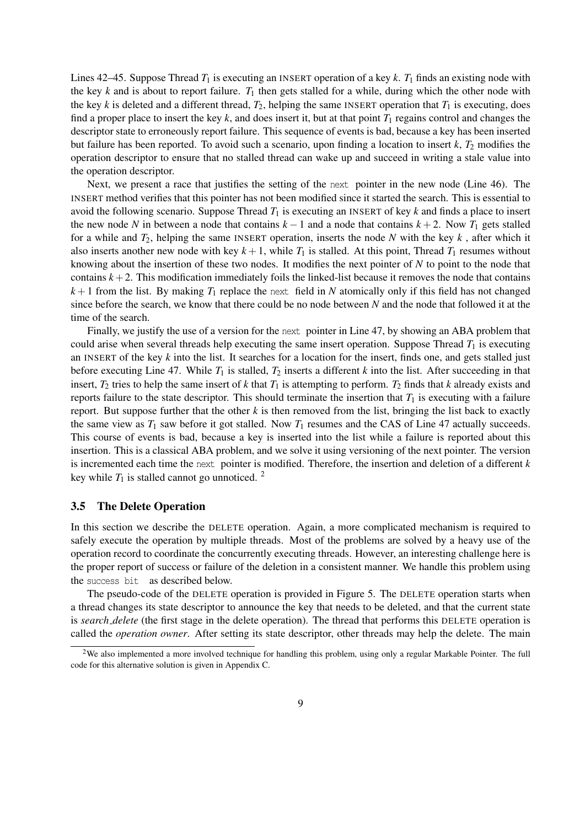Lines 42–45. Suppose Thread  $T_1$  is executing an INSERT operation of a key  $k$ .  $T_1$  finds an existing node with the key  $k$  and is about to report failure.  $T_1$  then gets stalled for a while, during which the other node with the key  $k$  is deleted and a different thread,  $T_2$ , helping the same INSERT operation that  $T_1$  is executing, does find a proper place to insert the key  $k$ , and does insert it, but at that point  $T_1$  regains control and changes the descriptor state to erroneously report failure. This sequence of events is bad, because a key has been inserted but failure has been reported. To avoid such a scenario, upon finding a location to insert  $k$ ,  $T_2$  modifies the operation descriptor to ensure that no stalled thread can wake up and succeed in writing a stale value into the operation descriptor.

Next, we present a race that justifies the setting of the next pointer in the new node (Line 46). The INSERT method verifies that this pointer has not been modified since it started the search. This is essential to avoid the following scenario. Suppose Thread *T*<sup>1</sup> is executing an INSERT of key *k* and finds a place to insert the new node *N* in between a node that contains  $k-1$  and a node that contains  $k+2$ . Now  $T_1$  gets stalled for a while and *T*2, helping the same INSERT operation, inserts the node *N* with the key *k* , after which it also inserts another new node with key  $k + 1$ , while  $T_1$  is stalled. At this point, Thread  $T_1$  resumes without knowing about the insertion of these two nodes. It modifies the next pointer of *N* to point to the node that contains  $k+2$ . This modification immediately foils the linked-list because it removes the node that contains  $k+1$  from the list. By making  $T_1$  replace the next field in *N* atomically only if this field has not changed since before the search, we know that there could be no node between *N* and the node that followed it at the time of the search.

Finally, we justify the use of a version for the next pointer in Line 47, by showing an ABA problem that could arise when several threads help executing the same insert operation. Suppose Thread  $T_1$  is executing an INSERT of the key *k* into the list. It searches for a location for the insert, finds one, and gets stalled just before executing Line 47. While  $T_1$  is stalled,  $T_2$  inserts a different  $k$  into the list. After succeeding in that insert,  $T_2$  tries to help the same insert of *k* that  $T_1$  is attempting to perform.  $T_2$  finds that *k* already exists and reports failure to the state descriptor. This should terminate the insertion that  $T_1$  is executing with a failure report. But suppose further that the other  $k$  is then removed from the list, bringing the list back to exactly the same view as  $T_1$  saw before it got stalled. Now  $T_1$  resumes and the CAS of Line 47 actually succeeds. This course of events is bad, because a key is inserted into the list while a failure is reported about this insertion. This is a classical ABA problem, and we solve it using versioning of the next pointer. The version is incremented each time the next pointer is modified. Therefore, the insertion and deletion of a different *k* key while  $T_1$  is stalled cannot go unnoticed. <sup>2</sup>

#### 3.5 The Delete Operation

In this section we describe the DELETE operation. Again, a more complicated mechanism is required to safely execute the operation by multiple threads. Most of the problems are solved by a heavy use of the operation record to coordinate the concurrently executing threads. However, an interesting challenge here is the proper report of success or failure of the deletion in a consistent manner. We handle this problem using the success bit as described below.

The pseudo-code of the DELETE operation is provided in Figure 5. The DELETE operation starts when a thread changes its state descriptor to announce the key that needs to be deleted, and that the current state is *search delete* (the first stage in the delete operation). The thread that performs this DELETE operation is called the *operation owner*. After setting its state descriptor, other threads may help the delete. The main

<sup>&</sup>lt;sup>2</sup>We also implemented a more involved technique for handling this problem, using only a regular Markable Pointer. The full code for this alternative solution is given in Appendix C.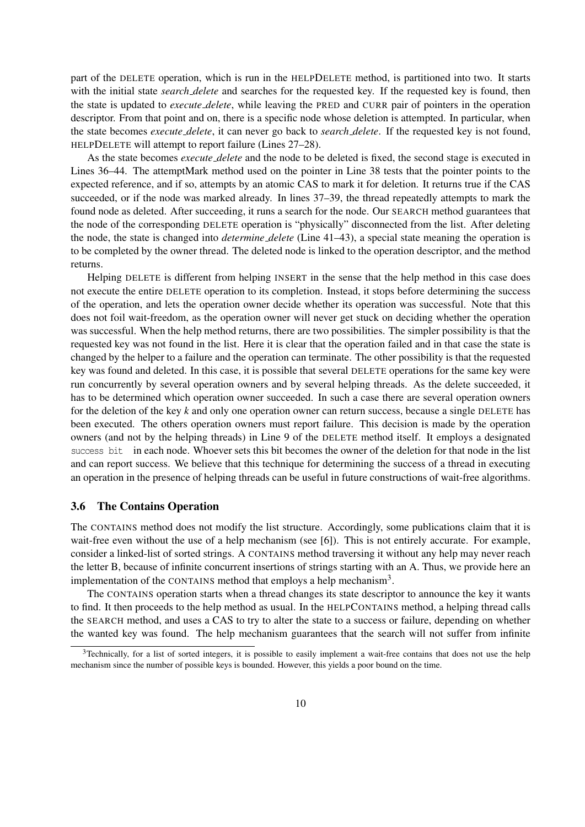part of the DELETE operation, which is run in the HELPDELETE method, is partitioned into two. It starts with the initial state *search delete* and searches for the requested key. If the requested key is found, then the state is updated to *execute delete*, while leaving the PRED and CURR pair of pointers in the operation descriptor. From that point and on, there is a specific node whose deletion is attempted. In particular, when the state becomes *execute delete*, it can never go back to *search delete*. If the requested key is not found, HELPDELETE will attempt to report failure (Lines 27–28).

As the state becomes *execute delete* and the node to be deleted is fixed, the second stage is executed in Lines 36–44. The attemptMark method used on the pointer in Line 38 tests that the pointer points to the expected reference, and if so, attempts by an atomic CAS to mark it for deletion. It returns true if the CAS succeeded, or if the node was marked already. In lines 37–39, the thread repeatedly attempts to mark the found node as deleted. After succeeding, it runs a search for the node. Our SEARCH method guarantees that the node of the corresponding DELETE operation is "physically" disconnected from the list. After deleting the node, the state is changed into *determine delete* (Line 41–43), a special state meaning the operation is to be completed by the owner thread. The deleted node is linked to the operation descriptor, and the method returns.

Helping DELETE is different from helping INSERT in the sense that the help method in this case does not execute the entire DELETE operation to its completion. Instead, it stops before determining the success of the operation, and lets the operation owner decide whether its operation was successful. Note that this does not foil wait-freedom, as the operation owner will never get stuck on deciding whether the operation was successful. When the help method returns, there are two possibilities. The simpler possibility is that the requested key was not found in the list. Here it is clear that the operation failed and in that case the state is changed by the helper to a failure and the operation can terminate. The other possibility is that the requested key was found and deleted. In this case, it is possible that several DELETE operations for the same key were run concurrently by several operation owners and by several helping threads. As the delete succeeded, it has to be determined which operation owner succeeded. In such a case there are several operation owners for the deletion of the key *k* and only one operation owner can return success, because a single DELETE has been executed. The others operation owners must report failure. This decision is made by the operation owners (and not by the helping threads) in Line 9 of the DELETE method itself. It employs a designated success bit in each node. Whoever sets this bit becomes the owner of the deletion for that node in the list and can report success. We believe that this technique for determining the success of a thread in executing an operation in the presence of helping threads can be useful in future constructions of wait-free algorithms.

#### 3.6 The Contains Operation

The CONTAINS method does not modify the list structure. Accordingly, some publications claim that it is wait-free even without the use of a help mechanism (see [6]). This is not entirely accurate. For example, consider a linked-list of sorted strings. A CONTAINS method traversing it without any help may never reach the letter B, because of infinite concurrent insertions of strings starting with an A. Thus, we provide here an implementation of the CONTAINS method that employs a help mechanism<sup>3</sup>.

The CONTAINS operation starts when a thread changes its state descriptor to announce the key it wants to find. It then proceeds to the help method as usual. In the HELPCONTAINS method, a helping thread calls the SEARCH method, and uses a CAS to try to alter the state to a success or failure, depending on whether the wanted key was found. The help mechanism guarantees that the search will not suffer from infinite

 $3$ Technically, for a list of sorted integers, it is possible to easily implement a wait-free contains that does not use the help mechanism since the number of possible keys is bounded. However, this yields a poor bound on the time.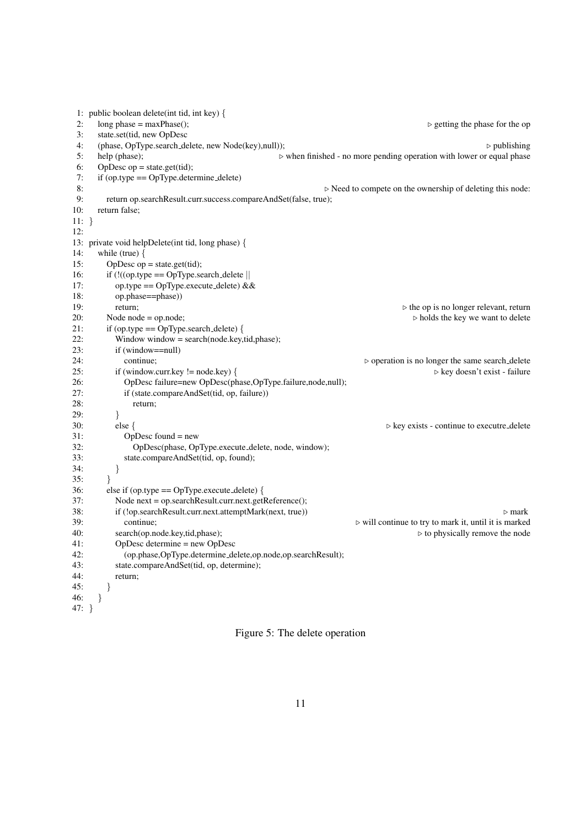|          | 1: public boolean delete(int tid, int key) {                                                  |                                                                                      |
|----------|-----------------------------------------------------------------------------------------------|--------------------------------------------------------------------------------------|
| 2:       | $long phase = maxPhase();$                                                                    | $\triangleright$ getting the phase for the op                                        |
| 3:       | state.set(tid, new OpDesc                                                                     |                                                                                      |
| 4:       | (phase, OpType.search_delete, new Node(key),null));                                           | $\triangleright$ publishing                                                          |
| 5:       | help (phase);                                                                                 | $\triangleright$ when finished - no more pending operation with lower or equal phase |
| 6:       | OpDesc $op = state.get(id);$                                                                  |                                                                                      |
| 7:       | if $(op_type == OpType.determine_d delete)$                                                   |                                                                                      |
| 8:       |                                                                                               | $\triangleright$ Need to compete on the ownership of deleting this node:             |
| 9:       | return op.searchResult.curr.success.compareAndSet(false, true);                               |                                                                                      |
| 10:      | return false;                                                                                 |                                                                                      |
| $11: \}$ |                                                                                               |                                                                                      |
| 12:      |                                                                                               |                                                                                      |
|          | 13: private void helpDelete(int tid, long phase) {                                            |                                                                                      |
| 14:      | while (true) $\{$                                                                             |                                                                                      |
| 15:      | OpDesc $op = state.get(tid);$                                                                 |                                                                                      |
| 16:      | if $\left(\frac{1}{\left(\text{op.type} = \text{OpType}.\text{search\_delete}\right)}\right)$ |                                                                                      |
| 17:      | op.type == $OpType$ .execute_delete) & &                                                      |                                                                                      |
| 18:      | op.phase==phase))                                                                             |                                                                                      |
| 19:      | return;                                                                                       | $\triangleright$ the op is no longer relevant, return                                |
| 20:      | Node $node = opnode;$                                                                         | $\triangleright$ holds the key we want to delete                                     |
| 21:      | if (op.type == $OpType$ search_delete) {                                                      |                                                                                      |
| 22:      | Window window = $search(node(key, tid, phase);$                                               |                                                                                      |
| 23:      | if (window==null)                                                                             |                                                                                      |
| 24:      | continue;                                                                                     | $\triangleright$ operation is no longer the same search delete                       |
| 25:      | if (window.curr.key != node.key) {                                                            | $\triangleright$ key doesn't exist - failure                                         |
| 26:      | OpDesc failure=new OpDesc(phase,OpType.failure,node,null);                                    |                                                                                      |
| 27:      | if (state.compareAndSet(tid, op, failure))                                                    |                                                                                      |
| 28:      | return;                                                                                       |                                                                                      |
| 29:      | $\mathcal{F}$                                                                                 |                                                                                      |
| 30:      | else                                                                                          | $\triangleright$ key exists - continue to executre_delete                            |
| 31:      | $OpDesc$ found = new                                                                          |                                                                                      |
| 32:      | OpDesc(phase, OpType.execute_delete, node, window);                                           |                                                                                      |
| 33:      | state.compareAndSet(tid, op, found);                                                          |                                                                                      |
| 34:      | }                                                                                             |                                                                                      |
| 35:      | ł                                                                                             |                                                                                      |
| 36:      | else if (op.type = $OpType$ .execute_delete) {                                                |                                                                                      |
| 37:      | Node next = op.searchResult.curr.next.getReference();                                         |                                                                                      |
| 38:      | if (!op.searchResult.curr.next.attemptMark(next, true))                                       | $\triangleright$ mark                                                                |
| 39:      | continue;                                                                                     | $\triangleright$ will continue to try to mark it, until it is marked                 |
| 40:      | search(op.node.key,tid,phase);                                                                | $\triangleright$ to physically remove the node                                       |
| 41:      | $OpDesc$ determine = new $OpDesc$                                                             |                                                                                      |
| 42:      | (op.phase,OpType.determine_delete,op.node,op.searchResult);                                   |                                                                                      |
| 43:      | state.compareAndSet(tid, op, determine);                                                      |                                                                                      |
| 44:      | return;                                                                                       |                                                                                      |
| 45:      | $\}$                                                                                          |                                                                                      |
| 46:      | ł                                                                                             |                                                                                      |
| 47: }    |                                                                                               |                                                                                      |

Figure 5: The delete operation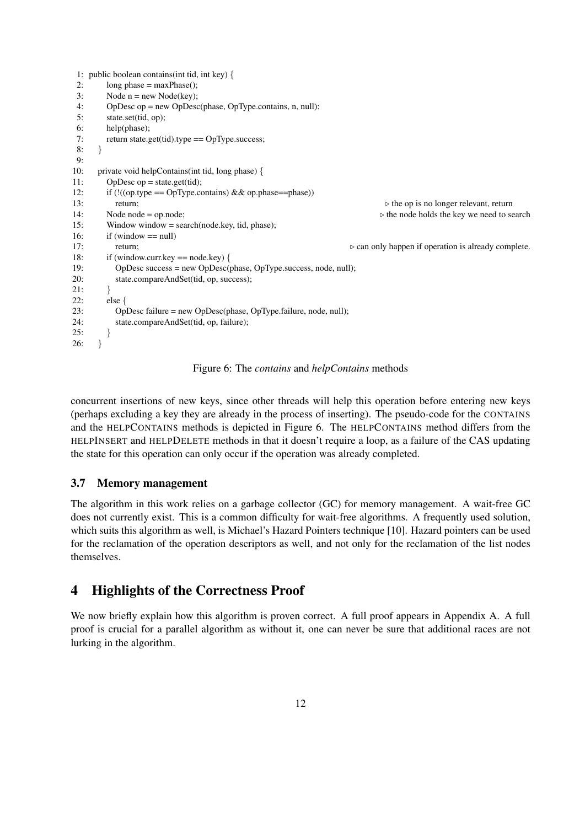```
1: public boolean contains(int tid, int key) {
 2: \log_{10} p \text{hase} = \text{maxPhase}();3: Node n = new Node(key);4: OpDesc op = new OpDesc(phase, OpType.contains, n, null);
 5: state.set(tid, op);
 6: help(phase);
 7: return state.get(tid).type == OpType.success;
 8: }
 9:
10: private void helpContains(int tid, long phase) {
11: OpDesc op = state.get(tid);
12: if \left(!\left((op.type == OpType.contains) && op.phase==phase))
13: return; <del>o the op is no longer relevant, return</sub> b the op is no longer relevant, return</del>
14: Node node = op.node; △ the node holds the key we need to search
15: Window window = search(node.key, tid, phase);
16: if (window == null)
17: return; return; a can only happen if operation is already complete.
18: if (window.curr.key == node.key) {
19: OpDesc success = new OpDesc(phase, OpType.success, node, null);
20: state.compareAndSet(tid, op, success);
21: }
22: else {
23: OpDesc failure = new OpDesc(phase, OpType.failure, node, null);
24: state.compareAndSet(tid, op, failure);
25: }
26: }
```
Figure 6: The *contains* and *helpContains* methods

concurrent insertions of new keys, since other threads will help this operation before entering new keys (perhaps excluding a key they are already in the process of inserting). The pseudo-code for the CONTAINS and the HELPCONTAINS methods is depicted in Figure 6. The HELPCONTAINS method differs from the HELPINSERT and HELPDELETE methods in that it doesn't require a loop, as a failure of the CAS updating the state for this operation can only occur if the operation was already completed.

## 3.7 Memory management

The algorithm in this work relies on a garbage collector (GC) for memory management. A wait-free GC does not currently exist. This is a common difficulty for wait-free algorithms. A frequently used solution, which suits this algorithm as well, is Michael's Hazard Pointers technique [10]. Hazard pointers can be used for the reclamation of the operation descriptors as well, and not only for the reclamation of the list nodes themselves.

# 4 Highlights of the Correctness Proof

We now briefly explain how this algorithm is proven correct. A full proof appears in Appendix A. A full proof is crucial for a parallel algorithm as without it, one can never be sure that additional races are not lurking in the algorithm.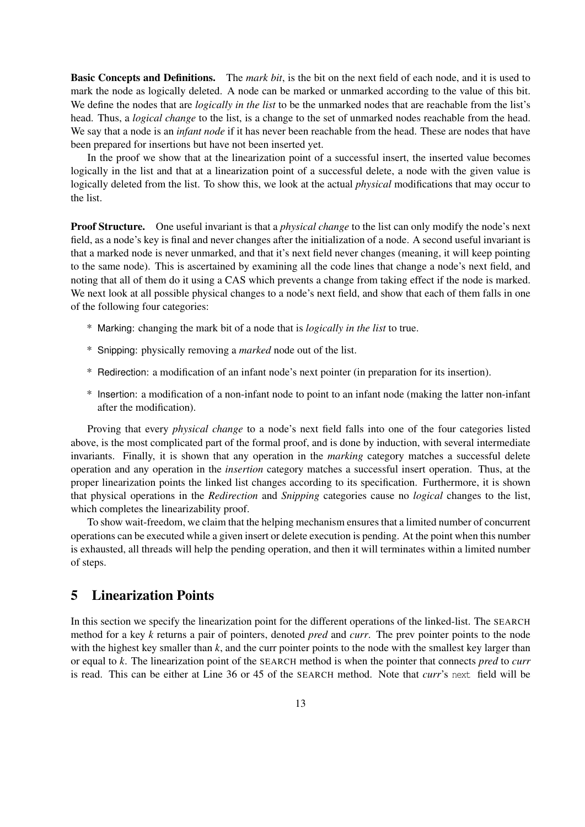Basic Concepts and Definitions. The *mark bit*, is the bit on the next field of each node, and it is used to mark the node as logically deleted. A node can be marked or unmarked according to the value of this bit. We define the nodes that are *logically in the list* to be the unmarked nodes that are reachable from the list's head. Thus, a *logical change* to the list, is a change to the set of unmarked nodes reachable from the head. We say that a node is an *infant node* if it has never been reachable from the head. These are nodes that have been prepared for insertions but have not been inserted yet.

In the proof we show that at the linearization point of a successful insert, the inserted value becomes logically in the list and that at a linearization point of a successful delete, a node with the given value is logically deleted from the list. To show this, we look at the actual *physical* modifications that may occur to the list.

**Proof Structure.** One useful invariant is that a *physical change* to the list can only modify the node's next field, as a node's key is final and never changes after the initialization of a node. A second useful invariant is that a marked node is never unmarked, and that it's next field never changes (meaning, it will keep pointing to the same node). This is ascertained by examining all the code lines that change a node's next field, and noting that all of them do it using a CAS which prevents a change from taking effect if the node is marked. We next look at all possible physical changes to a node's next field, and show that each of them falls in one of the following four categories:

- \* Marking: changing the mark bit of a node that is *logically in the list* to true.
- \* Snipping: physically removing a *marked* node out of the list.
- \* Redirection: a modification of an infant node's next pointer (in preparation for its insertion).
- \* Insertion: a modification of a non-infant node to point to an infant node (making the latter non-infant after the modification).

Proving that every *physical change* to a node's next field falls into one of the four categories listed above, is the most complicated part of the formal proof, and is done by induction, with several intermediate invariants. Finally, it is shown that any operation in the *marking* category matches a successful delete operation and any operation in the *insertion* category matches a successful insert operation. Thus, at the proper linearization points the linked list changes according to its specification. Furthermore, it is shown that physical operations in the *Redirection* and *Snipping* categories cause no *logical* changes to the list, which completes the linearizability proof.

To show wait-freedom, we claim that the helping mechanism ensures that a limited number of concurrent operations can be executed while a given insert or delete execution is pending. At the point when this number is exhausted, all threads will help the pending operation, and then it will terminates within a limited number of steps.

## 5 Linearization Points

In this section we specify the linearization point for the different operations of the linked-list. The SEARCH method for a key *k* returns a pair of pointers, denoted *pred* and *curr*. The prev pointer points to the node with the highest key smaller than k, and the curr pointer points to the node with the smallest key larger than or equal to *k*. The linearization point of the SEARCH method is when the pointer that connects *pred* to *curr* is read. This can be either at Line 36 or 45 of the SEARCH method. Note that *curr*'s next field will be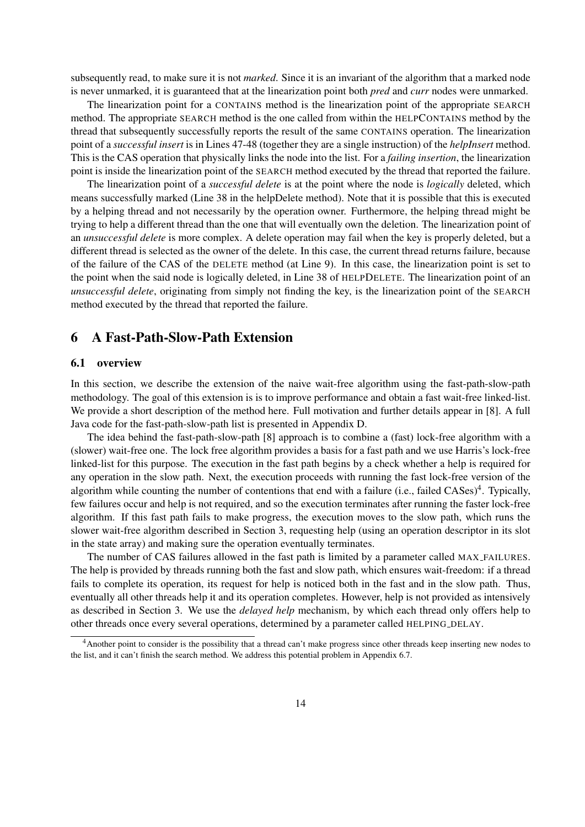subsequently read, to make sure it is not *marked*. Since it is an invariant of the algorithm that a marked node is never unmarked, it is guaranteed that at the linearization point both *pred* and *curr* nodes were unmarked.

The linearization point for a CONTAINS method is the linearization point of the appropriate SEARCH method. The appropriate SEARCH method is the one called from within the HELPCONTAINS method by the thread that subsequently successfully reports the result of the same CONTAINS operation. The linearization point of a *successful insert* is in Lines 47-48 (together they are a single instruction) of the *helpInsert* method. This is the CAS operation that physically links the node into the list. For a *failing insertion*, the linearization point is inside the linearization point of the SEARCH method executed by the thread that reported the failure.

The linearization point of a *successful delete* is at the point where the node is *logically* deleted, which means successfully marked (Line 38 in the helpDelete method). Note that it is possible that this is executed by a helping thread and not necessarily by the operation owner. Furthermore, the helping thread might be trying to help a different thread than the one that will eventually own the deletion. The linearization point of an *unsuccessful delete* is more complex. A delete operation may fail when the key is properly deleted, but a different thread is selected as the owner of the delete. In this case, the current thread returns failure, because of the failure of the CAS of the DELETE method (at Line 9). In this case, the linearization point is set to the point when the said node is logically deleted, in Line 38 of HELPDELETE. The linearization point of an *unsuccessful delete*, originating from simply not finding the key, is the linearization point of the SEARCH method executed by the thread that reported the failure.

## 6 A Fast-Path-Slow-Path Extension

#### 6.1 overview

In this section, we describe the extension of the naive wait-free algorithm using the fast-path-slow-path methodology. The goal of this extension is is to improve performance and obtain a fast wait-free linked-list. We provide a short description of the method here. Full motivation and further details appear in [8]. A full Java code for the fast-path-slow-path list is presented in Appendix D.

The idea behind the fast-path-slow-path [8] approach is to combine a (fast) lock-free algorithm with a (slower) wait-free one. The lock free algorithm provides a basis for a fast path and we use Harris's lock-free linked-list for this purpose. The execution in the fast path begins by a check whether a help is required for any operation in the slow path. Next, the execution proceeds with running the fast lock-free version of the algorithm while counting the number of contentions that end with a failure (i.e., failed  $CASes$ )<sup>4</sup>. Typically, few failures occur and help is not required, and so the execution terminates after running the faster lock-free algorithm. If this fast path fails to make progress, the execution moves to the slow path, which runs the slower wait-free algorithm described in Section 3, requesting help (using an operation descriptor in its slot in the state array) and making sure the operation eventually terminates.

The number of CAS failures allowed in the fast path is limited by a parameter called MAX FAILURES. The help is provided by threads running both the fast and slow path, which ensures wait-freedom: if a thread fails to complete its operation, its request for help is noticed both in the fast and in the slow path. Thus, eventually all other threads help it and its operation completes. However, help is not provided as intensively as described in Section 3. We use the *delayed help* mechanism, by which each thread only offers help to other threads once every several operations, determined by a parameter called HELPING\_DELAY.

<sup>4</sup>Another point to consider is the possibility that a thread can't make progress since other threads keep inserting new nodes to the list, and it can't finish the search method. We address this potential problem in Appendix 6.7.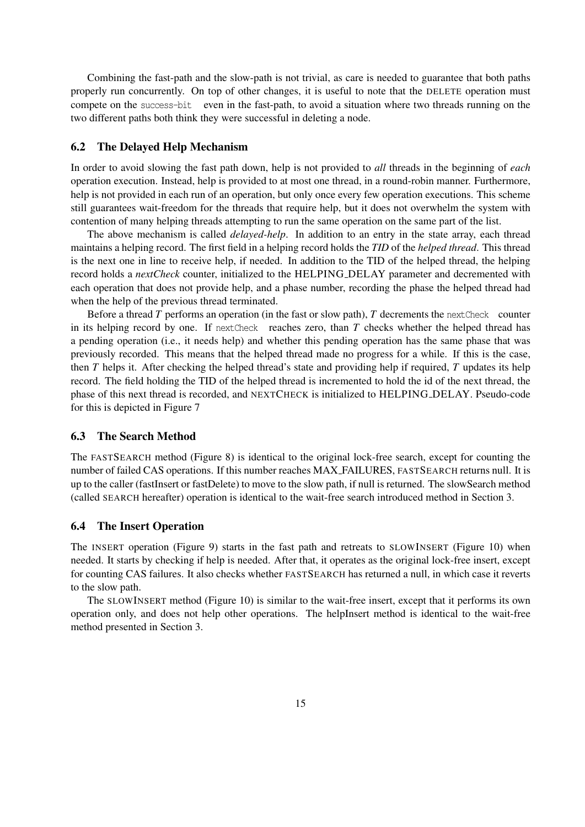Combining the fast-path and the slow-path is not trivial, as care is needed to guarantee that both paths properly run concurrently. On top of other changes, it is useful to note that the DELETE operation must compete on the success-bit even in the fast-path, to avoid a situation where two threads running on the two different paths both think they were successful in deleting a node.

#### 6.2 The Delayed Help Mechanism

In order to avoid slowing the fast path down, help is not provided to *all* threads in the beginning of *each* operation execution. Instead, help is provided to at most one thread, in a round-robin manner. Furthermore, help is not provided in each run of an operation, but only once every few operation executions. This scheme still guarantees wait-freedom for the threads that require help, but it does not overwhelm the system with contention of many helping threads attempting to run the same operation on the same part of the list.

The above mechanism is called *delayed-help*. In addition to an entry in the state array, each thread maintains a helping record. The first field in a helping record holds the *TID* of the *helped thread*. This thread is the next one in line to receive help, if needed. In addition to the TID of the helped thread, the helping record holds a *nextCheck* counter, initialized to the HELPING DELAY parameter and decremented with each operation that does not provide help, and a phase number, recording the phase the helped thread had when the help of the previous thread terminated.

Before a thread *T* performs an operation (in the fast or slow path), *T* decrements the nextCheck counter in its helping record by one. If nextCheck reaches zero, than *T* checks whether the helped thread has a pending operation (i.e., it needs help) and whether this pending operation has the same phase that was previously recorded. This means that the helped thread made no progress for a while. If this is the case, then *T* helps it. After checking the helped thread's state and providing help if required, *T* updates its help record. The field holding the TID of the helped thread is incremented to hold the id of the next thread, the phase of this next thread is recorded, and NEXTCHECK is initialized to HELPING DELAY. Pseudo-code for this is depicted in Figure 7

#### 6.3 The Search Method

The FASTSEARCH method (Figure 8) is identical to the original lock-free search, except for counting the number of failed CAS operations. If this number reaches MAX FAILURES, FASTSEARCH returns null. It is up to the caller (fastInsert or fastDelete) to move to the slow path, if null is returned. The slowSearch method (called SEARCH hereafter) operation is identical to the wait-free search introduced method in Section 3.

#### 6.4 The Insert Operation

The INSERT operation (Figure 9) starts in the fast path and retreats to SLOWINSERT (Figure 10) when needed. It starts by checking if help is needed. After that, it operates as the original lock-free insert, except for counting CAS failures. It also checks whether FASTSEARCH has returned a null, in which case it reverts to the slow path.

The SLOWINSERT method (Figure 10) is similar to the wait-free insert, except that it performs its own operation only, and does not help other operations. The helpInsert method is identical to the wait-free method presented in Section 3.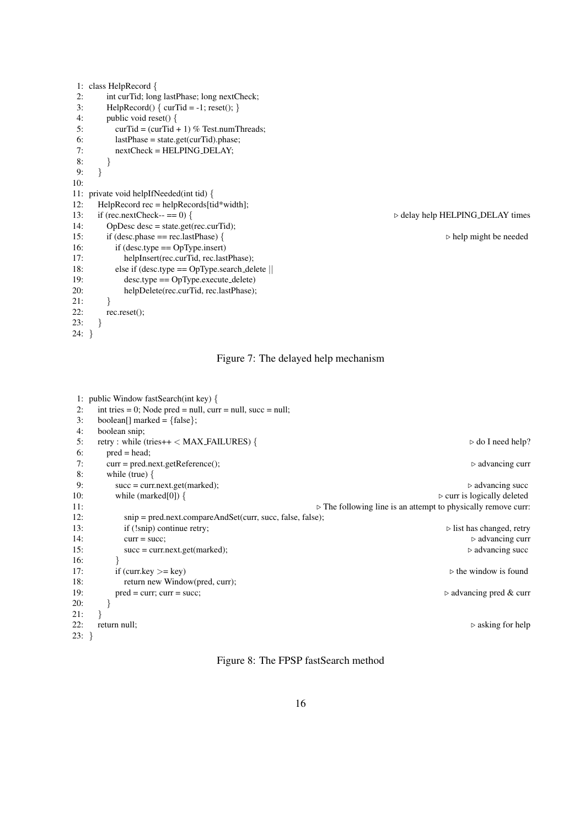```
1: class HelpRecord {
2: int curTid; long lastPhase; long nextCheck;
3: HelpRecord() { curTid = -1; reset(); }
4: public void reset() {
5: curTid = (curTid + 1) % Test.numThreads;
6: lastPhase = state.get(curTid).phase;
7: nextCheck = HELPING DELAY;
8: }
9: }
10:
11: private void helpIfNeeded(int tid) {
12: HelpRecord rec = helpRecords[tid*width];
13: if (rec.nextCheck-- = 0) \{ \} \triangleright delay help HELPING DELAY times
14: OpDesc desc = state.get(rec.curTid);
15: if (desc.phase == rec.lastPhase) {<br>
\triangleright help might be needed
16: if (desc.type == OpType.insert)
17: helpInsert(rec.curTid, rec.lastPhase);
18: else if (desc.type == OpType.search delete ||
19: desc.type == OpType.execute_delete)
20: helpDelete(rec.curTid, rec.lastPhase);
21: }
22: rec.reset();
23: }
24: }
```


```
1: public Window fastSearch(int key) {
2: int tries = 0; Node pred = null, curr = null, succ = null;
3: boolean[] marked = {false};
4: boolean snip;
5: retry : while (tries++ < MAX_FAILURES) {<br>\triangleright do I need help?
6: pred = head;
7: curr = pred.next.getReference(); ∂ advancing curr
8: while (true) {
9: succ = curr.next.get(marked); <u>advancing</u> succ
10: while (marked[0]) { \triangleright curr is logically deleted
11: ⊳ The following line is an attempt to physically remove curr:
12: snip = pred.next.compareAndSet(curr, succ, false, false);
13: if (!snip) continue retry; ⊳ list has changed, retry
14: curr = succ; ⊳ advancing curr
15: succ = curr.next.get(marked); △ advancing succ
16: }
17: if (curr.key >= key) \triangleright the window is found
18: return new Window(pred, curr);
19: pred = curr; curr = succ; <u>⊳ advancing pred & curr</u>
20: }
21: }
22: return null; ⊳ asking for help
23: }
```
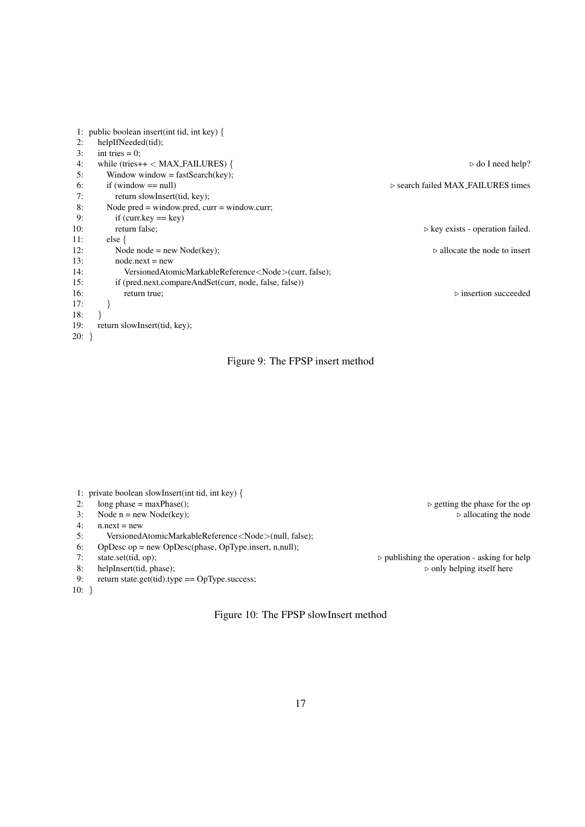|            | 1: public boolean insert (int tid, int key) $\{$             |                                                   |
|------------|--------------------------------------------------------------|---------------------------------------------------|
| 2:         | helpIfNeeded(tid);                                           |                                                   |
| 3:         | int tries $= 0$ ;                                            |                                                   |
| 4:         | while (tries++ $\langle$ MAX_FAILURES) {                     | $\triangleright$ do I need help?                  |
| 5:         | Window window = $fastSearch(key)$ ;                          |                                                   |
| 6:         | if (window $==$ null)                                        | $\triangleright$ search failed MAX_FAILURES times |
| 7:         | return slowInsert(tid, key);                                 |                                                   |
| 8:         | Node $pred = window.predict, curr = window.curr;$            |                                                   |
| 9:         | if (curr.key $==$ key)                                       |                                                   |
| 10:        | return false;                                                | $\triangleright$ key exists - operation failed.   |
| 11:        | else                                                         |                                                   |
| 12:        | Node node = new $Node(key);$                                 | $\triangleright$ allocate the node to insert      |
| 13:        | $node.next = new$                                            |                                                   |
| 14:        | VersionedAtomicMarkableReference <node>(curr, false);</node> |                                                   |
| 15:        | if (pred.next.compareAndSet(curr, node, false, false))       |                                                   |
| 16:        | return true;                                                 | $\triangleright$ insertion succeeded              |
| 17:        |                                                              |                                                   |
| 18:        |                                                              |                                                   |
| 19:        | return slowInsert(tid, key);                                 |                                                   |
| $20: \ \}$ |                                                              |                                                   |

## Figure 9: The FPSP insert method

1: private boolean slowInsert(int tid, int key) *{*

- 
- 3: Node  $n = new Node(key);$ <br>4:  $n.next = new$
- 4:  $n.next = new$ <br>5: Versioned
- 5: VersionedAtomicMarkableReference*<*Node*>*(null, false);
- 6: OpDesc op = new OpDesc(phase, OpType.insert, n,null);<br>7: state.set(tid, op);
- 
- 
- 9: return state.get(tid).type == OpType.success;

10: *}*

Figure 10: The FPSP slowInsert method

2: long phase = maxPhase();  $\triangleright$  getting the phase for the op<br>3: Node n = new Node(key);  $\triangleright$  allocating the node

7: state.set(tid, op);<br>8: helpInsert(tid, phase);<br>8: beipInsert(tid, phase);<br>6: **∂** publishing the operation - asking for help<br>8: **∂** publishing the operation - asking for help<br>8: **∂** publishing the operation - asking for **▷ only helping itself here** 

17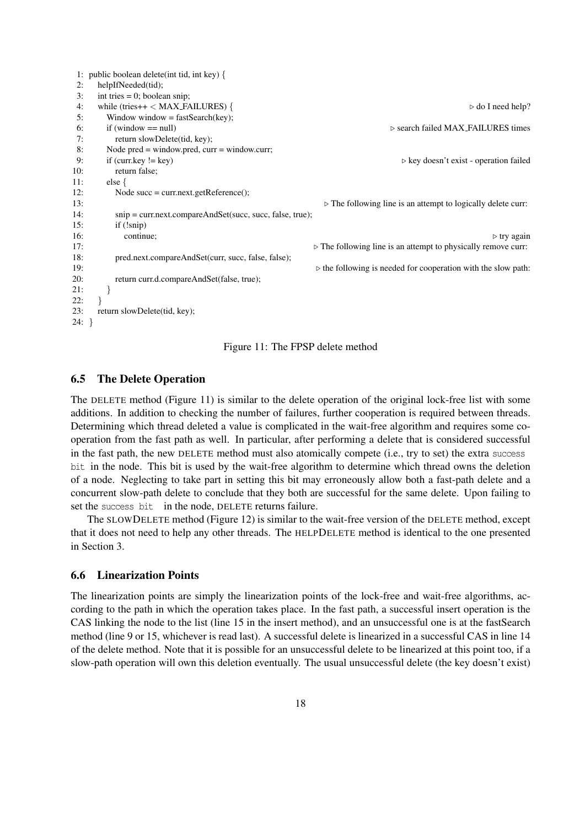```
1: public boolean delete(int tid, int key) {
2: helpIfNeeded(tid);
3: int tries = 0; boolean snip;
4: while (tries++ < MAX FAILURES) { ◃ do I need help?
5: Window window = fastSearch(key);
6: if (window == null) ◃ search failed MAX FAILURES times
7: return slowDelete(tid, key);
8: Node pred = window.pred, curr = window.curr;
9: if (curr.key != key) ◃ key doesn't exist - operation failed
10: return false;
11: else {
12: Node succ = curr.next.getReference();
13: \triangleright The following line is an attempt to logically delete curr:
14: snip = curr.next.compareAndSet(succ, succ, false, true);
15: if (!snip)
16: continue; ⊳ try again
17: \triangleright The following line is an attempt to physically remove curr:
18: pred.next.compareAndSet(curr, succ, false, false);
19: \triangleright the following is needed for cooperation with the slow path:
20: return curr.d.compareAndSet(false, true);
21: }
22: }
23: return slowDelete(tid, key);
24: }
```
Figure 11: The FPSP delete method

#### 6.5 The Delete Operation

The DELETE method (Figure 11) is similar to the delete operation of the original lock-free list with some additions. In addition to checking the number of failures, further cooperation is required between threads. Determining which thread deleted a value is complicated in the wait-free algorithm and requires some cooperation from the fast path as well. In particular, after performing a delete that is considered successful in the fast path, the new DELETE method must also atomically compete (i.e., try to set) the extra success bit in the node. This bit is used by the wait-free algorithm to determine which thread owns the deletion of a node. Neglecting to take part in setting this bit may erroneously allow both a fast-path delete and a concurrent slow-path delete to conclude that they both are successful for the same delete. Upon failing to set the success bit in the node, DELETE returns failure.

The SLOWDELETE method (Figure 12) is similar to the wait-free version of the DELETE method, except that it does not need to help any other threads. The HELPDELETE method is identical to the one presented in Section 3.

#### 6.6 Linearization Points

The linearization points are simply the linearization points of the lock-free and wait-free algorithms, according to the path in which the operation takes place. In the fast path, a successful insert operation is the CAS linking the node to the list (line 15 in the insert method), and an unsuccessful one is at the fastSearch method (line 9 or 15, whichever is read last). A successful delete is linearized in a successful CAS in line 14 of the delete method. Note that it is possible for an unsuccessful delete to be linearized at this point too, if a slow-path operation will own this deletion eventually. The usual unsuccessful delete (the key doesn't exist)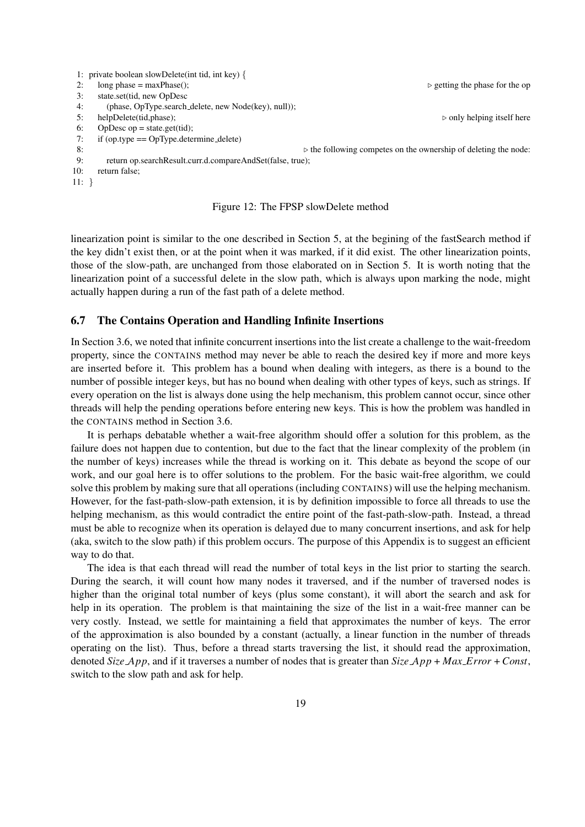```
1: private boolean slowDelete(int tid, int key) {
2: long phase = maxPhase(); \rho getting the phase for the op
3: state.set(tid, new OpDesc
4: (phase, OpType.search delete, new Node(key), null));
5: helpDelete(tid,phase); ⊳ only helping itself here
6: OpDesc op = state.get(tid);
7: if (op.type == OpType.determine_delete)
\triangleright the following competes on the ownership of deleting the node:
9: return op.searchResult.curr.d.compareAndSet(false, true);
10: return false;
11: }
```


linearization point is similar to the one described in Section 5, at the begining of the fastSearch method if the key didn't exist then, or at the point when it was marked, if it did exist. The other linearization points, those of the slow-path, are unchanged from those elaborated on in Section 5. It is worth noting that the linearization point of a successful delete in the slow path, which is always upon marking the node, might actually happen during a run of the fast path of a delete method.

### 6.7 The Contains Operation and Handling Infinite Insertions

In Section 3.6, we noted that infinite concurrent insertions into the list create a challenge to the wait-freedom property, since the CONTAINS method may never be able to reach the desired key if more and more keys are inserted before it. This problem has a bound when dealing with integers, as there is a bound to the number of possible integer keys, but has no bound when dealing with other types of keys, such as strings. If every operation on the list is always done using the help mechanism, this problem cannot occur, since other threads will help the pending operations before entering new keys. This is how the problem was handled in the CONTAINS method in Section 3.6.

It is perhaps debatable whether a wait-free algorithm should offer a solution for this problem, as the failure does not happen due to contention, but due to the fact that the linear complexity of the problem (in the number of keys) increases while the thread is working on it. This debate as beyond the scope of our work, and our goal here is to offer solutions to the problem. For the basic wait-free algorithm, we could solve this problem by making sure that all operations (including CONTAINS) will use the helping mechanism. However, for the fast-path-slow-path extension, it is by definition impossible to force all threads to use the helping mechanism, as this would contradict the entire point of the fast-path-slow-path. Instead, a thread must be able to recognize when its operation is delayed due to many concurrent insertions, and ask for help (aka, switch to the slow path) if this problem occurs. The purpose of this Appendix is to suggest an efficient way to do that.

The idea is that each thread will read the number of total keys in the list prior to starting the search. During the search, it will count how many nodes it traversed, and if the number of traversed nodes is higher than the original total number of keys (plus some constant), it will abort the search and ask for help in its operation. The problem is that maintaining the size of the list in a wait-free manner can be very costly. Instead, we settle for maintaining a field that approximates the number of keys. The error of the approximation is also bounded by a constant (actually, a linear function in the number of threads operating on the list). Thus, before a thread starts traversing the list, it should read the approximation, denoted *Size App*, and if it traverses a number of nodes that is greater than *Size App* + *Max Error* + *Const*, switch to the slow path and ask for help.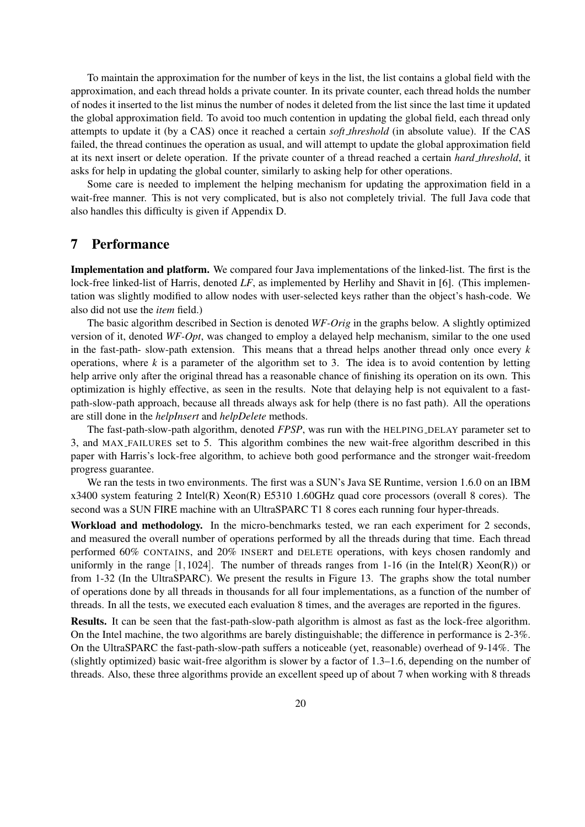To maintain the approximation for the number of keys in the list, the list contains a global field with the approximation, and each thread holds a private counter. In its private counter, each thread holds the number of nodes it inserted to the list minus the number of nodes it deleted from the list since the last time it updated the global approximation field. To avoid too much contention in updating the global field, each thread only attempts to update it (by a CAS) once it reached a certain *soft threshold* (in absolute value). If the CAS failed, the thread continues the operation as usual, and will attempt to update the global approximation field at its next insert or delete operation. If the private counter of a thread reached a certain *hard threshold*, it asks for help in updating the global counter, similarly to asking help for other operations.

Some care is needed to implement the helping mechanism for updating the approximation field in a wait-free manner. This is not very complicated, but is also not completely trivial. The full Java code that also handles this difficulty is given if Appendix D.

## 7 Performance

Implementation and platform. We compared four Java implementations of the linked-list. The first is the lock-free linked-list of Harris, denoted *LF*, as implemented by Herlihy and Shavit in [6]. (This implementation was slightly modified to allow nodes with user-selected keys rather than the object's hash-code. We also did not use the *item* field.)

The basic algorithm described in Section is denoted *WF-Orig* in the graphs below. A slightly optimized version of it, denoted *WF-Opt*, was changed to employ a delayed help mechanism, similar to the one used in the fast-path- slow-path extension. This means that a thread helps another thread only once every *k* operations, where  $k$  is a parameter of the algorithm set to 3. The idea is to avoid contention by letting help arrive only after the original thread has a reasonable chance of finishing its operation on its own. This optimization is highly effective, as seen in the results. Note that delaying help is not equivalent to a fastpath-slow-path approach, because all threads always ask for help (there is no fast path). All the operations are still done in the *helpInsert* and *helpDelete* methods.

The fast-path-slow-path algorithm, denoted *FPSP*, was run with the HELPING\_DELAY parameter set to 3, and MAX FAILURES set to 5. This algorithm combines the new wait-free algorithm described in this paper with Harris's lock-free algorithm, to achieve both good performance and the stronger wait-freedom progress guarantee.

We ran the tests in two environments. The first was a SUN's Java SE Runtime, version 1.6.0 on an IBM x3400 system featuring 2 Intel(R) Xeon(R) E5310 1.60GHz quad core processors (overall 8 cores). The second was a SUN FIRE machine with an UltraSPARC T1 8 cores each running four hyper-threads.

Workload and methodology. In the micro-benchmarks tested, we ran each experiment for 2 seconds, and measured the overall number of operations performed by all the threads during that time. Each thread performed 60% CONTAINS, and 20% INSERT and DELETE operations, with keys chosen randomly and uniformly in the range  $[1,1024]$ . The number of threads ranges from 1-16 (in the Intel(R) Xeon(R)) or from 1-32 (In the UltraSPARC). We present the results in Figure 13. The graphs show the total number of operations done by all threads in thousands for all four implementations, as a function of the number of threads. In all the tests, we executed each evaluation 8 times, and the averages are reported in the figures.

Results. It can be seen that the fast-path-slow-path algorithm is almost as fast as the lock-free algorithm. On the Intel machine, the two algorithms are barely distinguishable; the difference in performance is 2-3%. On the UltraSPARC the fast-path-slow-path suffers a noticeable (yet, reasonable) overhead of 9-14%. The (slightly optimized) basic wait-free algorithm is slower by a factor of 1.3–1.6, depending on the number of threads. Also, these three algorithms provide an excellent speed up of about 7 when working with 8 threads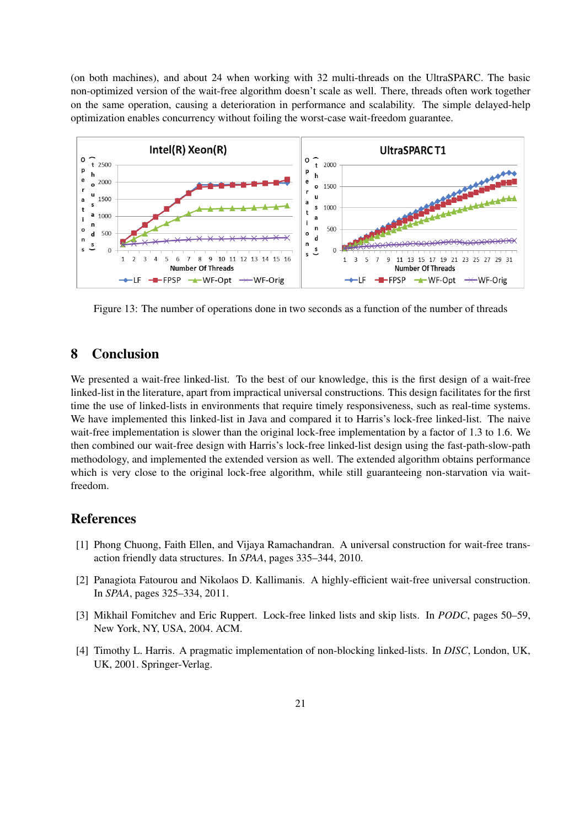(on both machines), and about 24 when working with 32 multi-threads on the UltraSPARC. The basic non-optimized version of the wait-free algorithm doesn't scale as well. There, threads often work together on the same operation, causing a deterioration in performance and scalability. The simple delayed-help optimization enables concurrency without foiling the worst-case wait-freedom guarantee.



Figure 13: The number of operations done in two seconds as a function of the number of threads

## 8 Conclusion

We presented a wait-free linked-list. To the best of our knowledge, this is the first design of a wait-free linked-list in the literature, apart from impractical universal constructions. This design facilitates for the first time the use of linked-lists in environments that require timely responsiveness, such as real-time systems. We have implemented this linked-list in Java and compared it to Harris's lock-free linked-list. The naive wait-free implementation is slower than the original lock-free implementation by a factor of 1.3 to 1.6. We then combined our wait-free design with Harris's lock-free linked-list design using the fast-path-slow-path methodology, and implemented the extended version as well. The extended algorithm obtains performance which is very close to the original lock-free algorithm, while still guaranteeing non-starvation via waitfreedom.

## References

- [1] Phong Chuong, Faith Ellen, and Vijaya Ramachandran. A universal construction for wait-free transaction friendly data structures. In *SPAA*, pages 335–344, 2010.
- [2] Panagiota Fatourou and Nikolaos D. Kallimanis. A highly-efficient wait-free universal construction. In *SPAA*, pages 325–334, 2011.
- [3] Mikhail Fomitchev and Eric Ruppert. Lock-free linked lists and skip lists. In *PODC*, pages 50–59, New York, NY, USA, 2004. ACM.
- [4] Timothy L. Harris. A pragmatic implementation of non-blocking linked-lists. In *DISC*, London, UK, UK, 2001. Springer-Verlag.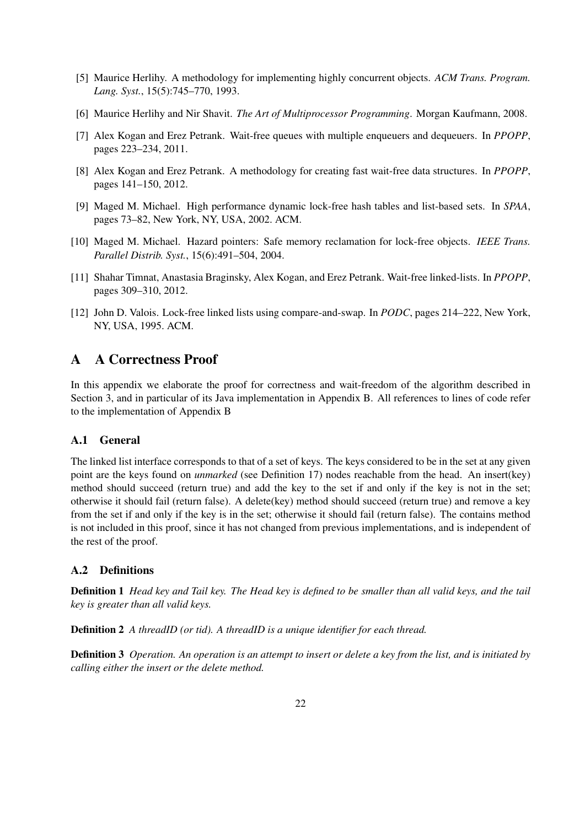- [5] Maurice Herlihy. A methodology for implementing highly concurrent objects. *ACM Trans. Program. Lang. Syst.*, 15(5):745–770, 1993.
- [6] Maurice Herlihy and Nir Shavit. *The Art of Multiprocessor Programming*. Morgan Kaufmann, 2008.
- [7] Alex Kogan and Erez Petrank. Wait-free queues with multiple enqueuers and dequeuers. In *PPOPP*, pages 223–234, 2011.
- [8] Alex Kogan and Erez Petrank. A methodology for creating fast wait-free data structures. In *PPOPP*, pages 141–150, 2012.
- [9] Maged M. Michael. High performance dynamic lock-free hash tables and list-based sets. In *SPAA*, pages 73–82, New York, NY, USA, 2002. ACM.
- [10] Maged M. Michael. Hazard pointers: Safe memory reclamation for lock-free objects. *IEEE Trans. Parallel Distrib. Syst.*, 15(6):491–504, 2004.
- [11] Shahar Timnat, Anastasia Braginsky, Alex Kogan, and Erez Petrank. Wait-free linked-lists. In *PPOPP*, pages 309–310, 2012.
- [12] John D. Valois. Lock-free linked lists using compare-and-swap. In *PODC*, pages 214–222, New York, NY, USA, 1995. ACM.

## A A Correctness Proof

In this appendix we elaborate the proof for correctness and wait-freedom of the algorithm described in Section 3, and in particular of its Java implementation in Appendix B. All references to lines of code refer to the implementation of Appendix B

#### A.1 General

The linked list interface corresponds to that of a set of keys. The keys considered to be in the set at any given point are the keys found on *unmarked* (see Definition 17) nodes reachable from the head. An insert(key) method should succeed (return true) and add the key to the set if and only if the key is not in the set; otherwise it should fail (return false). A delete(key) method should succeed (return true) and remove a key from the set if and only if the key is in the set; otherwise it should fail (return false). The contains method is not included in this proof, since it has not changed from previous implementations, and is independent of the rest of the proof.

#### A.2 Definitions

Definition 1 *Head key and Tail key. The Head key is defined to be smaller than all valid keys, and the tail key is greater than all valid keys.*

Definition 2 *A threadID (or tid). A threadID is a unique identifier for each thread.*

Definition 3 *Operation. An operation is an attempt to insert or delete a key from the list, and is initiated by calling either the insert or the delete method.*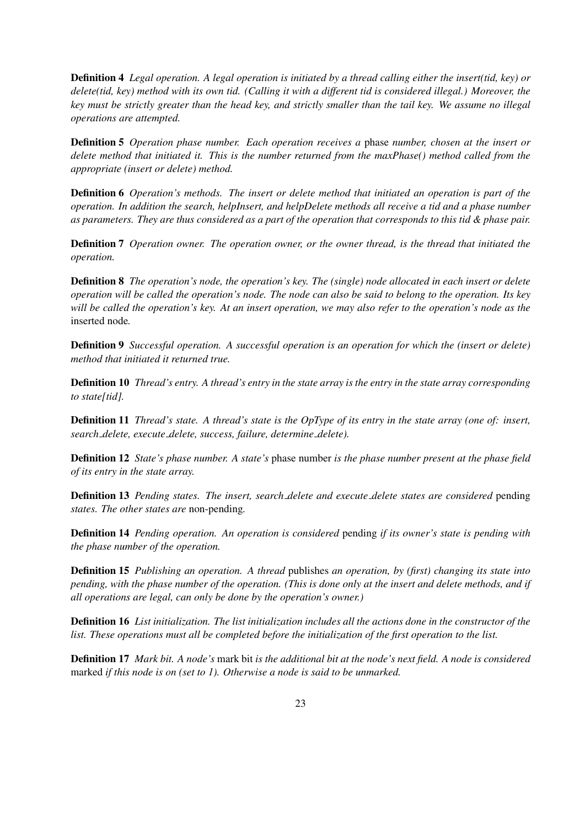Definition 4 *Legal operation. A legal operation is initiated by a thread calling either the insert(tid, key) or delete(tid, key) method with its own tid. (Calling it with a different tid is considered illegal.) Moreover, the key must be strictly greater than the head key, and strictly smaller than the tail key. We assume no illegal operations are attempted.*

Definition 5 *Operation phase number. Each operation receives a* phase *number, chosen at the insert or delete method that initiated it. This is the number returned from the maxPhase() method called from the appropriate (insert or delete) method.*

Definition 6 *Operation's methods. The insert or delete method that initiated an operation is part of the operation. In addition the search, helpInsert, and helpDelete methods all receive a tid and a phase number as parameters. They are thus considered as a part of the operation that corresponds to this tid & phase pair.*

Definition 7 *Operation owner. The operation owner, or the owner thread, is the thread that initiated the operation.*

Definition 8 *The operation's node, the operation's key. The (single) node allocated in each insert or delete operation will be called the operation's node. The node can also be said to belong to the operation. Its key will be called the operation's key. At an insert operation, we may also refer to the operation's node as the* inserted node*.*

Definition 9 *Successful operation. A successful operation is an operation for which the (insert or delete) method that initiated it returned true.*

Definition 10 *Thread's entry. A thread's entry in the state array is the entry in the state array corresponding to state[tid].*

Definition 11 *Thread's state. A thread's state is the OpType of its entry in the state array (one of: insert, search delete, execute delete, success, failure, determine delete).*

Definition 12 *State's phase number. A state's* phase number *is the phase number present at the phase field of its entry in the state array.*

Definition 13 *Pending states. The insert, search delete and execute delete states are considered* pending *states. The other states are* non-pending*.*

Definition 14 *Pending operation. An operation is considered* pending *if its owner's state is pending with the phase number of the operation.*

Definition 15 *Publishing an operation. A thread* publishes *an operation, by (first) changing its state into pending, with the phase number of the operation. (This is done only at the insert and delete methods, and if all operations are legal, can only be done by the operation's owner.)*

Definition 16 *List initialization. The list initialization includes all the actions done in the constructor of the list. These operations must all be completed before the initialization of the first operation to the list.*

Definition 17 *Mark bit. A node's* mark bit *is the additional bit at the node's next field. A node is considered* marked *if this node is on (set to 1). Otherwise a node is said to be unmarked.*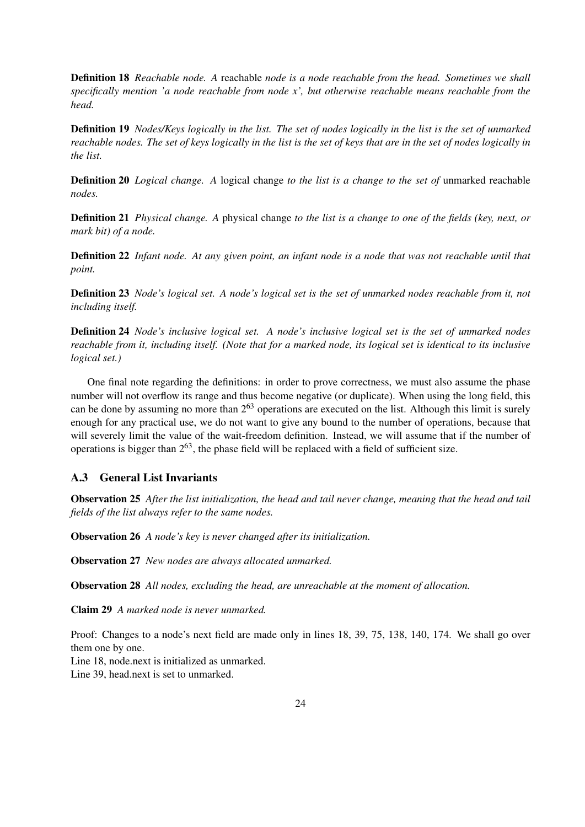Definition 18 *Reachable node. A* reachable *node is a node reachable from the head. Sometimes we shall specifically mention 'a node reachable from node x', but otherwise reachable means reachable from the head.*

Definition 19 *Nodes/Keys logically in the list. The set of nodes logically in the list is the set of unmarked reachable nodes. The set of keys logically in the list is the set of keys that are in the set of nodes logically in the list.*

Definition 20 *Logical change. A* logical change *to the list is a change to the set of* unmarked reachable *nodes.*

Definition 21 *Physical change. A* physical change *to the list is a change to one of the fields (key, next, or mark bit) of a node.*

Definition 22 *Infant node. At any given point, an infant node is a node that was not reachable until that point.*

Definition 23 *Node's logical set. A node's logical set is the set of unmarked nodes reachable from it, not including itself.*

Definition 24 *Node's inclusive logical set. A node's inclusive logical set is the set of unmarked nodes reachable from it, including itself. (Note that for a marked node, its logical set is identical to its inclusive logical set.)*

One final note regarding the definitions: in order to prove correctness, we must also assume the phase number will not overflow its range and thus become negative (or duplicate). When using the long field, this can be done by assuming no more than  $2^{63}$  operations are executed on the list. Although this limit is surely enough for any practical use, we do not want to give any bound to the number of operations, because that will severely limit the value of the wait-freedom definition. Instead, we will assume that if the number of operations is bigger than  $2^{63}$ , the phase field will be replaced with a field of sufficient size.

### A.3 General List Invariants

Observation 25 *After the list initialization, the head and tail never change, meaning that the head and tail fields of the list always refer to the same nodes.*

Observation 26 *A node's key is never changed after its initialization.*

Observation 27 *New nodes are always allocated unmarked.*

Observation 28 *All nodes, excluding the head, are unreachable at the moment of allocation.*

Claim 29 *A marked node is never unmarked.*

Proof: Changes to a node's next field are made only in lines 18, 39, 75, 138, 140, 174. We shall go over them one by one.

Line 18, node.next is initialized as unmarked.

Line 39, head.next is set to unmarked.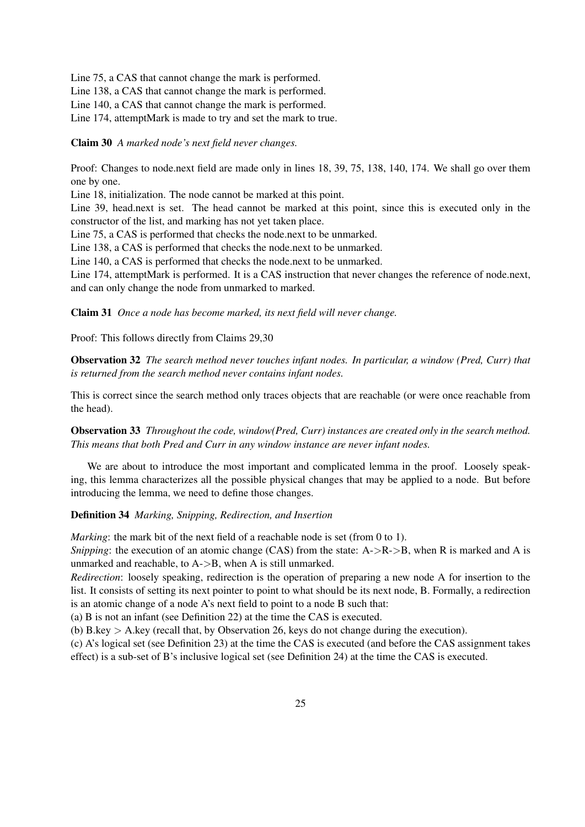Line 75, a CAS that cannot change the mark is performed. Line 138, a CAS that cannot change the mark is performed. Line 140, a CAS that cannot change the mark is performed. Line 174, attemptMark is made to try and set the mark to true.

Claim 30 *A marked node's next field never changes.*

Proof: Changes to node.next field are made only in lines 18, 39, 75, 138, 140, 174. We shall go over them one by one.

Line 18, initialization. The node cannot be marked at this point.

Line 39, head.next is set. The head cannot be marked at this point, since this is executed only in the constructor of the list, and marking has not yet taken place.

Line 75, a CAS is performed that checks the node.next to be unmarked.

Line 138, a CAS is performed that checks the node.next to be unmarked.

Line 140, a CAS is performed that checks the node.next to be unmarked.

Line 174, attemptMark is performed. It is a CAS instruction that never changes the reference of node.next, and can only change the node from unmarked to marked.

Claim 31 *Once a node has become marked, its next field will never change.*

Proof: This follows directly from Claims 29,30

Observation 32 *The search method never touches infant nodes. In particular, a window (Pred, Curr) that is returned from the search method never contains infant nodes.*

This is correct since the search method only traces objects that are reachable (or were once reachable from the head).

Observation 33 *Throughout the code, window(Pred, Curr) instances are created only in the search method. This means that both Pred and Curr in any window instance are never infant nodes.*

We are about to introduce the most important and complicated lemma in the proof. Loosely speaking, this lemma characterizes all the possible physical changes that may be applied to a node. But before introducing the lemma, we need to define those changes.

#### Definition 34 *Marking, Snipping, Redirection, and Insertion*

*Marking*: the mark bit of the next field of a reachable node is set (from 0 to 1).

*Snipping*: the execution of an atomic change (CAS) from the state: A- $\geq$ R- $\geq$ B, when R is marked and A is unmarked and reachable, to A-*>*B, when A is still unmarked.

*Redirection*: loosely speaking, redirection is the operation of preparing a new node A for insertion to the list. It consists of setting its next pointer to point to what should be its next node, B. Formally, a redirection is an atomic change of a node A's next field to point to a node B such that:

(a) B is not an infant (see Definition 22) at the time the CAS is executed.

(b) B.key *>* A.key (recall that, by Observation 26, keys do not change during the execution).

(c) A's logical set (see Definition 23) at the time the CAS is executed (and before the CAS assignment takes effect) is a sub-set of B's inclusive logical set (see Definition 24) at the time the CAS is executed.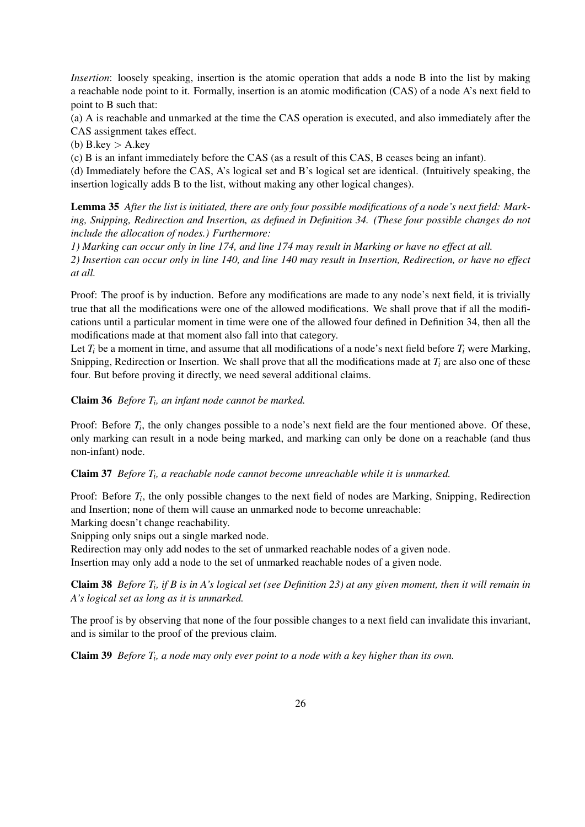*Insertion*: loosely speaking, insertion is the atomic operation that adds a node B into the list by making a reachable node point to it. Formally, insertion is an atomic modification (CAS) of a node A's next field to point to B such that:

(a) A is reachable and unmarked at the time the CAS operation is executed, and also immediately after the CAS assignment takes effect.

(b) B.key *>* A.key

(c) B is an infant immediately before the CAS (as a result of this CAS, B ceases being an infant).

(d) Immediately before the CAS, A's logical set and B's logical set are identical. (Intuitively speaking, the insertion logically adds B to the list, without making any other logical changes).

Lemma 35 *After the list is initiated, there are only four possible modifications of a node's next field: Marking, Snipping, Redirection and Insertion, as defined in Definition 34. (These four possible changes do not include the allocation of nodes.) Furthermore:*

*1) Marking can occur only in line 174, and line 174 may result in Marking or have no effect at all. 2) Insertion can occur only in line 140, and line 140 may result in Insertion, Redirection, or have no effect at all.*

Proof: The proof is by induction. Before any modifications are made to any node's next field, it is trivially true that all the modifications were one of the allowed modifications. We shall prove that if all the modifications until a particular moment in time were one of the allowed four defined in Definition 34, then all the modifications made at that moment also fall into that category.

Let  $T_i$  be a moment in time, and assume that all modifications of a node's next field before  $T_i$  were Marking, Snipping, Redirection or Insertion. We shall prove that all the modifications made at  $T_i$  are also one of these four. But before proving it directly, we need several additional claims.

Claim 36 *Before T<sup>i</sup> , an infant node cannot be marked.*

Proof: Before  $T_i$ , the only changes possible to a node's next field are the four mentioned above. Of these, only marking can result in a node being marked, and marking can only be done on a reachable (and thus non-infant) node.

Claim 37 *Before T<sup>i</sup> , a reachable node cannot become unreachable while it is unmarked.*

Proof: Before  $T_i$ , the only possible changes to the next field of nodes are Marking, Snipping, Redirection and Insertion; none of them will cause an unmarked node to become unreachable:

Marking doesn't change reachability.

Snipping only snips out a single marked node.

Redirection may only add nodes to the set of unmarked reachable nodes of a given node. Insertion may only add a node to the set of unmarked reachable nodes of a given node.

Claim 38 *Before T<sup>i</sup> , if B is in A's logical set (see Definition 23) at any given moment, then it will remain in A's logical set as long as it is unmarked.*

The proof is by observing that none of the four possible changes to a next field can invalidate this invariant, and is similar to the proof of the previous claim.

Claim 39 *Before T<sup>i</sup> , a node may only ever point to a node with a key higher than its own.*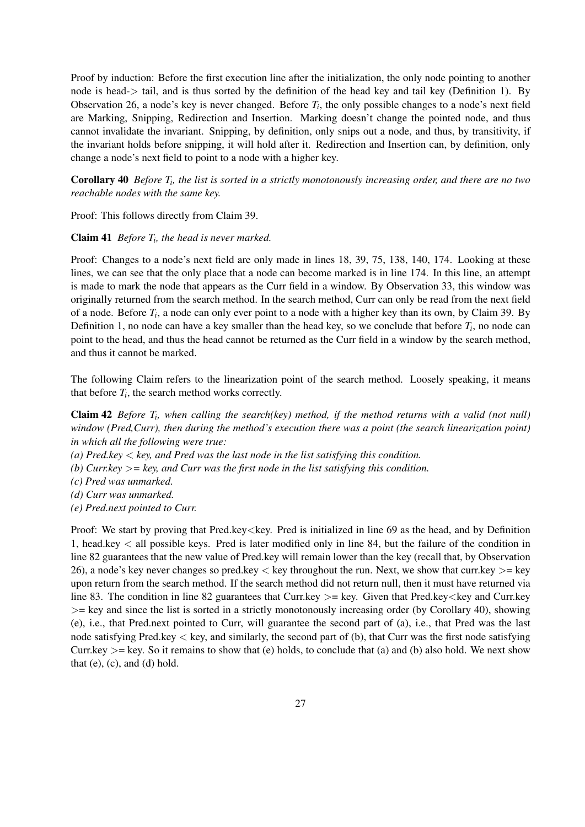Proof by induction: Before the first execution line after the initialization, the only node pointing to another node is head-*>* tail, and is thus sorted by the definition of the head key and tail key (Definition 1). By Observation 26, a node's key is never changed. Before  $T_i$ , the only possible changes to a node's next field are Marking, Snipping, Redirection and Insertion. Marking doesn't change the pointed node, and thus cannot invalidate the invariant. Snipping, by definition, only snips out a node, and thus, by transitivity, if the invariant holds before snipping, it will hold after it. Redirection and Insertion can, by definition, only change a node's next field to point to a node with a higher key.

**Corollary 40** *Before T<sub>i</sub>, the list is sorted in a strictly monotonously increasing order, and there are no two reachable nodes with the same key.*

Proof: This follows directly from Claim 39.

**Claim 41** *Before*  $T_i$ *, the head is never marked.* 

Proof: Changes to a node's next field are only made in lines 18, 39, 75, 138, 140, 174. Looking at these lines, we can see that the only place that a node can become marked is in line 174. In this line, an attempt is made to mark the node that appears as the Curr field in a window. By Observation 33, this window was originally returned from the search method. In the search method, Curr can only be read from the next field of a node. Before *T<sup>i</sup>* , a node can only ever point to a node with a higher key than its own, by Claim 39. By Definition 1, no node can have a key smaller than the head key, so we conclude that before *T<sup>i</sup>* , no node can point to the head, and thus the head cannot be returned as the Curr field in a window by the search method, and thus it cannot be marked.

The following Claim refers to the linearization point of the search method. Loosely speaking, it means that before  $T_i$ , the search method works correctly.

Claim 42 *Before*  $T_i$ , when calling the search(key) method, if the method returns with a valid (not null) *window (Pred,Curr), then during the method's execution there was a point (the search linearization point) in which all the following were true:*

*(a) Pred.key < key, and Pred was the last node in the list satisfying this condition.*

*(b) Curr.key >= key, and Curr was the first node in the list satisfying this condition.*

*(c) Pred was unmarked.*

*(d) Curr was unmarked.*

*(e) Pred.next pointed to Curr.*

Proof: We start by proving that Pred.key*<*key. Pred is initialized in line 69 as the head, and by Definition 1, head.key *<* all possible keys. Pred is later modified only in line 84, but the failure of the condition in line 82 guarantees that the new value of Pred.key will remain lower than the key (recall that, by Observation 26), a node's key never changes so pred.key *<* key throughout the run. Next, we show that curr.key *>*= key upon return from the search method. If the search method did not return null, then it must have returned via line 83. The condition in line 82 guarantees that Curr.key *>*= key. Given that Pred.key*<*key and Curr.key *>*= key and since the list is sorted in a strictly monotonously increasing order (by Corollary 40), showing (e), i.e., that Pred.next pointed to Curr, will guarantee the second part of (a), i.e., that Pred was the last node satisfying Pred.key *<* key, and similarly, the second part of (b), that Curr was the first node satisfying Curr.key  $>=$  key. So it remains to show that (e) holds, to conclude that (a) and (b) also hold. We next show that  $(e)$ ,  $(c)$ , and  $(d)$  hold.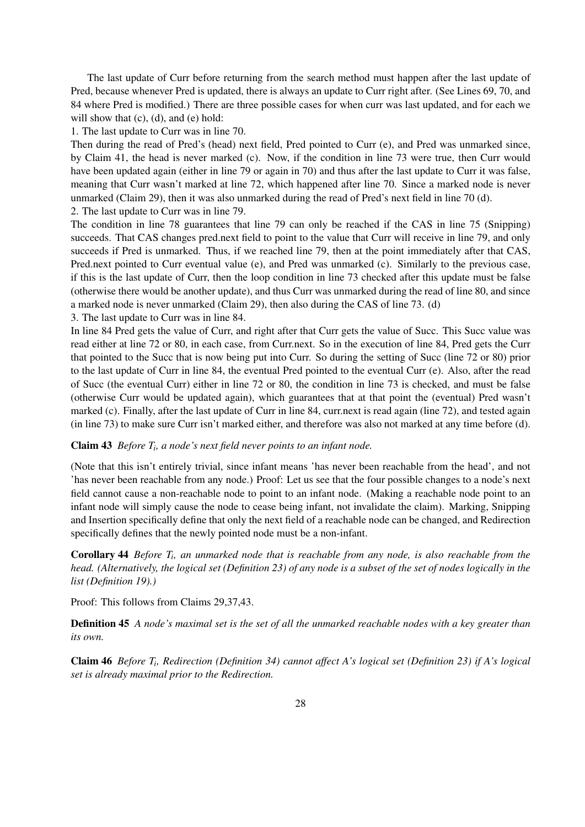The last update of Curr before returning from the search method must happen after the last update of Pred, because whenever Pred is updated, there is always an update to Curr right after. (See Lines 69, 70, and 84 where Pred is modified.) There are three possible cases for when curr was last updated, and for each we will show that  $(c)$ ,  $(d)$ , and  $(e)$  hold:

1. The last update to Curr was in line 70.

Then during the read of Pred's (head) next field, Pred pointed to Curr (e), and Pred was unmarked since, by Claim 41, the head is never marked (c). Now, if the condition in line 73 were true, then Curr would have been updated again (either in line 79 or again in 70) and thus after the last update to Curr it was false, meaning that Curr wasn't marked at line 72, which happened after line 70. Since a marked node is never unmarked (Claim 29), then it was also unmarked during the read of Pred's next field in line 70 (d).

2. The last update to Curr was in line 79.

The condition in line 78 guarantees that line 79 can only be reached if the CAS in line 75 (Snipping) succeeds. That CAS changes pred.next field to point to the value that Curr will receive in line 79, and only succeeds if Pred is unmarked. Thus, if we reached line 79, then at the point immediately after that CAS, Pred.next pointed to Curr eventual value (e), and Pred was unmarked (c). Similarly to the previous case, if this is the last update of Curr, then the loop condition in line 73 checked after this update must be false (otherwise there would be another update), and thus Curr was unmarked during the read of line 80, and since a marked node is never unmarked (Claim 29), then also during the CAS of line 73. (d)

3. The last update to Curr was in line 84.

In line 84 Pred gets the value of Curr, and right after that Curr gets the value of Succ. This Succ value was read either at line 72 or 80, in each case, from Curr.next. So in the execution of line 84, Pred gets the Curr that pointed to the Succ that is now being put into Curr. So during the setting of Succ (line 72 or 80) prior to the last update of Curr in line 84, the eventual Pred pointed to the eventual Curr (e). Also, after the read of Succ (the eventual Curr) either in line 72 or 80, the condition in line 73 is checked, and must be false (otherwise Curr would be updated again), which guarantees that at that point the (eventual) Pred wasn't marked (c). Finally, after the last update of Curr in line 84, curr.next is read again (line 72), and tested again (in line 73) to make sure Curr isn't marked either, and therefore was also not marked at any time before (d).

#### Claim 43 *Before T<sup>i</sup> , a node's next field never points to an infant node.*

(Note that this isn't entirely trivial, since infant means 'has never been reachable from the head', and not 'has never been reachable from any node.) Proof: Let us see that the four possible changes to a node's next field cannot cause a non-reachable node to point to an infant node. (Making a reachable node point to an infant node will simply cause the node to cease being infant, not invalidate the claim). Marking, Snipping and Insertion specifically define that only the next field of a reachable node can be changed, and Redirection specifically defines that the newly pointed node must be a non-infant.

**Corollary 44** *Before T<sub>i</sub>, an unmarked node that is reachable from any node, is also reachable from the head. (Alternatively, the logical set (Definition 23) of any node is a subset of the set of nodes logically in the list (Definition 19).)*

Proof: This follows from Claims 29,37,43.

Definition 45 *A node's maximal set is the set of all the unmarked reachable nodes with a key greater than its own.*

Claim 46 *Before T<sup>i</sup> , Redirection (Definition 34) cannot affect A's logical set (Definition 23) if A's logical set is already maximal prior to the Redirection.*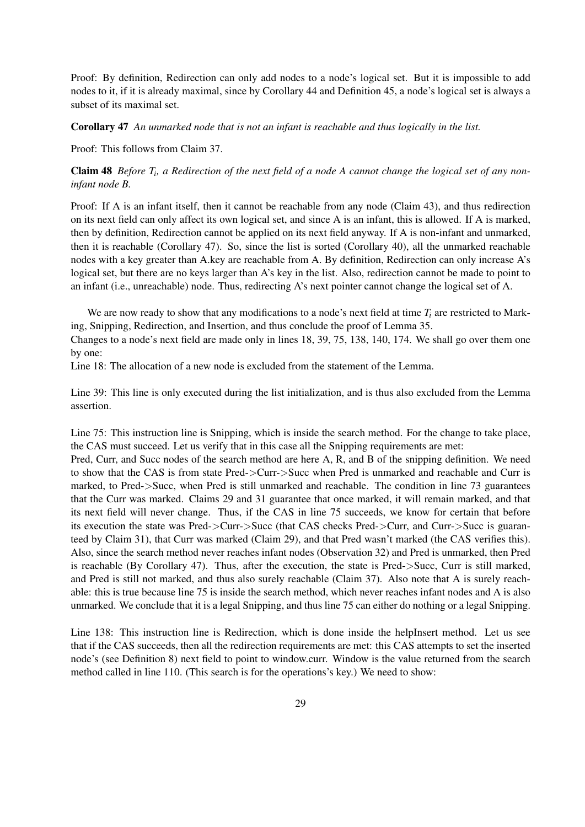Proof: By definition, Redirection can only add nodes to a node's logical set. But it is impossible to add nodes to it, if it is already maximal, since by Corollary 44 and Definition 45, a node's logical set is always a subset of its maximal set.

Corollary 47 *An unmarked node that is not an infant is reachable and thus logically in the list.*

Proof: This follows from Claim 37.

Claim 48 *Before*  $T_i$ , a Redirection of the next field of a node A cannot change the logical set of any non*infant node B.*

Proof: If A is an infant itself, then it cannot be reachable from any node (Claim 43), and thus redirection on its next field can only affect its own logical set, and since A is an infant, this is allowed. If A is marked, then by definition, Redirection cannot be applied on its next field anyway. If A is non-infant and unmarked, then it is reachable (Corollary 47). So, since the list is sorted (Corollary 40), all the unmarked reachable nodes with a key greater than A.key are reachable from A. By definition, Redirection can only increase A's logical set, but there are no keys larger than A's key in the list. Also, redirection cannot be made to point to an infant (i.e., unreachable) node. Thus, redirecting A's next pointer cannot change the logical set of A.

We are now ready to show that any modifications to a node's next field at time  $T_i$  are restricted to Marking, Snipping, Redirection, and Insertion, and thus conclude the proof of Lemma 35.

Changes to a node's next field are made only in lines 18, 39, 75, 138, 140, 174. We shall go over them one by one:

Line 18: The allocation of a new node is excluded from the statement of the Lemma.

Line 39: This line is only executed during the list initialization, and is thus also excluded from the Lemma assertion.

Line 75: This instruction line is Snipping, which is inside the search method. For the change to take place, the CAS must succeed. Let us verify that in this case all the Snipping requirements are met:

Pred, Curr, and Succ nodes of the search method are here A, R, and B of the snipping definition. We need to show that the CAS is from state Pred-*>*Curr-*>*Succ when Pred is unmarked and reachable and Curr is marked, to Pred-*>*Succ, when Pred is still unmarked and reachable. The condition in line 73 guarantees that the Curr was marked. Claims 29 and 31 guarantee that once marked, it will remain marked, and that its next field will never change. Thus, if the CAS in line 75 succeeds, we know for certain that before its execution the state was Pred-*>*Curr-*>*Succ (that CAS checks Pred-*>*Curr, and Curr-*>*Succ is guaranteed by Claim 31), that Curr was marked (Claim 29), and that Pred wasn't marked (the CAS verifies this). Also, since the search method never reaches infant nodes (Observation 32) and Pred is unmarked, then Pred is reachable (By Corollary 47). Thus, after the execution, the state is Pred-*>*Succ, Curr is still marked, and Pred is still not marked, and thus also surely reachable (Claim 37). Also note that A is surely reachable: this is true because line 75 is inside the search method, which never reaches infant nodes and A is also unmarked. We conclude that it is a legal Snipping, and thus line 75 can either do nothing or a legal Snipping.

Line 138: This instruction line is Redirection, which is done inside the helpInsert method. Let us see that if the CAS succeeds, then all the redirection requirements are met: this CAS attempts to set the inserted node's (see Definition 8) next field to point to window.curr. Window is the value returned from the search method called in line 110. (This search is for the operations's key.) We need to show: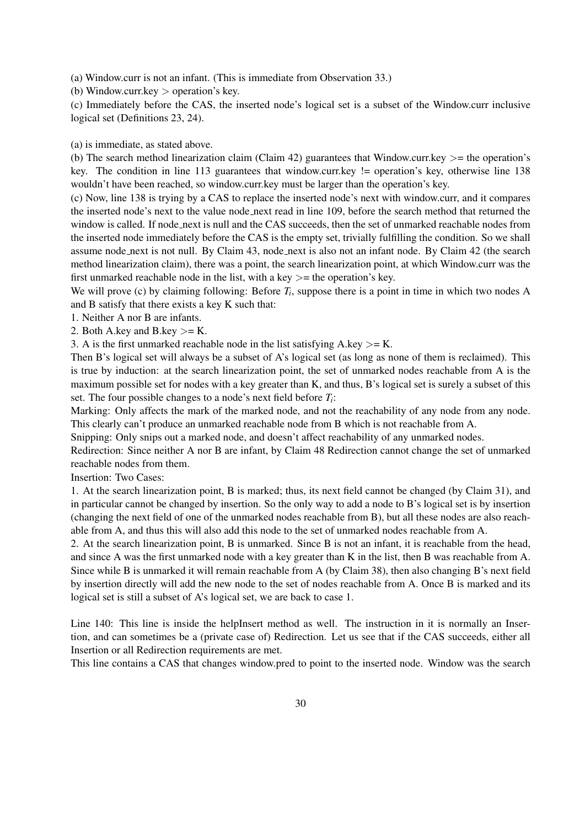(a) Window.curr is not an infant. (This is immediate from Observation 33.)

(b) Window.curr.key *>* operation's key.

(c) Immediately before the CAS, the inserted node's logical set is a subset of the Window.curr inclusive logical set (Definitions 23, 24).

(a) is immediate, as stated above.

(b) The search method linearization claim (Claim 42) guarantees that Window.curr.key *>*= the operation's key. The condition in line 113 guarantees that window.curr.key != operation's key, otherwise line 138 wouldn't have been reached, so window.curr.key must be larger than the operation's key.

(c) Now, line 138 is trying by a CAS to replace the inserted node's next with window.curr, and it compares the inserted node's next to the value node next read in line 109, before the search method that returned the window is called. If node next is null and the CAS succeeds, then the set of unmarked reachable nodes from the inserted node immediately before the CAS is the empty set, trivially fulfilling the condition. So we shall assume node next is not null. By Claim 43, node next is also not an infant node. By Claim 42 (the search method linearization claim), there was a point, the search linearization point, at which Window.curr was the first unmarked reachable node in the list, with a key *>*= the operation's key.

We will prove (c) by claiming following: Before  $T_i$ , suppose there is a point in time in which two nodes A and B satisfy that there exists a key K such that:

1. Neither A nor B are infants.

2. Both A.key and B.key *>*= K.

3. A is the first unmarked reachable node in the list satisfying A.key  $>= K$ .

Then B's logical set will always be a subset of A's logical set (as long as none of them is reclaimed). This is true by induction: at the search linearization point, the set of unmarked nodes reachable from A is the maximum possible set for nodes with a key greater than K, and thus, B's logical set is surely a subset of this set. The four possible changes to a node's next field before *T<sup>i</sup>* :

Marking: Only affects the mark of the marked node, and not the reachability of any node from any node. This clearly can't produce an unmarked reachable node from B which is not reachable from A.

Snipping: Only snips out a marked node, and doesn't affect reachability of any unmarked nodes.

Redirection: Since neither A nor B are infant, by Claim 48 Redirection cannot change the set of unmarked reachable nodes from them.

Insertion: Two Cases:

1. At the search linearization point, B is marked; thus, its next field cannot be changed (by Claim 31), and in particular cannot be changed by insertion. So the only way to add a node to B's logical set is by insertion (changing the next field of one of the unmarked nodes reachable from B), but all these nodes are also reachable from A, and thus this will also add this node to the set of unmarked nodes reachable from A.

2. At the search linearization point, B is unmarked. Since B is not an infant, it is reachable from the head, and since A was the first unmarked node with a key greater than K in the list, then B was reachable from A. Since while B is unmarked it will remain reachable from A (by Claim 38), then also changing B's next field by insertion directly will add the new node to the set of nodes reachable from A. Once B is marked and its logical set is still a subset of A's logical set, we are back to case 1.

Line 140: This line is inside the helpInsert method as well. The instruction in it is normally an Insertion, and can sometimes be a (private case of) Redirection. Let us see that if the CAS succeeds, either all Insertion or all Redirection requirements are met.

This line contains a CAS that changes window.pred to point to the inserted node. Window was the search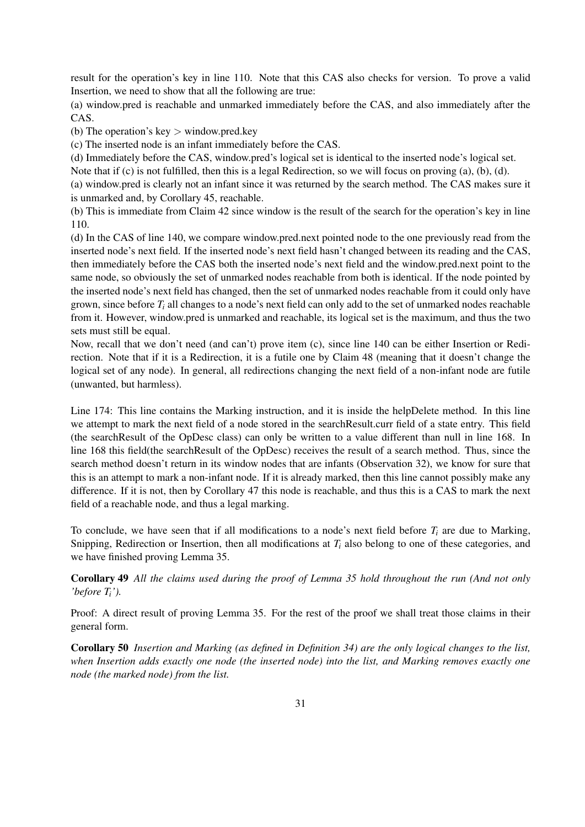result for the operation's key in line 110. Note that this CAS also checks for version. To prove a valid Insertion, we need to show that all the following are true:

(a) window.pred is reachable and unmarked immediately before the CAS, and also immediately after the CAS.

(b) The operation's key *>* window.pred.key

(c) The inserted node is an infant immediately before the CAS.

(d) Immediately before the CAS, window.pred's logical set is identical to the inserted node's logical set.

Note that if (c) is not fulfilled, then this is a legal Redirection, so we will focus on proving (a), (b), (d).

(a) window.pred is clearly not an infant since it was returned by the search method. The CAS makes sure it is unmarked and, by Corollary 45, reachable.

(b) This is immediate from Claim 42 since window is the result of the search for the operation's key in line 110.

(d) In the CAS of line 140, we compare window.pred.next pointed node to the one previously read from the inserted node's next field. If the inserted node's next field hasn't changed between its reading and the CAS, then immediately before the CAS both the inserted node's next field and the window.pred.next point to the same node, so obviously the set of unmarked nodes reachable from both is identical. If the node pointed by the inserted node's next field has changed, then the set of unmarked nodes reachable from it could only have grown, since before *T<sup>i</sup>* all changes to a node's next field can only add to the set of unmarked nodes reachable from it. However, window.pred is unmarked and reachable, its logical set is the maximum, and thus the two sets must still be equal.

Now, recall that we don't need (and can't) prove item (c), since line 140 can be either Insertion or Redirection. Note that if it is a Redirection, it is a futile one by Claim 48 (meaning that it doesn't change the logical set of any node). In general, all redirections changing the next field of a non-infant node are futile (unwanted, but harmless).

Line 174: This line contains the Marking instruction, and it is inside the helpDelete method. In this line we attempt to mark the next field of a node stored in the searchResult.curr field of a state entry. This field (the searchResult of the OpDesc class) can only be written to a value different than null in line 168. In line 168 this field(the searchResult of the OpDesc) receives the result of a search method. Thus, since the search method doesn't return in its window nodes that are infants (Observation 32), we know for sure that this is an attempt to mark a non-infant node. If it is already marked, then this line cannot possibly make any difference. If it is not, then by Corollary 47 this node is reachable, and thus this is a CAS to mark the next field of a reachable node, and thus a legal marking.

To conclude, we have seen that if all modifications to a node's next field before  $T_i$  are due to Marking, Snipping, Redirection or Insertion, then all modifications at *T<sup>i</sup>* also belong to one of these categories, and we have finished proving Lemma 35.

Corollary 49 *All the claims used during the proof of Lemma 35 hold throughout the run (And not only 'before Ti').*

Proof: A direct result of proving Lemma 35. For the rest of the proof we shall treat those claims in their general form.

Corollary 50 *Insertion and Marking (as defined in Definition 34) are the only logical changes to the list, when Insertion adds exactly one node (the inserted node) into the list, and Marking removes exactly one node (the marked node) from the list.*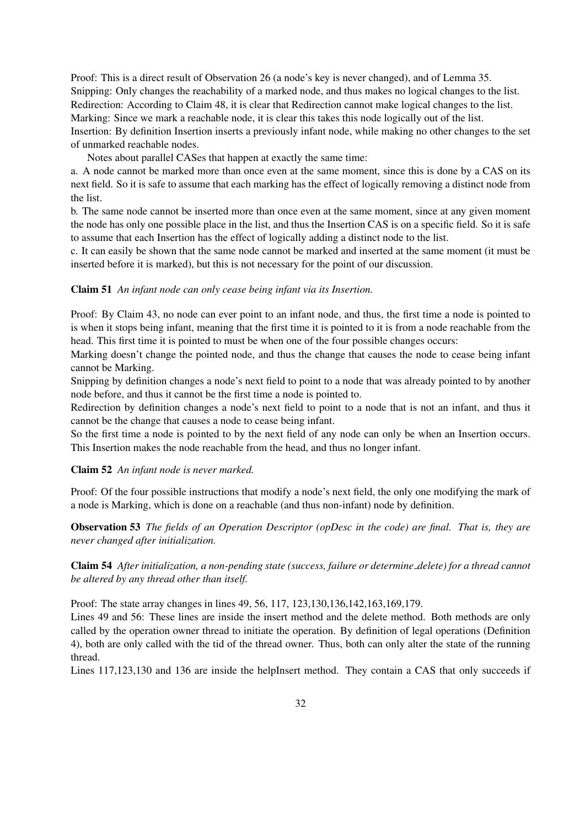Proof: This is a direct result of Observation 26 (a node's key is never changed), and of Lemma 35. Snipping: Only changes the reachability of a marked node, and thus makes no logical changes to the list. Redirection: According to Claim 48, it is clear that Redirection cannot make logical changes to the list. Marking: Since we mark a reachable node, it is clear this takes this node logically out of the list. Insertion: By definition Insertion inserts a previously infant node, while making no other changes to the set of unmarked reachable nodes.

Notes about parallel CASes that happen at exactly the same time:

a. A node cannot be marked more than once even at the same moment, since this is done by a CAS on its next field. So it is safe to assume that each marking has the effect of logically removing a distinct node from the list.

b. The same node cannot be inserted more than once even at the same moment, since at any given moment the node has only one possible place in the list, and thus the Insertion CAS is on a specific field. So it is safe to assume that each Insertion has the effect of logically adding a distinct node to the list.

c. It can easily be shown that the same node cannot be marked and inserted at the same moment (it must be inserted before it is marked), but this is not necessary for the point of our discussion.

#### Claim 51 *An infant node can only cease being infant via its Insertion.*

Proof: By Claim 43, no node can ever point to an infant node, and thus, the first time a node is pointed to is when it stops being infant, meaning that the first time it is pointed to it is from a node reachable from the head. This first time it is pointed to must be when one of the four possible changes occurs:

Marking doesn't change the pointed node, and thus the change that causes the node to cease being infant cannot be Marking.

Snipping by definition changes a node's next field to point to a node that was already pointed to by another node before, and thus it cannot be the first time a node is pointed to.

Redirection by definition changes a node's next field to point to a node that is not an infant, and thus it cannot be the change that causes a node to cease being infant.

So the first time a node is pointed to by the next field of any node can only be when an Insertion occurs. This Insertion makes the node reachable from the head, and thus no longer infant.

#### Claim 52 *An infant node is never marked.*

Proof: Of the four possible instructions that modify a node's next field, the only one modifying the mark of a node is Marking, which is done on a reachable (and thus non-infant) node by definition.

Observation 53 *The fields of an Operation Descriptor (opDesc in the code) are final. That is, they are never changed after initialization.*

Claim 54 *After initialization, a non-pending state (success, failure or determine delete) for a thread cannot be altered by any thread other than itself.*

Proof: The state array changes in lines 49, 56, 117, 123,130,136,142,163,169,179.

Lines 49 and 56: These lines are inside the insert method and the delete method. Both methods are only called by the operation owner thread to initiate the operation. By definition of legal operations (Definition 4), both are only called with the tid of the thread owner. Thus, both can only alter the state of the running thread.

Lines 117,123,130 and 136 are inside the helpInsert method. They contain a CAS that only succeeds if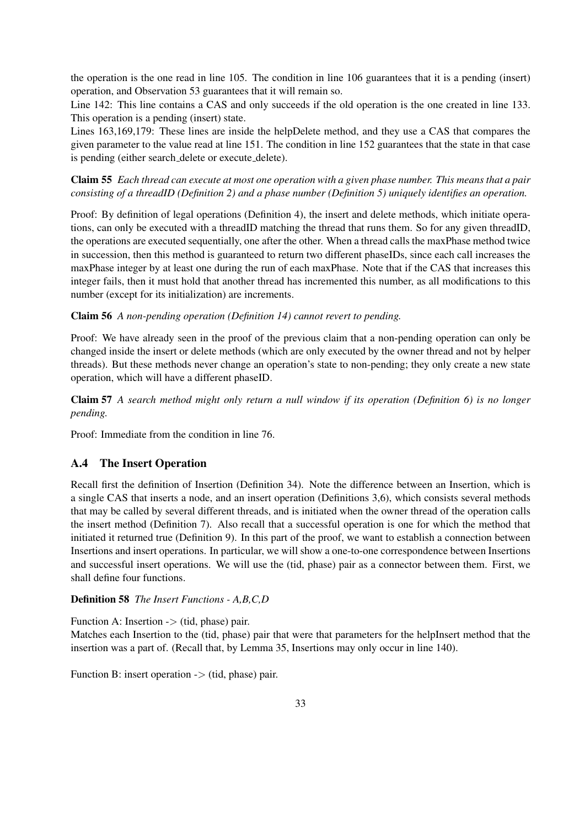the operation is the one read in line 105. The condition in line 106 guarantees that it is a pending (insert) operation, and Observation 53 guarantees that it will remain so.

Line 142: This line contains a CAS and only succeeds if the old operation is the one created in line 133. This operation is a pending (insert) state.

Lines 163,169,179: These lines are inside the helpDelete method, and they use a CAS that compares the given parameter to the value read at line 151. The condition in line 152 guarantees that the state in that case is pending (either search delete or execute delete).

## Claim 55 *Each thread can execute at most one operation with a given phase number. This means that a pair consisting of a threadID (Definition 2) and a phase number (Definition 5) uniquely identifies an operation.*

Proof: By definition of legal operations (Definition 4), the insert and delete methods, which initiate operations, can only be executed with a threadID matching the thread that runs them. So for any given threadID, the operations are executed sequentially, one after the other. When a thread calls the maxPhase method twice in succession, then this method is guaranteed to return two different phaseIDs, since each call increases the maxPhase integer by at least one during the run of each maxPhase. Note that if the CAS that increases this integer fails, then it must hold that another thread has incremented this number, as all modifications to this number (except for its initialization) are increments.

Claim 56 *A non-pending operation (Definition 14) cannot revert to pending.*

Proof: We have already seen in the proof of the previous claim that a non-pending operation can only be changed inside the insert or delete methods (which are only executed by the owner thread and not by helper threads). But these methods never change an operation's state to non-pending; they only create a new state operation, which will have a different phaseID.

Claim 57 *A search method might only return a null window if its operation (Definition 6) is no longer pending.*

Proof: Immediate from the condition in line 76.

## A.4 The Insert Operation

Recall first the definition of Insertion (Definition 34). Note the difference between an Insertion, which is a single CAS that inserts a node, and an insert operation (Definitions 3,6), which consists several methods that may be called by several different threads, and is initiated when the owner thread of the operation calls the insert method (Definition 7). Also recall that a successful operation is one for which the method that initiated it returned true (Definition 9). In this part of the proof, we want to establish a connection between Insertions and insert operations. In particular, we will show a one-to-one correspondence between Insertions and successful insert operations. We will use the (tid, phase) pair as a connector between them. First, we shall define four functions.

## Definition 58 *The Insert Functions - A,B,C,D*

Function A: Insertion -*>* (tid, phase) pair.

Matches each Insertion to the (tid, phase) pair that were that parameters for the helpInsert method that the insertion was a part of. (Recall that, by Lemma 35, Insertions may only occur in line 140).

Function B: insert operation -*>* (tid, phase) pair.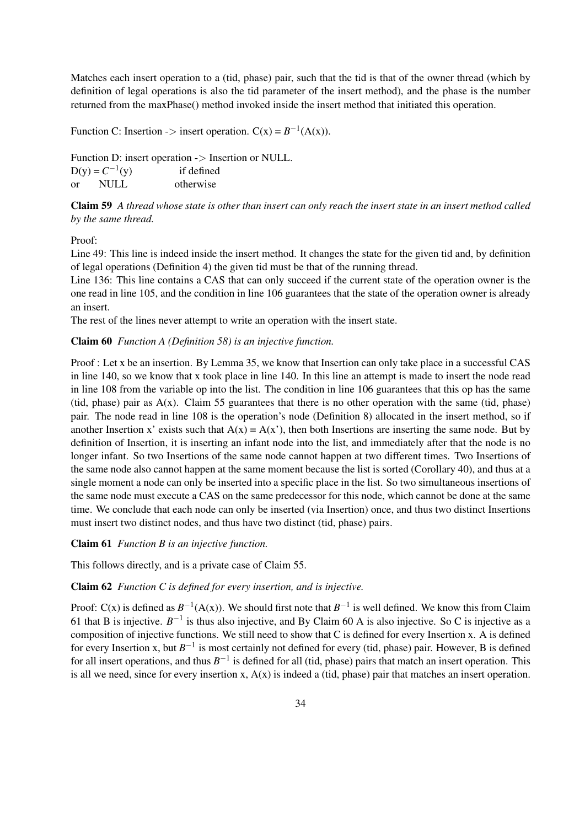Matches each insert operation to a (tid, phase) pair, such that the tid is that of the owner thread (which by definition of legal operations is also the tid parameter of the insert method), and the phase is the number returned from the maxPhase() method invoked inside the insert method that initiated this operation.

Function C: Insertion -> insert operation.  $C(x) = B^{-1}(A(x))$ .

Function D: insert operation -*>* Insertion or NULL.  $D(y) = C^{-1}$ if defined or NULL otherwise

Claim 59 *A thread whose state is other than insert can only reach the insert state in an insert method called by the same thread.*

Proof:

Line 49: This line is indeed inside the insert method. It changes the state for the given tid and, by definition of legal operations (Definition 4) the given tid must be that of the running thread.

Line 136: This line contains a CAS that can only succeed if the current state of the operation owner is the one read in line 105, and the condition in line 106 guarantees that the state of the operation owner is already an insert.

The rest of the lines never attempt to write an operation with the insert state.

#### Claim 60 *Function A (Definition 58) is an injective function.*

Proof : Let x be an insertion. By Lemma 35, we know that Insertion can only take place in a successful CAS in line 140, so we know that x took place in line 140. In this line an attempt is made to insert the node read in line 108 from the variable op into the list. The condition in line 106 guarantees that this op has the same (tid, phase) pair as  $A(x)$ . Claim 55 guarantees that there is no other operation with the same (tid, phase) pair. The node read in line 108 is the operation's node (Definition 8) allocated in the insert method, so if another Insertion x' exists such that  $A(x) = A(x')$ , then both Insertions are inserting the same node. But by definition of Insertion, it is inserting an infant node into the list, and immediately after that the node is no longer infant. So two Insertions of the same node cannot happen at two different times. Two Insertions of the same node also cannot happen at the same moment because the list is sorted (Corollary 40), and thus at a single moment a node can only be inserted into a specific place in the list. So two simultaneous insertions of the same node must execute a CAS on the same predecessor for this node, which cannot be done at the same time. We conclude that each node can only be inserted (via Insertion) once, and thus two distinct Insertions must insert two distinct nodes, and thus have two distinct (tid, phase) pairs.

Claim 61 *Function B is an injective function.*

This follows directly, and is a private case of Claim 55.

### Claim 62 *Function C is defined for every insertion, and is injective.*

Proof:  $C(x)$  is defined as  $B^{-1}(A(x))$ . We should first note that  $B^{-1}$  is well defined. We know this from Claim 61 that B is injective.  $B^{-1}$  is thus also injective, and By Claim 60 A is also injective. So C is injective as a composition of injective functions. We still need to show that C is defined for every Insertion x. A is defined for every Insertion x, but  $B^{-1}$  is most certainly not defined for every (tid, phase) pair. However, B is defined for all insert operations, and thus  $B^{-1}$  is defined for all (tid, phase) pairs that match an insert operation. This is all we need, since for every insertion x,  $A(x)$  is indeed a (tid, phase) pair that matches an insert operation.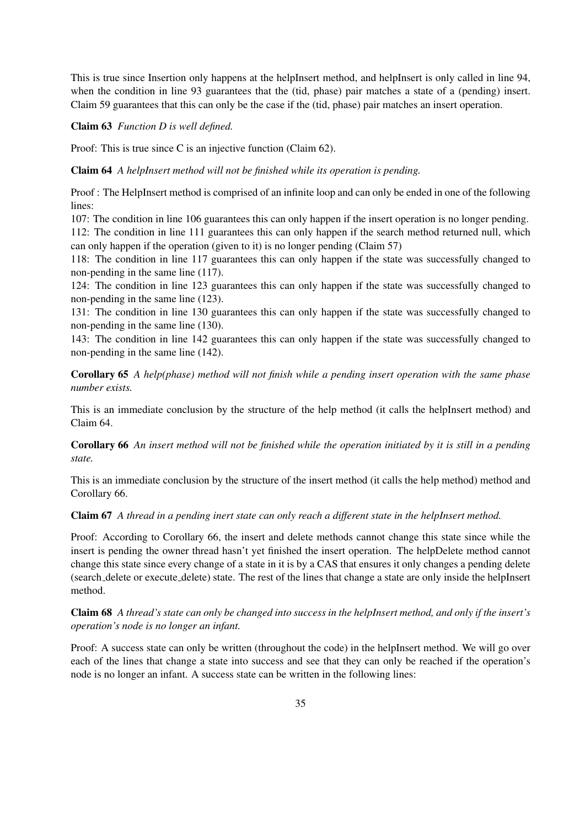This is true since Insertion only happens at the helpInsert method, and helpInsert is only called in line 94, when the condition in line 93 guarantees that the (tid, phase) pair matches a state of a (pending) insert. Claim 59 guarantees that this can only be the case if the (tid, phase) pair matches an insert operation.

Claim 63 *Function D is well defined.*

Proof: This is true since C is an injective function (Claim 62).

Claim 64 *A helpInsert method will not be finished while its operation is pending.*

Proof : The HelpInsert method is comprised of an infinite loop and can only be ended in one of the following lines:

107: The condition in line 106 guarantees this can only happen if the insert operation is no longer pending.

112: The condition in line 111 guarantees this can only happen if the search method returned null, which can only happen if the operation (given to it) is no longer pending (Claim 57)

118: The condition in line 117 guarantees this can only happen if the state was successfully changed to non-pending in the same line (117).

124: The condition in line 123 guarantees this can only happen if the state was successfully changed to non-pending in the same line (123).

131: The condition in line 130 guarantees this can only happen if the state was successfully changed to non-pending in the same line (130).

143: The condition in line 142 guarantees this can only happen if the state was successfully changed to non-pending in the same line (142).

Corollary 65 *A help(phase) method will not finish while a pending insert operation with the same phase number exists.*

This is an immediate conclusion by the structure of the help method (it calls the helpInsert method) and Claim 64.

Corollary 66 *An insert method will not be finished while the operation initiated by it is still in a pending state.*

This is an immediate conclusion by the structure of the insert method (it calls the help method) method and Corollary 66.

Claim 67 *A thread in a pending inert state can only reach a different state in the helpInsert method.*

Proof: According to Corollary 66, the insert and delete methods cannot change this state since while the insert is pending the owner thread hasn't yet finished the insert operation. The helpDelete method cannot change this state since every change of a state in it is by a CAS that ensures it only changes a pending delete (search delete or execute delete) state. The rest of the lines that change a state are only inside the helpInsert method.

Claim 68 *A thread's state can only be changed into success in the helpInsert method, and only if the insert's operation's node is no longer an infant.*

Proof: A success state can only be written (throughout the code) in the helpInsert method. We will go over each of the lines that change a state into success and see that they can only be reached if the operation's node is no longer an infant. A success state can be written in the following lines: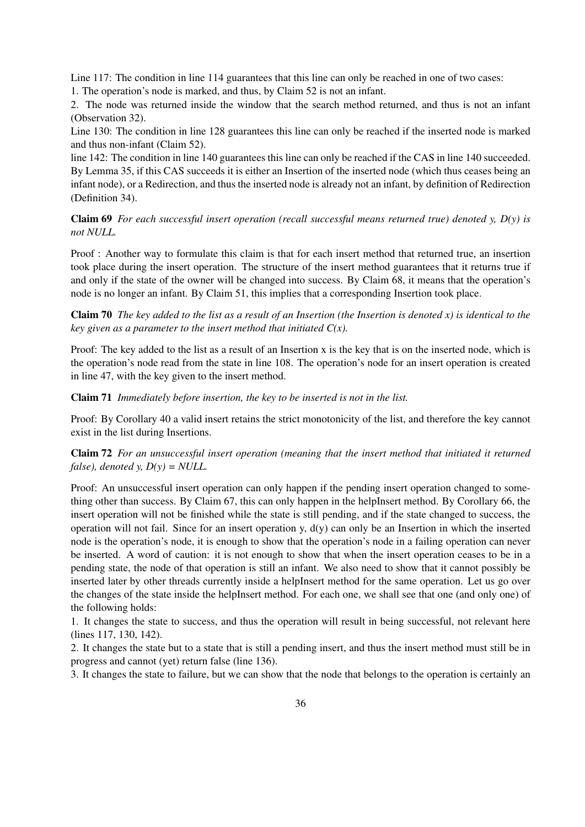Line 117: The condition in line 114 guarantees that this line can only be reached in one of two cases:

1. The operation's node is marked, and thus, by Claim 52 is not an infant.

2. The node was returned inside the window that the search method returned, and thus is not an infant (Observation 32).

Line 130: The condition in line 128 guarantees this line can only be reached if the inserted node is marked and thus non-infant (Claim 52).

line 142: The condition in line 140 guarantees this line can only be reached if the CAS in line 140 succeeded. By Lemma 35, if this CAS succeeds it is either an Insertion of the inserted node (which thus ceases being an infant node), or a Redirection, and thus the inserted node is already not an infant, by definition of Redirection (Definition 34).

Claim 69 *For each successful insert operation (recall successful means returned true) denoted y, D(y) is not NULL.*

Proof : Another way to formulate this claim is that for each insert method that returned true, an insertion took place during the insert operation. The structure of the insert method guarantees that it returns true if and only if the state of the owner will be changed into success. By Claim 68, it means that the operation's node is no longer an infant. By Claim 51, this implies that a corresponding Insertion took place.

Claim 70 *The key added to the list as a result of an Insertion (the Insertion is denoted x) is identical to the key given as a parameter to the insert method that initiated C(x).*

Proof: The key added to the list as a result of an Insertion x is the key that is on the inserted node, which is the operation's node read from the state in line 108. The operation's node for an insert operation is created in line 47, with the key given to the insert method.

Claim 71 *Immediately before insertion, the key to be inserted is not in the list.*

Proof: By Corollary 40 a valid insert retains the strict monotonicity of the list, and therefore the key cannot exist in the list during Insertions.

### Claim 72 *For an unsuccessful insert operation (meaning that the insert method that initiated it returned false), denoted y, D(y) = NULL.*

Proof: An unsuccessful insert operation can only happen if the pending insert operation changed to something other than success. By Claim 67, this can only happen in the helpInsert method. By Corollary 66, the insert operation will not be finished while the state is still pending, and if the state changed to success, the operation will not fail. Since for an insert operation y, d(y) can only be an Insertion in which the inserted node is the operation's node, it is enough to show that the operation's node in a failing operation can never be inserted. A word of caution: it is not enough to show that when the insert operation ceases to be in a pending state, the node of that operation is still an infant. We also need to show that it cannot possibly be inserted later by other threads currently inside a helpInsert method for the same operation. Let us go over the changes of the state inside the helpInsert method. For each one, we shall see that one (and only one) of the following holds:

1. It changes the state to success, and thus the operation will result in being successful, not relevant here (lines 117, 130, 142).

2. It changes the state but to a state that is still a pending insert, and thus the insert method must still be in progress and cannot (yet) return false (line 136).

3. It changes the state to failure, but we can show that the node that belongs to the operation is certainly an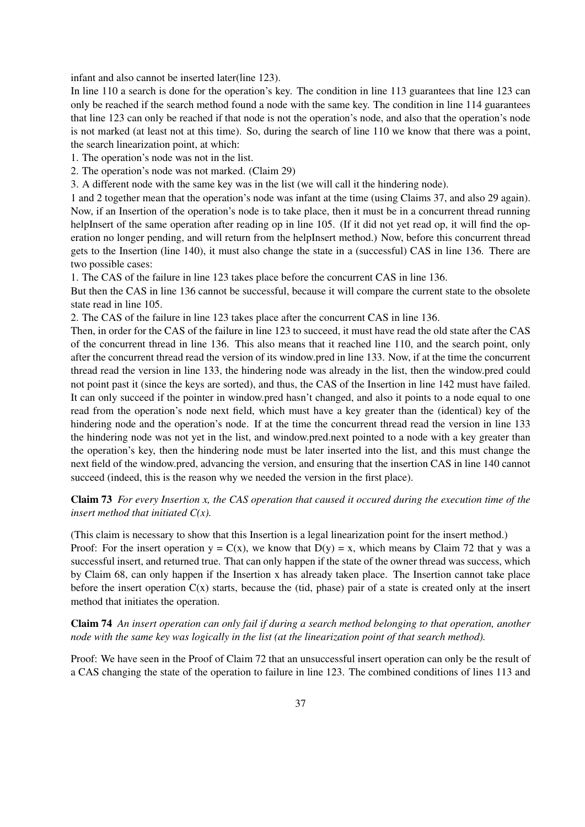infant and also cannot be inserted later(line 123).

In line 110 a search is done for the operation's key. The condition in line 113 guarantees that line 123 can only be reached if the search method found a node with the same key. The condition in line 114 guarantees that line 123 can only be reached if that node is not the operation's node, and also that the operation's node is not marked (at least not at this time). So, during the search of line 110 we know that there was a point, the search linearization point, at which:

1. The operation's node was not in the list.

2. The operation's node was not marked. (Claim 29)

3. A different node with the same key was in the list (we will call it the hindering node).

1 and 2 together mean that the operation's node was infant at the time (using Claims 37, and also 29 again). Now, if an Insertion of the operation's node is to take place, then it must be in a concurrent thread running helpInsert of the same operation after reading op in line 105. (If it did not yet read op, it will find the operation no longer pending, and will return from the helpInsert method.) Now, before this concurrent thread gets to the Insertion (line 140), it must also change the state in a (successful) CAS in line 136. There are two possible cases:

1. The CAS of the failure in line 123 takes place before the concurrent CAS in line 136.

But then the CAS in line 136 cannot be successful, because it will compare the current state to the obsolete state read in line 105.

2. The CAS of the failure in line 123 takes place after the concurrent CAS in line 136.

Then, in order for the CAS of the failure in line 123 to succeed, it must have read the old state after the CAS of the concurrent thread in line 136. This also means that it reached line 110, and the search point, only after the concurrent thread read the version of its window.pred in line 133. Now, if at the time the concurrent thread read the version in line 133, the hindering node was already in the list, then the window.pred could not point past it (since the keys are sorted), and thus, the CAS of the Insertion in line 142 must have failed. It can only succeed if the pointer in window.pred hasn't changed, and also it points to a node equal to one read from the operation's node next field, which must have a key greater than the (identical) key of the hindering node and the operation's node. If at the time the concurrent thread read the version in line 133 the hindering node was not yet in the list, and window.pred.next pointed to a node with a key greater than the operation's key, then the hindering node must be later inserted into the list, and this must change the next field of the window.pred, advancing the version, and ensuring that the insertion CAS in line 140 cannot succeed (indeed, this is the reason why we needed the version in the first place).

Claim 73 *For every Insertion x, the CAS operation that caused it occured during the execution time of the insert method that initiated C(x).*

(This claim is necessary to show that this Insertion is a legal linearization point for the insert method.) Proof: For the insert operation  $y = C(x)$ , we know that  $D(y) = x$ , which means by Claim 72 that y was a successful insert, and returned true. That can only happen if the state of the owner thread was success, which by Claim 68, can only happen if the Insertion x has already taken place. The Insertion cannot take place before the insert operation C(x) starts, because the (tid, phase) pair of a state is created only at the insert method that initiates the operation.

Claim 74 *An insert operation can only fail if during a search method belonging to that operation, another node with the same key was logically in the list (at the linearization point of that search method).*

Proof: We have seen in the Proof of Claim 72 that an unsuccessful insert operation can only be the result of a CAS changing the state of the operation to failure in line 123. The combined conditions of lines 113 and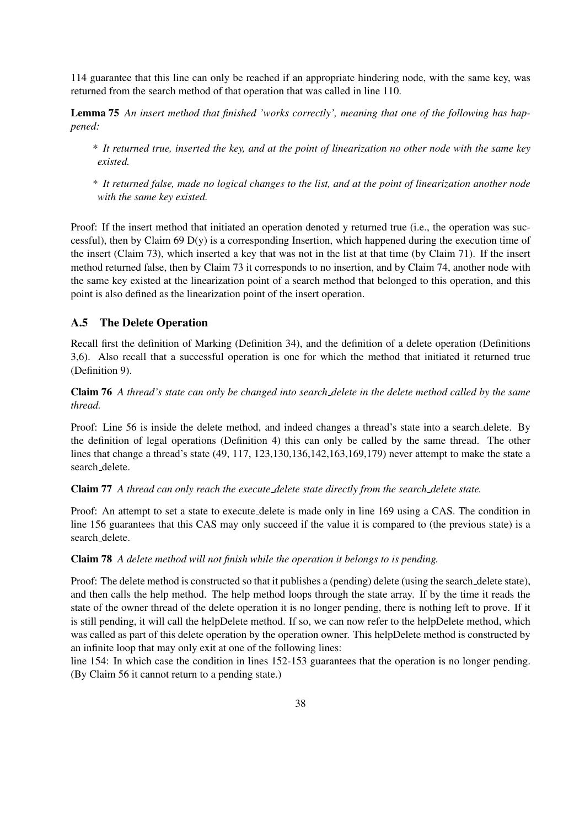114 guarantee that this line can only be reached if an appropriate hindering node, with the same key, was returned from the search method of that operation that was called in line 110.

Lemma 75 *An insert method that finished 'works correctly', meaning that one of the following has happened:*

- *\* It returned true, inserted the key, and at the point of linearization no other node with the same key existed.*
- *\* It returned false, made no logical changes to the list, and at the point of linearization another node with the same key existed.*

Proof: If the insert method that initiated an operation denoted y returned true (i.e., the operation was successful), then by Claim 69 D(y) is a corresponding Insertion, which happened during the execution time of the insert (Claim 73), which inserted a key that was not in the list at that time (by Claim 71). If the insert method returned false, then by Claim 73 it corresponds to no insertion, and by Claim 74, another node with the same key existed at the linearization point of a search method that belonged to this operation, and this point is also defined as the linearization point of the insert operation.

## A.5 The Delete Operation

Recall first the definition of Marking (Definition 34), and the definition of a delete operation (Definitions 3,6). Also recall that a successful operation is one for which the method that initiated it returned true (Definition 9).

Claim 76 *A thread's state can only be changed into search delete in the delete method called by the same thread.*

Proof: Line 56 is inside the delete method, and indeed changes a thread's state into a search delete. By the definition of legal operations (Definition 4) this can only be called by the same thread. The other lines that change a thread's state (49, 117, 123,130,136,142,163,169,179) never attempt to make the state a search delete.

#### Claim 77 *A thread can only reach the execute delete state directly from the search delete state.*

Proof: An attempt to set a state to execute delete is made only in line 169 using a CAS. The condition in line 156 guarantees that this CAS may only succeed if the value it is compared to (the previous state) is a search delete.

#### Claim 78 *A delete method will not finish while the operation it belongs to is pending.*

Proof: The delete method is constructed so that it publishes a (pending) delete (using the search delete state), and then calls the help method. The help method loops through the state array. If by the time it reads the state of the owner thread of the delete operation it is no longer pending, there is nothing left to prove. If it is still pending, it will call the helpDelete method. If so, we can now refer to the helpDelete method, which was called as part of this delete operation by the operation owner. This helpDelete method is constructed by an infinite loop that may only exit at one of the following lines:

line 154: In which case the condition in lines 152-153 guarantees that the operation is no longer pending. (By Claim 56 it cannot return to a pending state.)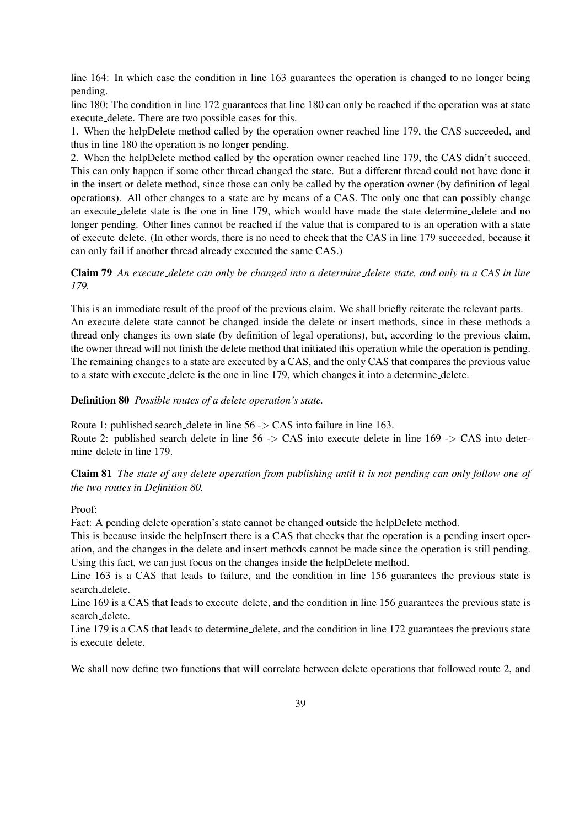line 164: In which case the condition in line 163 guarantees the operation is changed to no longer being pending.

line 180: The condition in line 172 guarantees that line 180 can only be reached if the operation was at state execute delete. There are two possible cases for this.

1. When the helpDelete method called by the operation owner reached line 179, the CAS succeeded, and thus in line 180 the operation is no longer pending.

2. When the helpDelete method called by the operation owner reached line 179, the CAS didn't succeed. This can only happen if some other thread changed the state. But a different thread could not have done it in the insert or delete method, since those can only be called by the operation owner (by definition of legal operations). All other changes to a state are by means of a CAS. The only one that can possibly change an execute delete state is the one in line 179, which would have made the state determine delete and no longer pending. Other lines cannot be reached if the value that is compared to is an operation with a state of execute delete. (In other words, there is no need to check that the CAS in line 179 succeeded, because it can only fail if another thread already executed the same CAS.)

Claim 79 *An execute delete can only be changed into a determine delete state, and only in a CAS in line 179.*

This is an immediate result of the proof of the previous claim. We shall briefly reiterate the relevant parts. An execute delete state cannot be changed inside the delete or insert methods, since in these methods a thread only changes its own state (by definition of legal operations), but, according to the previous claim, the owner thread will not finish the delete method that initiated this operation while the operation is pending. The remaining changes to a state are executed by a CAS, and the only CAS that compares the previous value to a state with execute delete is the one in line 179, which changes it into a determine delete.

Definition 80 *Possible routes of a delete operation's state.*

Route 1: published search delete in line 56 -*>* CAS into failure in line 163. Route 2: published search delete in line 56 -*>* CAS into execute delete in line 169 -*>* CAS into determine delete in line 179.

Claim 81 *The state of any delete operation from publishing until it is not pending can only follow one of the two routes in Definition 80.*

#### Proof:

Fact: A pending delete operation's state cannot be changed outside the helpDelete method.

This is because inside the helpInsert there is a CAS that checks that the operation is a pending insert operation, and the changes in the delete and insert methods cannot be made since the operation is still pending. Using this fact, we can just focus on the changes inside the helpDelete method.

Line 163 is a CAS that leads to failure, and the condition in line 156 guarantees the previous state is search delete.

Line 169 is a CAS that leads to execute delete, and the condition in line 156 guarantees the previous state is search delete.

Line 179 is a CAS that leads to determine delete, and the condition in line 172 guarantees the previous state is execute delete.

We shall now define two functions that will correlate between delete operations that followed route 2, and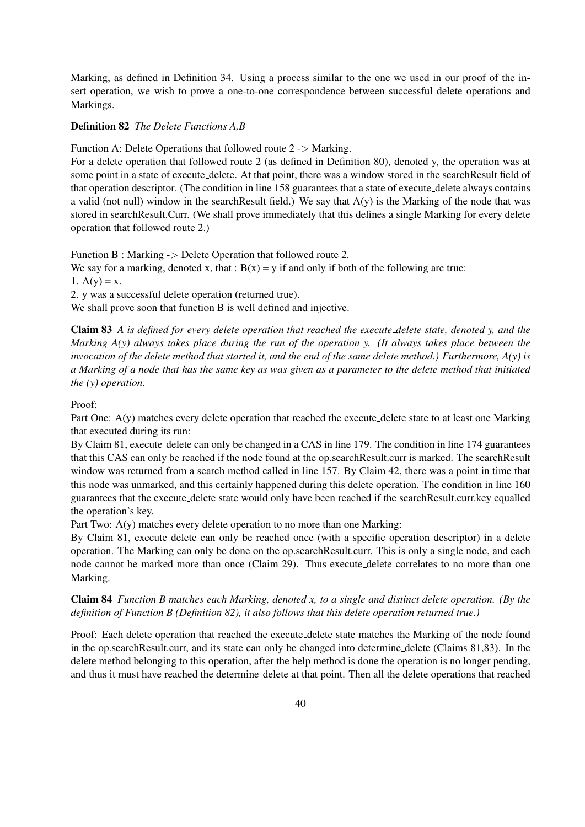Marking, as defined in Definition 34. Using a process similar to the one we used in our proof of the insert operation, we wish to prove a one-to-one correspondence between successful delete operations and Markings.

#### Definition 82 *The Delete Functions A,B*

Function A: Delete Operations that followed route 2 -*>* Marking.

For a delete operation that followed route 2 (as defined in Definition 80), denoted y, the operation was at some point in a state of execute\_delete. At that point, there was a window stored in the searchResult field of that operation descriptor. (The condition in line 158 guarantees that a state of execute delete always contains a valid (not null) window in the searchResult field.) We say that  $A(y)$  is the Marking of the node that was stored in searchResult.Curr. (We shall prove immediately that this defines a single Marking for every delete operation that followed route 2.)

Function B : Marking -*>* Delete Operation that followed route 2.

We say for a marking, denoted x, that :  $B(x) = y$  if and only if both of the following are true:

1.  $A(y) = x$ .

2. y was a successful delete operation (returned true).

We shall prove soon that function B is well defined and injective.

Claim 83 *A is defined for every delete operation that reached the execute delete state, denoted y, and the Marking A(y) always takes place during the run of the operation y. (It always takes place between the invocation of the delete method that started it, and the end of the same delete method.) Furthermore, A(y) is a Marking of a node that has the same key as was given as a parameter to the delete method that initiated the (y) operation.*

#### Proof:

Part One: A(y) matches every delete operation that reached the execute delete state to at least one Marking that executed during its run:

By Claim 81, execute delete can only be changed in a CAS in line 179. The condition in line 174 guarantees that this CAS can only be reached if the node found at the op.searchResult.curr is marked. The searchResult window was returned from a search method called in line 157. By Claim 42, there was a point in time that this node was unmarked, and this certainly happened during this delete operation. The condition in line 160 guarantees that the execute delete state would only have been reached if the searchResult.curr.key equalled the operation's key.

Part Two: A(y) matches every delete operation to no more than one Marking:

By Claim 81, execute delete can only be reached once (with a specific operation descriptor) in a delete operation. The Marking can only be done on the op.searchResult.curr. This is only a single node, and each node cannot be marked more than once (Claim 29). Thus execute delete correlates to no more than one Marking.

### Claim 84 *Function B matches each Marking, denoted x, to a single and distinct delete operation. (By the definition of Function B (Definition 82), it also follows that this delete operation returned true.)*

Proof: Each delete operation that reached the execute delete state matches the Marking of the node found in the op.searchResult.curr, and its state can only be changed into determine delete (Claims 81,83). In the delete method belonging to this operation, after the help method is done the operation is no longer pending, and thus it must have reached the determine delete at that point. Then all the delete operations that reached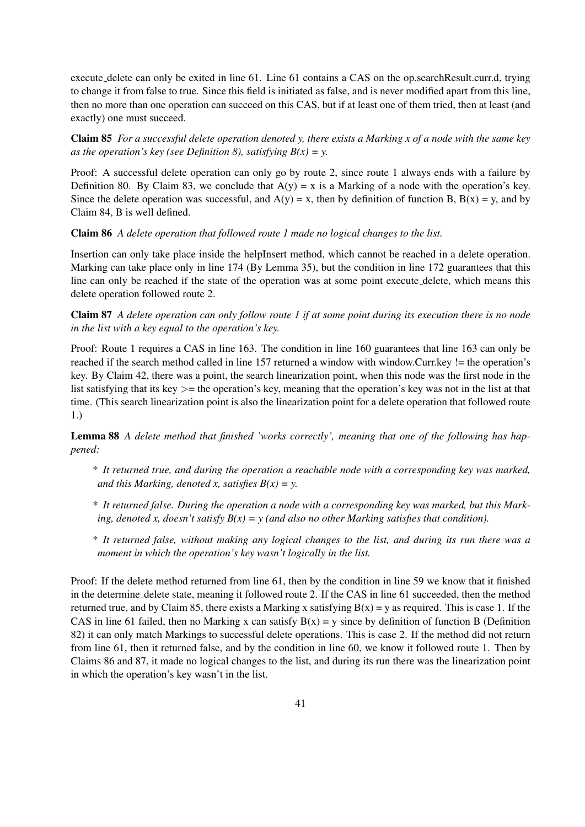execute delete can only be exited in line 61. Line 61 contains a CAS on the op.searchResult.curr.d, trying to change it from false to true. Since this field is initiated as false, and is never modified apart from this line, then no more than one operation can succeed on this CAS, but if at least one of them tried, then at least (and exactly) one must succeed.

Claim 85 *For a successful delete operation denoted y, there exists a Marking x of a node with the same key as the operation's key (see Definition 8), satisfying*  $B(x) = y$ *.* 

Proof: A successful delete operation can only go by route 2, since route 1 always ends with a failure by Definition 80. By Claim 83, we conclude that  $A(y) = x$  is a Marking of a node with the operation's key. Since the delete operation was successful, and  $A(y) = x$ , then by definition of function B,  $B(x) = y$ , and by Claim 84, B is well defined.

Claim 86 *A delete operation that followed route 1 made no logical changes to the list.*

Insertion can only take place inside the helpInsert method, which cannot be reached in a delete operation. Marking can take place only in line 174 (By Lemma 35), but the condition in line 172 guarantees that this line can only be reached if the state of the operation was at some point execute delete, which means this delete operation followed route 2.

Claim 87 *A delete operation can only follow route 1 if at some point during its execution there is no node in the list with a key equal to the operation's key.*

Proof: Route 1 requires a CAS in line 163. The condition in line 160 guarantees that line 163 can only be reached if the search method called in line 157 returned a window with window.Curr.key != the operation's key. By Claim 42, there was a point, the search linearization point, when this node was the first node in the list satisfying that its key *>*= the operation's key, meaning that the operation's key was not in the list at that time. (This search linearization point is also the linearization point for a delete operation that followed route 1.)

Lemma 88 *A delete method that finished 'works correctly', meaning that one of the following has happened:*

- *\* It returned true, and during the operation a reachable node with a corresponding key was marked, and this Marking, denoted x, satisfies B(x) = y.*
- *\* It returned false. During the operation a node with a corresponding key was marked, but this Marking, denoted x, doesn't satisfy*  $B(x) = y$  *(and also no other Marking satisfies that condition).*
- *\* It returned false, without making any logical changes to the list, and during its run there was a moment in which the operation's key wasn't logically in the list.*

Proof: If the delete method returned from line 61, then by the condition in line 59 we know that it finished in the determine delete state, meaning it followed route 2. If the CAS in line 61 succeeded, then the method returned true, and by Claim 85, there exists a Marking x satisfying  $B(x) = y$  as required. This is case 1. If the CAS in line 61 failed, then no Marking x can satisfy  $B(x) = y$  since by definition of function B (Definition 82) it can only match Markings to successful delete operations. This is case 2. If the method did not return from line 61, then it returned false, and by the condition in line 60, we know it followed route 1. Then by Claims 86 and 87, it made no logical changes to the list, and during its run there was the linearization point in which the operation's key wasn't in the list.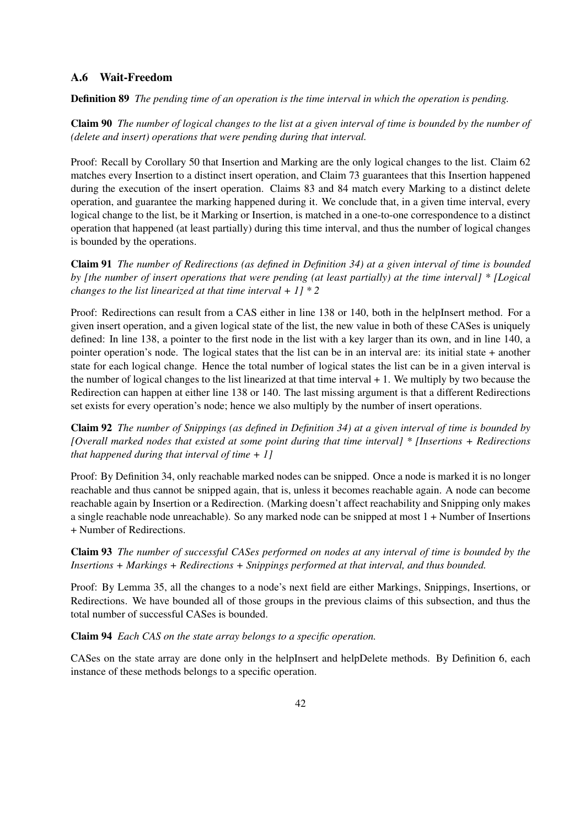### A.6 Wait-Freedom

Definition 89 *The pending time of an operation is the time interval in which the operation is pending.*

Claim 90 *The number of logical changes to the list at a given interval of time is bounded by the number of (delete and insert) operations that were pending during that interval.*

Proof: Recall by Corollary 50 that Insertion and Marking are the only logical changes to the list. Claim 62 matches every Insertion to a distinct insert operation, and Claim 73 guarantees that this Insertion happened during the execution of the insert operation. Claims 83 and 84 match every Marking to a distinct delete operation, and guarantee the marking happened during it. We conclude that, in a given time interval, every logical change to the list, be it Marking or Insertion, is matched in a one-to-one correspondence to a distinct operation that happened (at least partially) during this time interval, and thus the number of logical changes is bounded by the operations.

Claim 91 *The number of Redirections (as defined in Definition 34) at a given interval of time is bounded by [the number of insert operations that were pending (at least partially) at the time interval] \* [Logical changes to the list linearized at that time interval + 1] \* 2*

Proof: Redirections can result from a CAS either in line 138 or 140, both in the helpInsert method. For a given insert operation, and a given logical state of the list, the new value in both of these CASes is uniquely defined: In line 138, a pointer to the first node in the list with a key larger than its own, and in line 140, a pointer operation's node. The logical states that the list can be in an interval are: its initial state + another state for each logical change. Hence the total number of logical states the list can be in a given interval is the number of logical changes to the list linearized at that time interval + 1. We multiply by two because the Redirection can happen at either line 138 or 140. The last missing argument is that a different Redirections set exists for every operation's node; hence we also multiply by the number of insert operations.

Claim 92 *The number of Snippings (as defined in Definition 34) at a given interval of time is bounded by [Overall marked nodes that existed at some point during that time interval] \* [Insertions + Redirections that happened during that interval of time + 1]*

Proof: By Definition 34, only reachable marked nodes can be snipped. Once a node is marked it is no longer reachable and thus cannot be snipped again, that is, unless it becomes reachable again. A node can become reachable again by Insertion or a Redirection. (Marking doesn't affect reachability and Snipping only makes a single reachable node unreachable). So any marked node can be snipped at most 1 + Number of Insertions + Number of Redirections.

Claim 93 *The number of successful CASes performed on nodes at any interval of time is bounded by the Insertions + Markings + Redirections + Snippings performed at that interval, and thus bounded.*

Proof: By Lemma 35, all the changes to a node's next field are either Markings, Snippings, Insertions, or Redirections. We have bounded all of those groups in the previous claims of this subsection, and thus the total number of successful CASes is bounded.

Claim 94 *Each CAS on the state array belongs to a specific operation.*

CASes on the state array are done only in the helpInsert and helpDelete methods. By Definition 6, each instance of these methods belongs to a specific operation.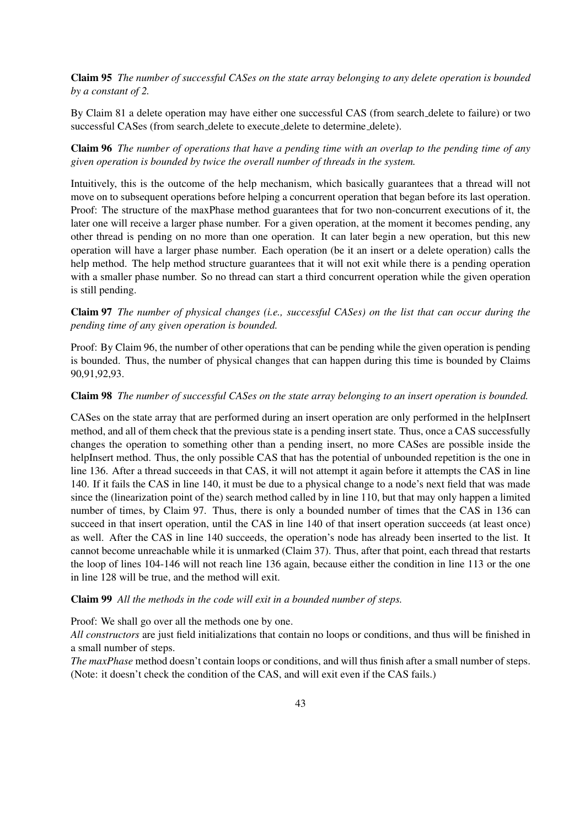Claim 95 *The number of successful CASes on the state array belonging to any delete operation is bounded by a constant of 2.*

By Claim 81 a delete operation may have either one successful CAS (from search delete to failure) or two successful CASes (from search delete to execute delete to determine delete).

Claim 96 *The number of operations that have a pending time with an overlap to the pending time of any given operation is bounded by twice the overall number of threads in the system.*

Intuitively, this is the outcome of the help mechanism, which basically guarantees that a thread will not move on to subsequent operations before helping a concurrent operation that began before its last operation. Proof: The structure of the maxPhase method guarantees that for two non-concurrent executions of it, the later one will receive a larger phase number. For a given operation, at the moment it becomes pending, any other thread is pending on no more than one operation. It can later begin a new operation, but this new operation will have a larger phase number. Each operation (be it an insert or a delete operation) calls the help method. The help method structure guarantees that it will not exit while there is a pending operation with a smaller phase number. So no thread can start a third concurrent operation while the given operation is still pending.

Claim 97 *The number of physical changes (i.e., successful CASes) on the list that can occur during the pending time of any given operation is bounded.*

Proof: By Claim 96, the number of other operations that can be pending while the given operation is pending is bounded. Thus, the number of physical changes that can happen during this time is bounded by Claims 90,91,92,93.

#### Claim 98 *The number of successful CASes on the state array belonging to an insert operation is bounded.*

CASes on the state array that are performed during an insert operation are only performed in the helpInsert method, and all of them check that the previous state is a pending insert state. Thus, once a CAS successfully changes the operation to something other than a pending insert, no more CASes are possible inside the helpInsert method. Thus, the only possible CAS that has the potential of unbounded repetition is the one in line 136. After a thread succeeds in that CAS, it will not attempt it again before it attempts the CAS in line 140. If it fails the CAS in line 140, it must be due to a physical change to a node's next field that was made since the (linearization point of the) search method called by in line 110, but that may only happen a limited number of times, by Claim 97. Thus, there is only a bounded number of times that the CAS in 136 can succeed in that insert operation, until the CAS in line 140 of that insert operation succeeds (at least once) as well. After the CAS in line 140 succeeds, the operation's node has already been inserted to the list. It cannot become unreachable while it is unmarked (Claim 37). Thus, after that point, each thread that restarts the loop of lines 104-146 will not reach line 136 again, because either the condition in line 113 or the one in line 128 will be true, and the method will exit.

#### Claim 99 *All the methods in the code will exit in a bounded number of steps.*

Proof: We shall go over all the methods one by one.

*All constructors* are just field initializations that contain no loops or conditions, and thus will be finished in a small number of steps.

*The maxPhase* method doesn't contain loops or conditions, and will thus finish after a small number of steps. (Note: it doesn't check the condition of the CAS, and will exit even if the CAS fails.)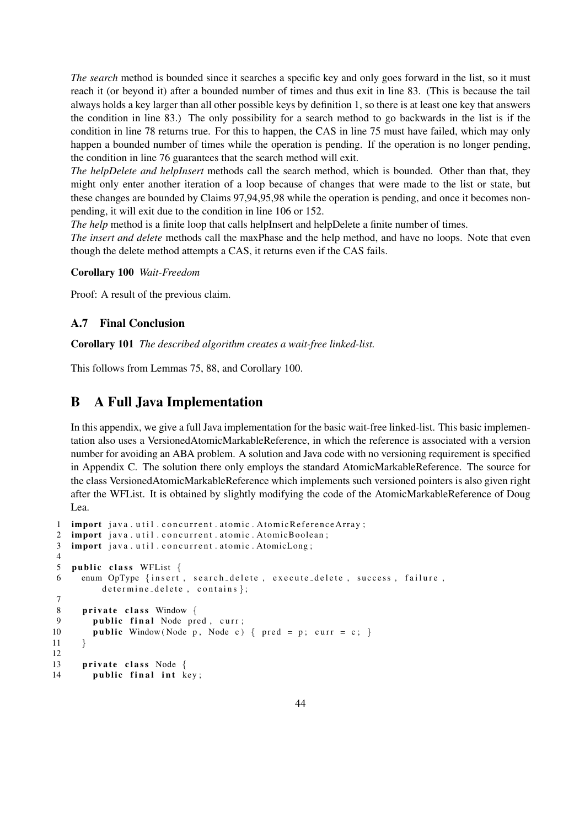*The search* method is bounded since it searches a specific key and only goes forward in the list, so it must reach it (or beyond it) after a bounded number of times and thus exit in line 83. (This is because the tail always holds a key larger than all other possible keys by definition 1, so there is at least one key that answers the condition in line 83.) The only possibility for a search method to go backwards in the list is if the condition in line 78 returns true. For this to happen, the CAS in line 75 must have failed, which may only happen a bounded number of times while the operation is pending. If the operation is no longer pending, the condition in line 76 guarantees that the search method will exit.

*The helpDelete and helpInsert* methods call the search method, which is bounded. Other than that, they might only enter another iteration of a loop because of changes that were made to the list or state, but these changes are bounded by Claims 97,94,95,98 while the operation is pending, and once it becomes nonpending, it will exit due to the condition in line 106 or 152.

*The help* method is a finite loop that calls helpInsert and helpDelete a finite number of times.

*The insert and delete* methods call the maxPhase and the help method, and have no loops. Note that even though the delete method attempts a CAS, it returns even if the CAS fails.

Corollary 100 *Wait-Freedom*

Proof: A result of the previous claim.

## A.7 Final Conclusion

Corollary 101 *The described algorithm creates a wait-free linked-list.*

This follows from Lemmas 75, 88, and Corollary 100.

## B A Full Java Implementation

In this appendix, we give a full Java implementation for the basic wait-free linked-list. This basic implementation also uses a VersionedAtomicMarkableReference, in which the reference is associated with a version number for avoiding an ABA problem. A solution and Java code with no versioning requirement is specified in Appendix C. The solution there only employs the standard AtomicMarkableReference. The source for the class VersionedAtomicMarkableReference which implements such versioned pointers is also given right after the WFList. It is obtained by slightly modifying the code of the AtomicMarkableReference of Doug Lea.

```
1 import java.util.concurrent.atomic.AtomicReferenceArray;
2 import java. util. concurrent. atomic. AtomicBoolean;
3 import java.util.concurrent.atomic.AtomicLong;
4
5 public class WFList {
6 enum OpType {insert, search_delete, execute_delete, success, failure,
         d e t e r m i n e _d e l e t e , c o n t a i n s };
7
8 private class Window {
9 public final Node pred, curr;
10 public Window (Node p, Node c) \{ pred = p; curr = c; \}11 }
12
13 private class Node {
14 public final int key;
```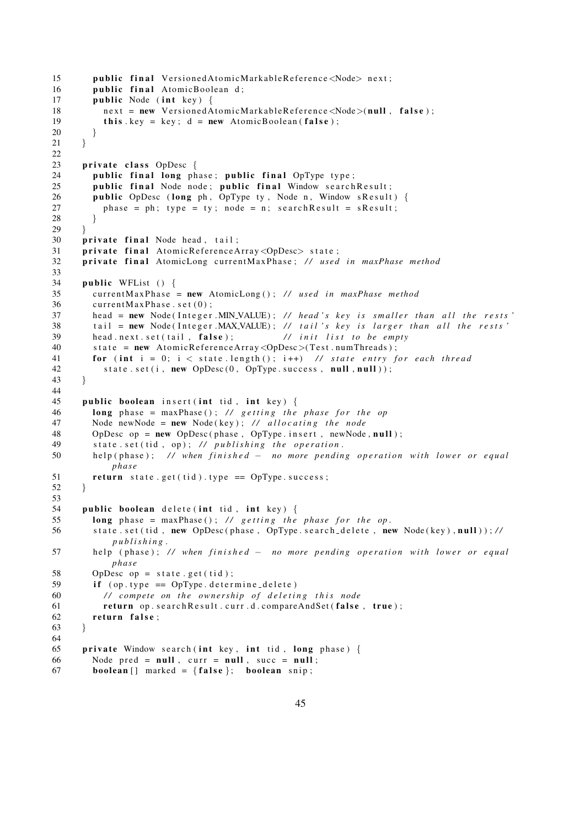```
15 public final VersionedAtomicMarkableReference<Node> next;
16 public final AtomicBoolean d;
17 public Node (int key) {
18 next = new VersionedAtomicMarkableReference<Node>(null, false);
19 \text{this key} = \text{key}; d = \text{new AtomicBoolean} \text{ (false)};
20 }
21 }
22
23 private class OpDesc {
24 public final long phase; public final OpType type;
25 public final Node node; public final Window search Result;
26 public OpDesc (long ph, OpType ty, Node n, Window s Result) {
27 phase = ph; type = ty; node = n; search Result = s Result;
28 }
29 }
30 private final Node head, tail;
31 private final AtomicReferenceArray<OpDesc> state;
32 private final AtomicLong currentMaxPhase; // used in maxPhase method
33
34 p u bli c WFList ( ) {
35 currentMaxPhase = new AtomicLong (); // used in maxPhase method
36 currentMaxPhase.set (0);
37 head = new Node (Integer .MIN<sub>-VALUE</sub>); // head's key is smaller than all the rests'
38 tail = new Node (Integer .MAX_VALUE); // tail's key is larger than all the rests'
39 head . next . set (tail, false); // init list to be empty
40 state = new AtomicReferenceArray<OpDesc>(Test.numThreads);
41 for (int i = 0; i < state.length(); i++) // state entry for each thread
42 state.set (i, new OppDesc(0, OpType.success, null, null));
43 }
44
45 public boolean insert (int tid, int key) {
46 long phase = maxPhase (); // getting the phase for the op
47 Node newNode = new Node (key); // allocating the node
48 OpDesc op = new OpDesc(phase, OpType . insert, newNode, null);<br>49 state set(tid, op): // publishing the operation.
       state.set (tid, op); // publishing the operation.
50 help (phase); // when finished – no more pending operation with lower or equal
           p h a s e
51 return state.get (tid).type == OpType.success;
52 }
53
54 public boolean delete (int tid, int key) {
55 long phase = maxPhase (); // getting the phase for the op.
56 state.set (tid, new OpDesc (phase, OpType.search_delete, new Node (key), null));//
           p u b l i s h i n g .
57 help (phase); // when finished - no more pending operation with lower or equal
           p h a s e
58 OpDesc op = state.get(tid);
59 if (op.type == OpType.determine_d delete)60 // compete on the ownership of deleting this node
61 return op. search Result. curr.d. compareAndSet (false, true);
62 return false;
63 }
64
65 private Window search (int key, int tid, long phase) {
66 Node pred = null, curr = null, succ = null;
67 boolean [] marked = \{false\}; boolean snip;
```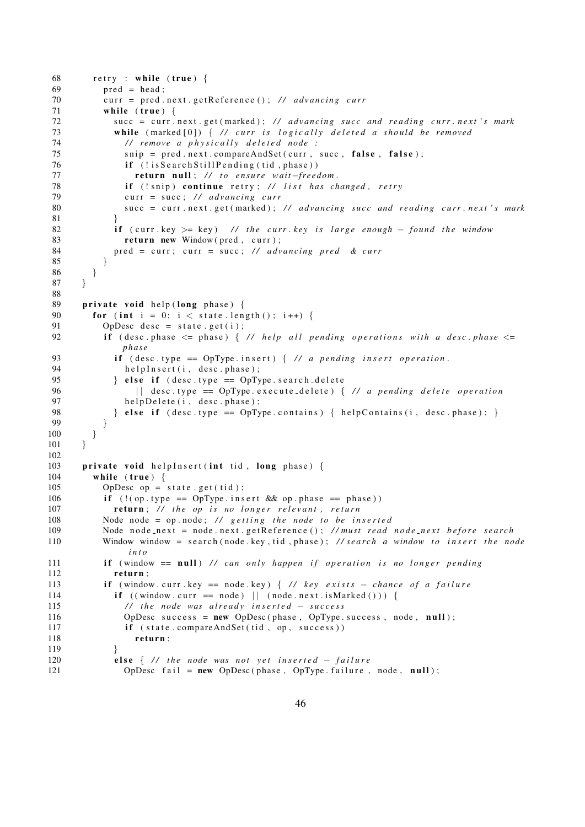```
68 retry : while (true) {
69 pred = head;
70 curr = pred.next.getReference(); // advancing curr
71 while (true) {
72 succ = curr.next.get(marked); // advancing succ and reading curr.next's mark
73 while (marked [0]) { // curr is logically deleted a should be removed
74 / / remove a p h y s i c a l l y d e l e t e d node :
75 snip = pred.next.compareAndSet(curr, succ, false, false);
76 if (!is Search Still Pending (tid, phase))
77 return null; // to ensure wait-freedom.
78 if (!snip) continue retry; // list has changed, retry
79 curr = succ; // advancing curr
80 succ = curr.next.get(marked); // advancing succ and reading curr.next's mark
81 }
82 if (curr.key >= key) // the curr.key is large enough − found the window
83 return new Window (pred, curr);
84 pred = curr; curr = succ; // advancing pred & curr
85 }
86 }
87 }
88
89 private void help (long phase) {
90 for (int i = 0; i < state length (); i++) {
91 OpDesc desc = state.get(i);
92 if (desc. phase \leq phase) \{ // help all pending operations with a desc. phase \leqp h a s e
93 if (desc.type == OpType.insert) { // a pending insert operation.
94 helpInsert(i, desc.phase);
95 } else if (desc.type == OpType.search_delete
96 | desc.type == OpType.execute_delete ) { // a pending delete operation
97 helpDelete(i, desc.phase);
98 } else if (desc. type == OpType. contains) { helpContains (i, desc. phase); }
99 }
100 }
101 }
102
103 private void helpInsert (int tid, long phase) {
104 while (true) {
105 OpDesc op = state.get(tid);
106 if (! (op. type == OpType. insert & & op. phase == phase))107 return; // the op is no longer relevant, return
108 Node node = op. node; // getting the node to be inserted
109 Node node_next = node.next.getReference(); //must read node_next before search
110 Window window = search (node .key, tid, phase); // search a window to insert the node
             i n t o
111 if (window == null) // can only happen if operation is no longer pending
112 return;
113 if (window . curr . key == node . key) { // key exists - chance of a failure
114 if ( ( window . curr == node ) || ( node . next . is Marked ( ) ) ) {
115 // the node was already inserted – success
116 OpDesc success = new OpDesc(phase, OpType success, node, null);117 if (state.compareAndSet(tid, op, success))
118 return;
119 }
120 else { // the node was not yet inserted – failure
121 OpDesc fail = new OpDesc (phase, OpType failure, node, null);
```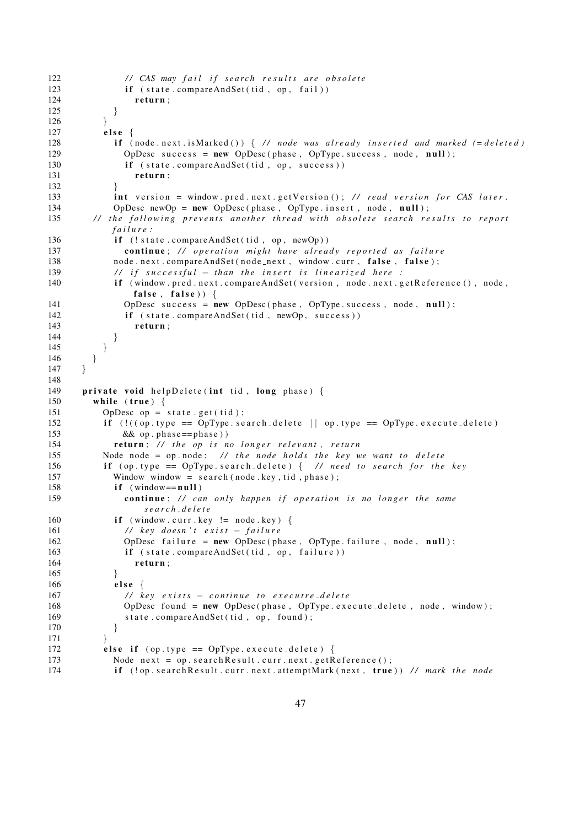```
122 // CAS may fail if search results are obsolete
123 if (state.compareAndSet(tid, op, fail))
124 return;
125 }
126 }
127 e l s e {
128 if (node . next . is Marked ()) { // node was already inserted and marked (= deleted)
129 OpDesc success = new OpDesc (phase, OpType success, node, null);
130 if ( state . compareAndSet ( tid , op , success ) )
131 return;
132 }
133 int version = window . pred . next . get Version (); // read version for CAS later.
134 OpDesc newOp = new OpDesc (phase, OpType.insert, node, null);
135 // the following prevents another thread with obsolete search results to report
           f a i l u r e :
136 if (! state . compareAndSet (tid , op , newOp))
137 continue; // operation might have already reported as failure
138 node . n ext . compare And Set (node _ n ext , window . curr, false, false);
139 // if successful – than the insert is linearized here :
140 if (window.pred.next.compareAndSet (version, node.next.getReference (), node,
               false, false)) \{141 OpDesc success = new OpDesc (phase, OpType success, node, null);
142 if ( state . compareAndSet ( tid , newOp, success ) )
143 return:
144 }
145 }
146 }
147 }
148
149 private void helpDelete (int tid, long phase) {
150 while (true) {
151 OpDesc op = state.get(tid);
152 if \left( \frac{1}{\left( \text{op type} \right)} \right) = OpType search_delete \left| \right| op type = OpType execute_delete)
153 & \& \text{op} \cdot \text{phase} == \text{phase})
154 return; // the op is no longer relevant, return
155 Node node = op. node; // the node holds the key we want to delete
156 if (op. type == OpType. search_delete) { // need to search for the key
157 Window window = search (node . key, tid, phase);
158 if (\text{window} == \text{null})159 continue; // can only happen if operation is no longer the same
                 s e a r c h d e l e t e
160 if (window . curr . key != node . key) {
161 // key doesn't exist − failure
162 OpDesc failure = new OpDesc (phase, OpType failure, node, null);
163 if ( state . compareAndSet ( tid , op , failure ) )
164 return:
165 }
166 else {
167 // key exists − continue to executre_delete
168 OpDesc found = new OpDesc (phase, OpType execute delete, node, window);
169 state.compareAndSet(tid, op, found);<br>170 }
170 }
171 }
172 else if (op.type == OpType.execute_delete) {
173 Node next = op. search Result. curr. next. get Reference ();
174 if (!op.searchResult.curr.next.attemptMark(next, true)) // mark the node
```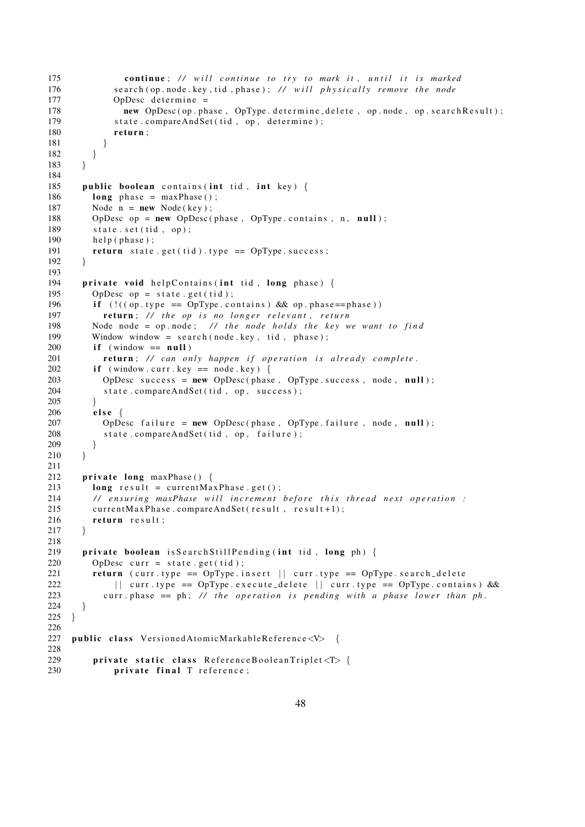```
175 continue; // will continue to try to mark it, until it is marked
176 search (op. node. key, tid, phase); // will physically remove the node
177 OpDesc determine =
178 new OpDesc (op. phase, OpType. determine_delete, op. node, op. search Result);
179 state.compareAndSet(tid, op, determine);
180 return;
181 }
182 }
183 }
184
185 public boolean contains (int tid, int key) {
186 long phase = maxPhase();
187 Node n = new Node (key);
188 OpDesc op = new OpDesc (phase, OpType. contains, n, null);
189 state.set(tid, op);190 help (phase);
191 return state.get (tid).type == OpType.success;
192 }
193
194 private void help Contains (int tid, long phase) {
195 OpDesc op = state.get(tid);
196 if ( ! ((op. type == OpType. contains) & & op. phase == phase))197 return; // the op is no longer relevant, return
198 Node node = op. node; // the node holds the key we want to find
199 Window window = search (node .key, tid, phase);
200 if (window == null)
201 return; // can only happen if operation is already complete.
202 if (window . curr . key == node . key) {
203 OpDesc success = new OpDesc (phase, OpType success, node, null);
204 state.compareAndSet(tid, op, success);
205 }
206 e l s e {
207 OpDesc failure = new OpDesc (phase, OpType failure, node, null);
208 state.compareAndSet(tid, op, failure);
209 }
210 }
211
212 private long maxPhase () {
213 long result = currentMaxPhase.get();
214 // ensuring maxPhase will increment before this thread next operation :
215 currentMaxPhase.compareAndSet(result, result +1);
216 return result;
217 }
218
      private boolean is Search Still Pending (int tid, long ph) {
220 OpDesc curr = state.get(tid);
221 return ( curr . type == OpType . insert || curr . type == OpType . search _delete<br>222 i curr . type == OpType . execute _delete || curr . type == OpType . contai
            | curr.type == OpType.execute_delete | | curr.type == OpType.contains) &&
223 curr phase == ph; // the operation is pending with a phase lower than ph.
224 }
225 }
226
227 public class VersionedAtomicMarkableReference<V> {
228
        private static class ReferenceBooleanTriplet<T> {
230 private final T reference;
```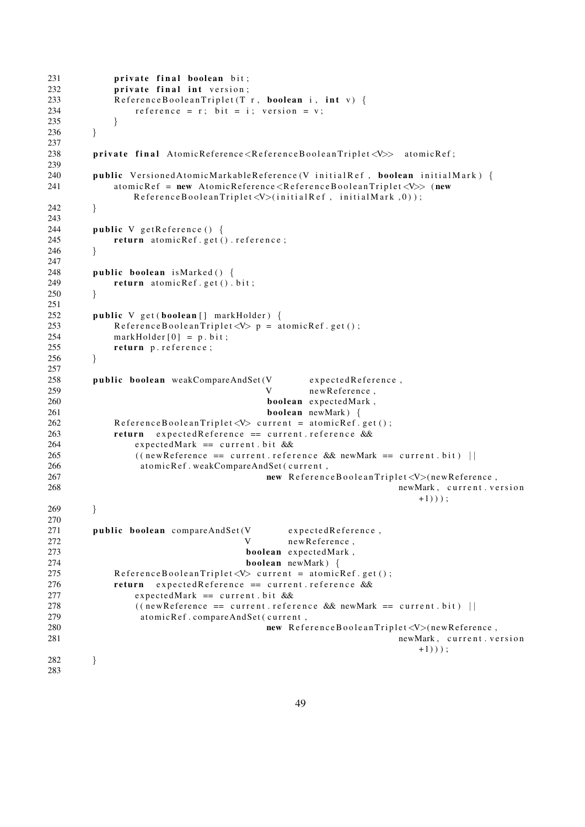```
231 private final boolean bit;
232 private final int version;
233 ReferenceBooleanTriplet (T r, boolean i, int v) {
234 reference = r; bit = i; version = v;
235 }
236 }
237
238 private final AtomicReference<ReferenceBooleanTriplet<V>> atomicRef;
239
240 public VersionedAtomicMarkableReference (V initialRef, boolean initialMark) {
241 atomicRef = new AtomicReference<ReferenceBooleanTriplet<V>> (new
            ReferenceBooleanTriplet<V>(initialRef, initialMark,0));
242 }
243
244 public V get R e f e rence () {
245 return atomicRef.get ().reference;
246 }
247
248 public boolean is Marked () {
249 return atomicRef.get ().bit;
250 }
251
252 public V get (boolean [] markHolder) {
253 ReferenceBooleanTriplet <V> p = atomicRef.get ();
254 markHolder [0] = p \cdot bit;255 return p. reference;
256 }
257
258 public boolean weakCompareAndSet (V expectedReference,
259 V newReference,
260 boolean expectedMark,
261 boolean newMark) {
262 ReferenceBooleanTriplet<V> current = atomicRef.get();
263 return expected Reference == current reference & & 264 expected Mark == current bit & &
            expectedMark == current. bit &265 ((newReference == current.reference && newMark == current.bit) ||
266 atomicRef.weakCompareAndSet(current,
267 new Reference Boolean Triplet <V>(new Reference,
268 newMark, current . version
                                                     +1) ) ;
269 }
270
271 public boolean compareAndSet (V expected Reference,
272 V new Reference,
273 boolean expectedMark,
274 b o ole an newMark ) {
275 ReferenceBooleanTriplet<V> current = atomicRef.get();
276 return expected Reference == current.reference &&
277 expectedMark == current . bit &&
278 ((newReference == current.reference & wewMark == current.bit) ||
279 atomicRef.compareAndSet(current,
280 new Reference Boolean Triplet <V>(new Reference,
281 newMark, current . version
                                                     +1) ) ;
282 }
283
```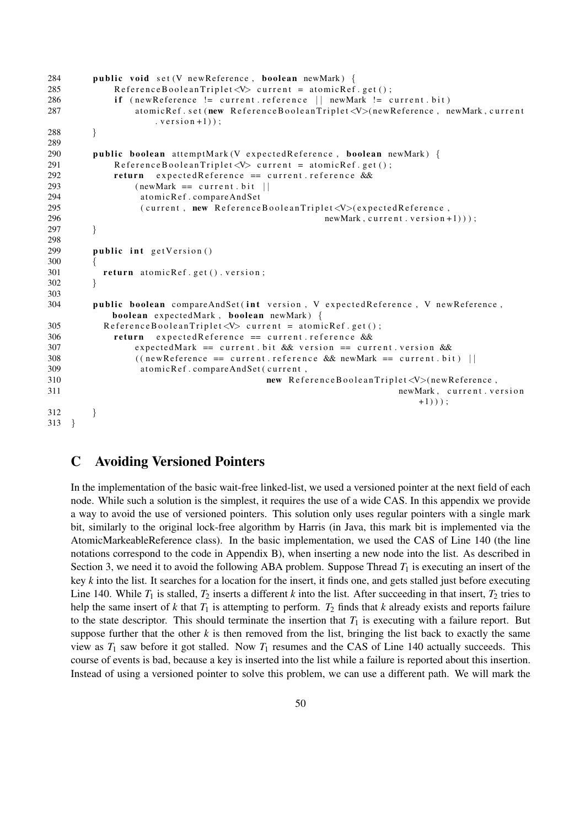```
284 public void set (V newReference, boolean newMark) {
285 ReferenceBooleanTriplet <V> current = atomicRef.get();
286 if (newReference != current reference || newMark != current bit)
287 atomicRef. set (new ReferenceBooleanTriplet<V>(newReference, newMark, current
                . <math>version+1) ;
288 }
289
290 public boolean attemptMark (V expected Reference, boolean newMark) {
291 ReferenceBooleanTriplet<V> current = atomicRef.get();
292 return expected Reference == current. reference &&
293 (newMark == current . bit ||
294 atomicRef.compareAndSet
295 ( current, new Reference Boolean Triplet <V>(expected Reference,
296 new Mark, current . version + 1) ) ;
297 }
298
299 public int get Version ()
300 {
301 return atomicRef.get ().version;
302 }
303
304 public boolean compareAndSet (int version, V expectedReference, V newReference,
          boolean expectedMark, boolean newMark) {
305 ReferenceBooleanTriplet<V> current = atomicRef.get();
306 return expected Reference == current reference &&
307 expected Mark == current . bit && version == current . version &&
308 ((newReference == current.reference && newMark == current.bit) ||
309 atomicRef.compareAndSet(current,
310 new Reference Boolean Triplet <V>(new Reference,
311 newMark, current . version
                                                          +1) ) ;
312 }
313 }
```
## C Avoiding Versioned Pointers

In the implementation of the basic wait-free linked-list, we used a versioned pointer at the next field of each node. While such a solution is the simplest, it requires the use of a wide CAS. In this appendix we provide a way to avoid the use of versioned pointers. This solution only uses regular pointers with a single mark bit, similarly to the original lock-free algorithm by Harris (in Java, this mark bit is implemented via the AtomicMarkeableReference class). In the basic implementation, we used the CAS of Line 140 (the line notations correspond to the code in Appendix B), when inserting a new node into the list. As described in Section 3, we need it to avoid the following ABA problem. Suppose Thread  $T_1$  is executing an insert of the key *k* into the list. It searches for a location for the insert, it finds one, and gets stalled just before executing Line 140. While  $T_1$  is stalled,  $T_2$  inserts a different *k* into the list. After succeeding in that insert,  $T_2$  tries to help the same insert of  $k$  that  $T_1$  is attempting to perform.  $T_2$  finds that  $k$  already exists and reports failure to the state descriptor. This should terminate the insertion that  $T_1$  is executing with a failure report. But suppose further that the other  $k$  is then removed from the list, bringing the list back to exactly the same view as  $T_1$  saw before it got stalled. Now  $T_1$  resumes and the CAS of Line 140 actually succeeds. This course of events is bad, because a key is inserted into the list while a failure is reported about this insertion. Instead of using a versioned pointer to solve this problem, we can use a different path. We will mark the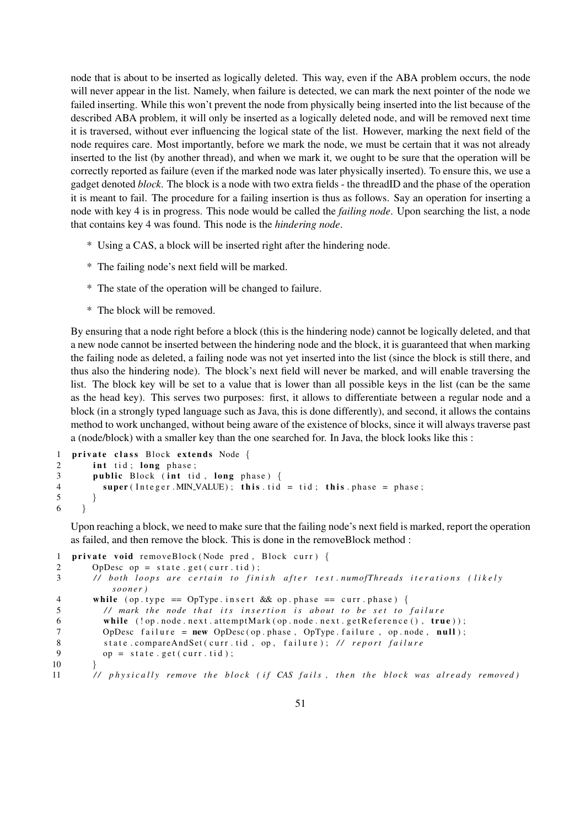node that is about to be inserted as logically deleted. This way, even if the ABA problem occurs, the node will never appear in the list. Namely, when failure is detected, we can mark the next pointer of the node we failed inserting. While this won't prevent the node from physically being inserted into the list because of the described ABA problem, it will only be inserted as a logically deleted node, and will be removed next time it is traversed, without ever influencing the logical state of the list. However, marking the next field of the node requires care. Most importantly, before we mark the node, we must be certain that it was not already inserted to the list (by another thread), and when we mark it, we ought to be sure that the operation will be correctly reported as failure (even if the marked node was later physically inserted). To ensure this, we use a gadget denoted *block*. The block is a node with two extra fields - the threadID and the phase of the operation it is meant to fail. The procedure for a failing insertion is thus as follows. Say an operation for inserting a node with key 4 is in progress. This node would be called the *failing node*. Upon searching the list, a node that contains key 4 was found. This node is the *hindering node*.

- \* Using a CAS, a block will be inserted right after the hindering node.
- \* The failing node's next field will be marked.
- \* The state of the operation will be changed to failure.
- \* The block will be removed.

By ensuring that a node right before a block (this is the hindering node) cannot be logically deleted, and that a new node cannot be inserted between the hindering node and the block, it is guaranteed that when marking the failing node as deleted, a failing node was not yet inserted into the list (since the block is still there, and thus also the hindering node). The block's next field will never be marked, and will enable traversing the list. The block key will be set to a value that is lower than all possible keys in the list (can be the same as the head key). This serves two purposes: first, it allows to differentiate between a regular node and a block (in a strongly typed language such as Java, this is done differently), and second, it allows the contains method to work unchanged, without being aware of the existence of blocks, since it will always traverse past a (node/block) with a smaller key than the one searched for. In Java, the block looks like this :

```
1 private class Block extends Node {
2 int tid; long phase;
3 public Block (int tid, long phase) {
4 super (Integer . MIN_VALUE); this . tid = tid; this . phase = phase;
5 }
6 }
```
Upon reaching a block, we need to make sure that the failing node's next field is marked, report the operation as failed, and then remove the block. This is done in the removeBlock method :

```
1 private void removeBlock (Node pred, Block curr) {
2 OpDesc op = state.get (curr.tid);
3 // both loops are certain to finish after test.numofThreads iterations (likely
          s o o n e r )
4 while (op. type = OpType. insert && op. phase = curr. phase) \{5 // mark the node that its insertion is about to be set to failure
6 while (!op. node. next. attemptMark (op. node. next. getReference (), true));
7 OpDesc failure = new OpDesc (op. phase, OpType. failure, op. node, null);
8 state.compareAndSet(curr.tid, op, failure); // report failure
9 op = state.get (curr.tid);
10 }
11 // physically remove the block (if CAS fails, then the block was already removed)
```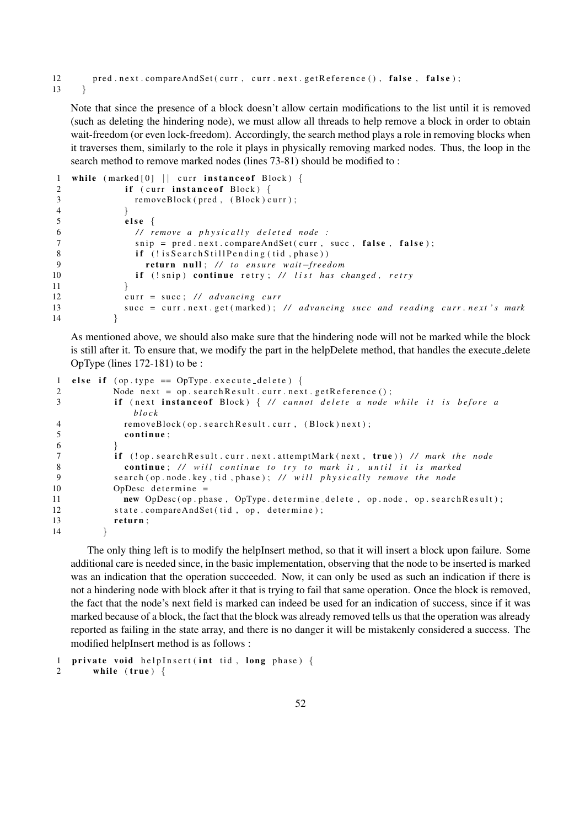12 pred.next.compareAndSet(curr, curr.next.getReference(), false, false);

13 *}*

Note that since the presence of a block doesn't allow certain modifications to the list until it is removed (such as deleting the hindering node), we must allow all threads to help remove a block in order to obtain wait-freedom (or even lock-freedom). Accordingly, the search method plays a role in removing blocks when it traverses them, similarly to the role it plays in physically removing marked nodes. Thus, the loop in the search method to remove marked nodes (lines 73-81) should be modified to :

```
1 while (marked [0] \vert\vert curr instance of Block) {
2 if ( curr instance of Block) {
3 removeBlock (pred, (Block) curr);
4 }
5 e l s e {
6 / / remove a p h y s i c a l l y d e l e t e d node :
7 snip = pred.next.compareAndSet(curr, succ, false, false);
8 if (!isSearchStillPending (tid, phase))9 return null; // to ensure wait-freedom
10 if (!snip) continue retry; // list has changed, retry
11 }
12 curr = succ; // advancing curr
13 succ = curr . next . get (marked); // advancing succ and reading curr . next's mark<br>14
14 }
```
As mentioned above, we should also make sure that the hindering node will not be marked while the block is still after it. To ensure that, we modify the part in the helpDelete method, that handles the execute delete OpType (lines 172-181) to be :

```
1 else if (op. type == OpType. execute_delete) {
2 Node next = op. search Result. curr. next. get Reference ();
3 if (next instance of Block) { // cannot delete a node while it is before a
              b l o c k
4 removeBlock (op. search Result. curr, (Block) next);
5 continue;
6 }
7 if ( ! op . search Result . curr . next . attempt Mark ( next , true ) ) // mark the node
8 continue; // will continue to try to mark it, until it is marked
9 search (op. node. key, tid, phase); // will physically remove the node
10 OpDesc determine =
11 new OpDesc ( op. phase, OpType. d e termine _delete, op. node, op. search Result );
12 state.compareAndSet(tid, op, determine);
13 return:
14 }
```
The only thing left is to modify the helpInsert method, so that it will insert a block upon failure. Some additional care is needed since, in the basic implementation, observing that the node to be inserted is marked was an indication that the operation succeeded. Now, it can only be used as such an indication if there is not a hindering node with block after it that is trying to fail that same operation. Once the block is removed, the fact that the node's next field is marked can indeed be used for an indication of success, since if it was marked because of a block, the fact that the block was already removed tells us that the operation was already reported as failing in the state array, and there is no danger it will be mistakenly considered a success. The modified helpInsert method is as follows :

```
1 private void helpInsert (int tid, long phase) {
2 while (true) {
```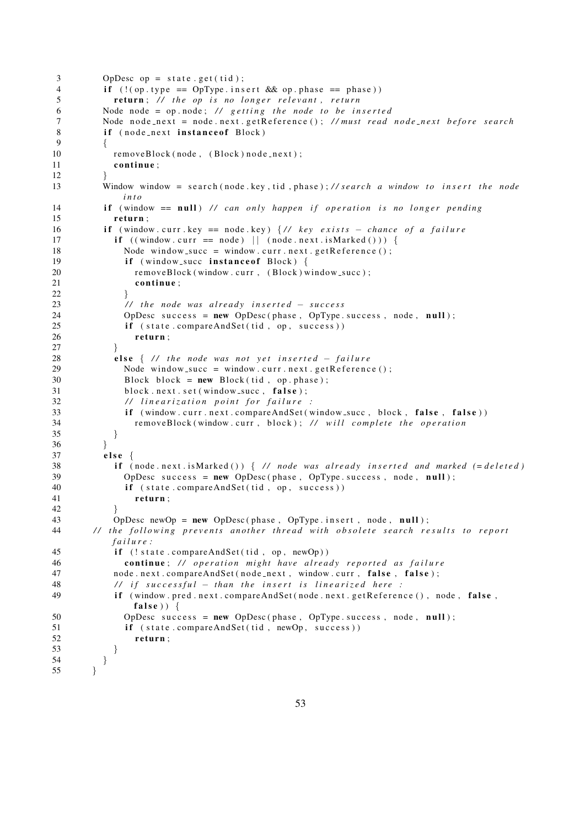```
3 OpDesc op = state.get(tid);
4 if (! ( op. type == OpType. insert & op. phase == phase))5 return; // the op is no longer relevant, return
6 Node node = op. node; // getting the node to be inserted
7 Node node_next = node.next.getReference(); //must read node_next before search
8 if (node_next instance of Block)
 9 {
10 removeBlock (node, (Block) node_next);
11 continue;
12 }
13 Window window = search (node .key, tid, phase); // search a window to insert the node
           i n t o
14 if (window == null) // can only happen if operation is no longer pending
15 return:
16 if (window . curr . key == node . key) {// key exists – chance of a failure
17 if ( ( window . curr == node ) | | ( node . next . is Marked ( ) ) ) {
18 Node window_succ = window.curr.next.getReference();
19 if (window_succ instance of Block) {
20 removeBlock (window . curr, (Block) window_succ);
21 continue;
22 }
23 // the node was already inserted – success
24 OpDesc success = new OpDesc (phase, OpType success, node, null);
25 if ( state . compareAndSet ( tid , op , success ) )
26 return:
27 }
28 else { // the node was not yet inserted – failure
29 Node window_succ = window.curr.next.getReference();
30 Block block = new Block (tid, op. phase);
31 block.next.set (window_succ, false);
32 // linearization point for failure :
33 if (window.curr.next.compareAndSet (window_succ, block, false, false))
34 removeBlock (window . curr, block); // will complete the operation
35 }
36 }
37 e l s e {
38 if (node.next.isMarked ()) { // node was already inserted and marked (=deleted)
39 OpDesc success = new OpDesc (phase, OpType success, node, null);
40 if ( state . compareAndSet ( tid , op , success ) )
41 return;
42 }
43 OpDesc new Op = new OpDesc (phase, OpType . insert, node, null);
44 // the following prevents another thread with obsolete search results to report
         f a i l u r e :
45 if (! state . compareAndSet (tid , op , newOp))
46 continue; // operation might have already reported as failure
47 node.next.compareAndSet(node_next, window.curr, false, false);
48 // if successful − than the insert is linearized here :
49 if (window.pred.next.compareAndSet(node.next.getReference(), node, false,
             false) \}50 OpDesc success = new OpDesc (phase, OpType success, node, null);
51 if (state.compareAndSet(tid, newOp, success))
52 return;
53 }
54 }
55 }
```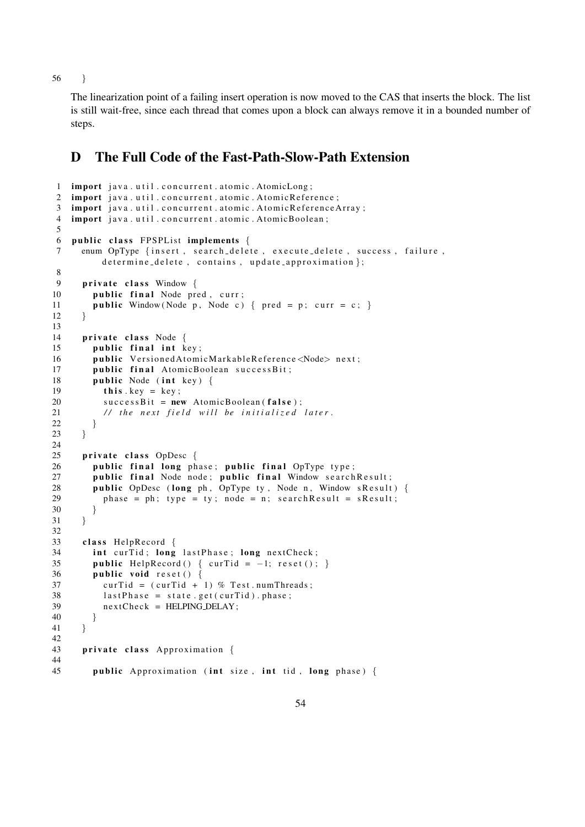56 *}*

The linearization point of a failing insert operation is now moved to the CAS that inserts the block. The list is still wait-free, since each thread that comes upon a block can always remove it in a bounded number of steps.

## D The Full Code of the Fast-Path-Slow-Path Extension

```
1 import java.util.concurrent.atomic.AtomicLong;
2 import java.util.concurrent.atomic.AtomicReference;
 3 import java. util. concurrent. atomic. AtomicReferenceArray;
4 import java. util. concurrent. atomic. AtomicBoolean;
5
6 p u bli c c l a s s F P S PLi st implemen ts {
7 enum OpType {insert, search_delete, execute_delete, success, failure,
         determine_delete, contains, update_approximation };
 8
 9 private class Window {
10 public final Node pred, curr;
11 public Window (Node p, Node c) \{ \text{pred} = p; \text{curr} = c; \}12 }
13
14 private class Node {
15 public final int key;
16 public Versioned Atomic Markable Reference <Node> next;
17 public final AtomicBoolean successBit;
18 public Node (int key) {
19 \text{this key} = \text{key};
20 \text{successBit} = \text{new} AtomicBoolean (false);
21 // the next field will be initialized later.
22 }
23 }
2425 private class OpDesc {
26 public final long phase; public final OpType type;
27 public final Node node; public final Window search Result;
28 public OpDesc (long ph, OpType ty, Node n, Window s R e sult) {
29 phase = ph; type = ty; node = n; search Result = s Result;
30 }
31 }
32
33 class HelpRecord {
34 int curTid; long lastPhase; long nextCheck;
35 public HelpRecord () { curTid = −1; reset (); }
36 public void reset () {
37 curTid = (curTid + 1) % Test.numThreads;
38 last Phase = state.get (curTid).phase;
39 nextCheck = HELPING_DELAY;
40 }
41 }
42
43 private class Approximation {
44<br>45public Approximation (int size, int tid, long phase) {
```
54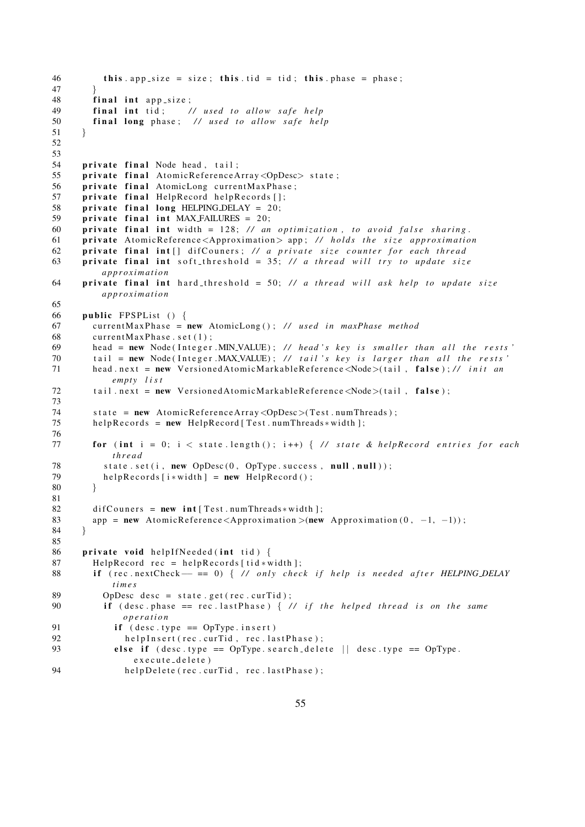```
46 this . app_size = size; this . tid = tid; this . phase = phase;
47 }
48 final int app_size;
49 final int tid; // used to allow safe help
50 final long phase; // used to allow safe help
51 }
52
53
54 private final Node head, tail;
55 private final AtomicReferenceArray<OpDesc> state;
56 private final AtomicLong currentMaxPhase;
57 private final HelpRecord helpRecords [];
58 private final long HELPING DELAY = 20;
59 private final int MAX FAILURES = 20;
60 private final int width = 128; // an optimization, to avoid false sharing.
61 private AtomicReference<Approximation> app; // holds the size approximation
62 private final int [] dif Couners; // a private size counter for each thread
63 private final int soft_threshold = 35; // a thread will try to update size
         a p p r o xi m ati o n
64 private final int hard_threshold = 50; // a thread will ask help to update size
         a p p r o xi m ati o n
65
66 p u bli c F P S PLi st ( ) {
67 currentMaxPhase = new AtomicLong (); // used in maxPhase method
68 currentMaxPhase.set(1):
69 head = new Node (Integer .MIN_VALUE); // head's key is smaller than all the rests'
70 tail = new Node (Integer .MAX_VALUE); // tail's key is larger than all the rests
71 head . next = new VersionedAtomicMarkableReference<Node>(tail, false);// init an
           em pty l i s t
72 tail . next = new VersionedAtomicMarkableReference<Node>(tail, false);
73
74 state = new AtomicReferenceArray<OpDesc>(Test.numThreads);
75 helpRecords = new HelpRecord [Test.numThreads * width ];
76
       for (int i = 0; i < state.length(); i++) { // state & helpRecord entries for each
           t h r e a d
78 state.set (i, new OppDesc(0, OpType.success, null, null));79 help Records [i * width] = new Help Record ();
80 }
81
82 dif Couners = new int [Test.numTh reads * width ];
83 app = new AtomicReference <Approximation > (new Approximation (0, -1, -1));
84 }
85
86 private void helpIfNeeded (int tid) {
87 Help Record rec = help Records [tid * width ];
88 if (rec.nextCheck – == 0) { // only check if help is needed after HELPING_DELAY
           t i m e s
89 OpDesc desc = state.get(rec.curTid);
90 if (desc.phase = rec.lastPhase) \{ // if the helped thread is on the same
             o p e r a t i o n
91 if (\text{desc. type} = \text{OpType. insert})92 helpInsert (rec. curTid, rec. lastPhase);
93 else if (desc.type == OpType.search_delete | desc.type == OpType.
               e x e c u t e _d e l e t e )
94 helpDelete (rec. curTid, rec. lastPhase);
```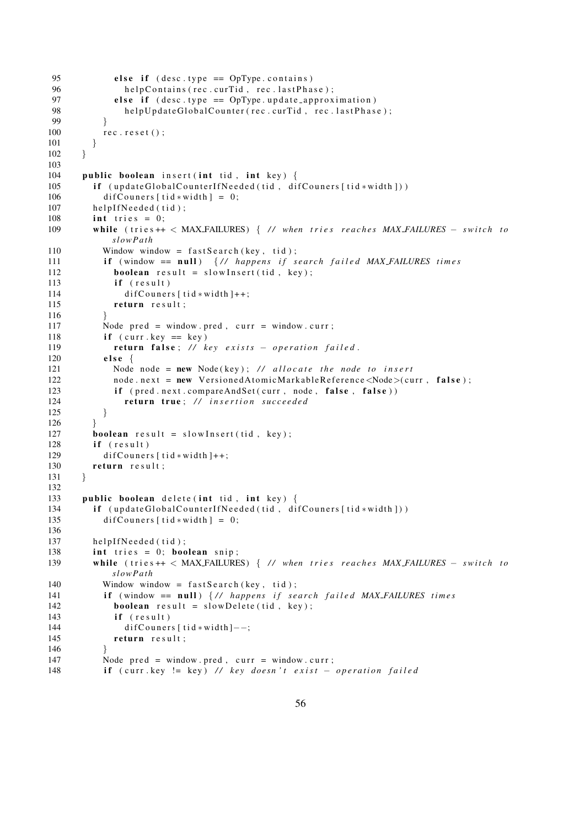```
95 else if (desc.type == OpType.contains)
96 help Contains (rec. curTid, rec. last Phase);
97 else if (desc. type == OpType. update_approximation)
98 help Update Global Counter (rec. curTid, rec. last Phase);
99 }
100 rec. reset ();
101 }
102 }
103
104 public boolean insert (int tid, int key) {
105 if (updateGlobalCounterIfNeeded (tid, difCouners [tid * width ]))
106 dif Couners [ t i d * width ] = 0;
107 help If Needed (tid);
108 int tries = 0;
109 w hil e ( t r i e s ++ < MAX FAILURES ) { / / when t r i e s r e a c h e s MAX FAILURES − s w i t c h t o
           sl owP at h
110 Window window = fastSearch (key, tid);111 if (window == null) {// happens if search failed MAX_FAILURES times
112 boolean result = slowInsert(tid, key);
113 if (result)
114 dif Couners [ t i d * width ] + +;
115 return result;
116 }
117 Node pred = window . pred , curr = window . curr;
118 if (\text{curr} \cdot \text{key} == \text{key})119 return false; // key exists – operation failed.
120 else {
121 Node node = new Node(key); // allocate the node to insert
122 node . n e xt = new V ersioned Atomic Markable Reference <Node > (curr, false);
123 if (pred.next.compareAndSet(curr, node, false, false))
124 return true; // insertion succeeded
125 }
126 }
127 boolean result = slowInsert (tid, key);
128 if (result)
129 dif Couners [ tid * width ] + +;
130 return result;
131 }
132
133 public boolean delete (int tid, int key) {
134 if (updateGlobalCounterIfNeeded (tid, difCouners [tid * width ]))
135 dif Couners [ t i d * width ] = 0;
136
137 help If Needed (tid);<br>138 int tries = 0: bog
        \text{int} tries = 0; boolean snip;
139 w hil e ( t r i e s ++ < MAX FAILURES ) { / / when t r i e s r e a c h e s MAX FAILURES − s w i t c h t o
           sl owP at h
140 Window window = fastSearch (key, tid);
141 if (window == null) {// happens if search failed MAX_FAILURES times
142 boolean result = slowDelete(tid, key);
143 if (result)
144 dif Couners [ t i d * width ] --;
145 return result;
146 }
          Node pred = window.pred, curr = window.curr;
148 if ( curr . key != key ) // key doesn't exist - operation failed
```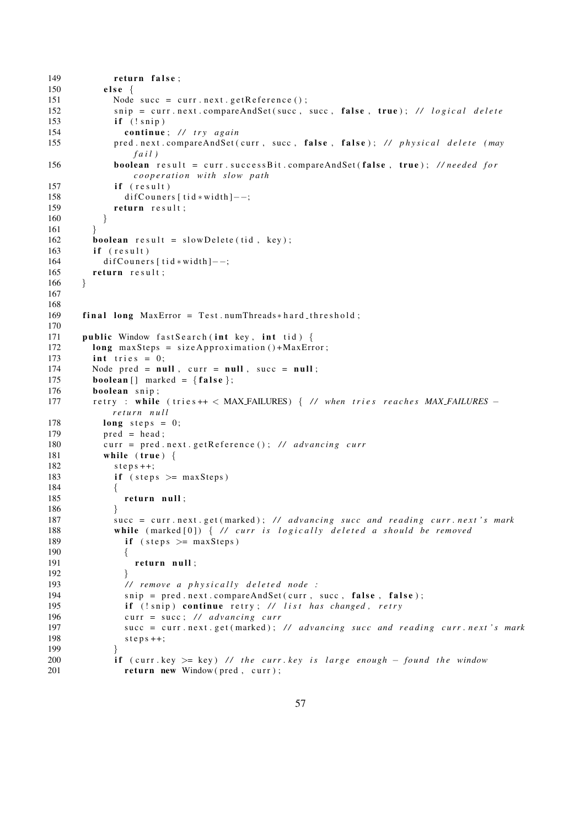```
149 return false;
150 e l s e {
151 Node succ = curr.next.getReference();
152 snip = curr.next.compareAndSet(succ, succ, false, true); // logical delete
153 if (!\sin p)154 continue; // try again
155 pred . next . compareAndSet ( curr , succ , false , false ) ; // physical delete ( may
              f a i l )
156 boolean result = curr.successBit.compareAndSet(false, true); //needed for
              cooperation with slow path
157 if (result)
158 dif Couners [tid * width ]-−;
159 return result;
160 }
161 }
162 boolean result = slowDelete(tid, key);
163 if (result)
164 dif Couners [tid * width ]--;
165 return result;
166 }
167
168
169 final long MaxError = Test.numThreads * hard_threshold;
170
171 public Window fast Search (int key, int tid) {
172 long maxSteps = sizeApproximation()+MaxError;
173 int tries = 0;
174 Node pred = null, curr = null, succ = null;
175 boolean [] marked = \{false\};
176 boolean snip;
177 r e t r y : w hil e ( t r i e s ++ < MAX FAILURES ) { / / when t r i e s r e a c h e s MAX FAILURES −
          r e t u r n n u l l
178 long steps = 0;
179 p red = head;<br>180 curr = p red.
         curr = pred.next.getReference(); // advancing curr
181 while (true) {
182 steps ++;
183 if (steps >= maxSteps)
184 {
185 return null;
186 }
187 succ = curr.next.get(marked); // advancing succ and reading curr.next's mark
188 while (marked [0]) { // curr is logically deleted a should be removed
189 if (steps >= maxSteps)
190 {
191 return null;
192 }
193 // remove a physically deleted node :
194 snip = pred.next.compareAndSet(curr, succ, false, false);
195 if (!snip) continue retry; // list has changed, retry
196 curr = succ; // advancing curr
197 succ = curr.next.get(marked); // advancing succ and reading curr.next's mark
198 steps ++;
199 }
200 if (curr.key >= key) // the curr.key is large enough − found the window
201 return new Window (pred, curr);
```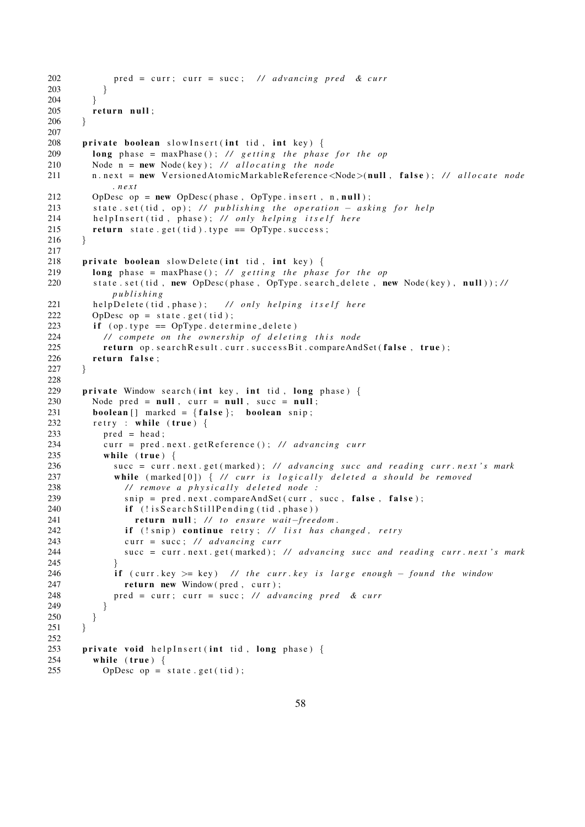```
202 pred = curr; curr = succ; // advancing pred & curr
203 }
204 }
205 return null;
206 }
207
208 private boolean slowInsert (int tid, int key) {
209 long phase = maxPhase (); // getting the phase for the op
210 Node n = new Node(key); // allocating the node
211 n. next = new VersionedAtomicMarkableReference<Node>(null, false); // allocate node
           . n e x t
212 OpDesc op = new OpDesc (phase, OpType.insert, n, null);
213 state.set(tid, op); // publishing the operation - asking for help
214 help Insert (tid, phase); // only helping itself here
215 return state.get (tid).type == OpType.success;
216 }
217
218 private boolean slow Delete (int tid, int key) {
219 long phase = maxPhase (); // getting the phase for the op
220 state . set (tid, new OpDesc (phase, OpType . search delete, new Node (key), null));//
           p u b l i s h i n g
221 helpDelete(tid, phase); // only helping itself here
222 OpDesc op = state.get(tid);
223 if (op. type == OpType. determine_delete)
224 // compete on the ownership of deleting this node
225 return op. search Result. curr. success Bit. compare And Set (false, true);
226 return false;
227 }
228
229 private Window search (int key, int tid, long phase) {
230 Node pred = null, curr = null, succ = null;
231 boolean [] marked = \{false\}; boolean snip;
232 retry : while (true) {
233 p red = head;<br>234 curr = p red.
         curr = pred.next.getReference(); // advancing curr
235 while (true) {
236 succ = curr.next.get(marked); // advancing succ and reading curr.next's mark
237 while (marked [0]) { // curr is logically deleted a should be removed
238 // remove a physically deleted node :
239 snip = pred.next.compareAndSet(curr, succ, false, false);
240 if (!is SearchStillPending (tid, phase))241 return null; // to ensure wait-freedom.
242 if (!snip) continue retry; // list has changed, retry
243 curr = succ; // advancing curr
244 succ = curr.next.get(marked); // advancing succ and reading curr.next's mark
245 }
246 if (curr .key >= key) // the curr .key is large enough – found the window
247 return new Window (pred, curr);
248 pred = curr; curr = succ; // advancing pred & curr
249 }
250 }
251 }
252
253 private void helpInsert (int tid, long phase) {
254 while (true) {
255 OpDesc op = state.get(tid);
```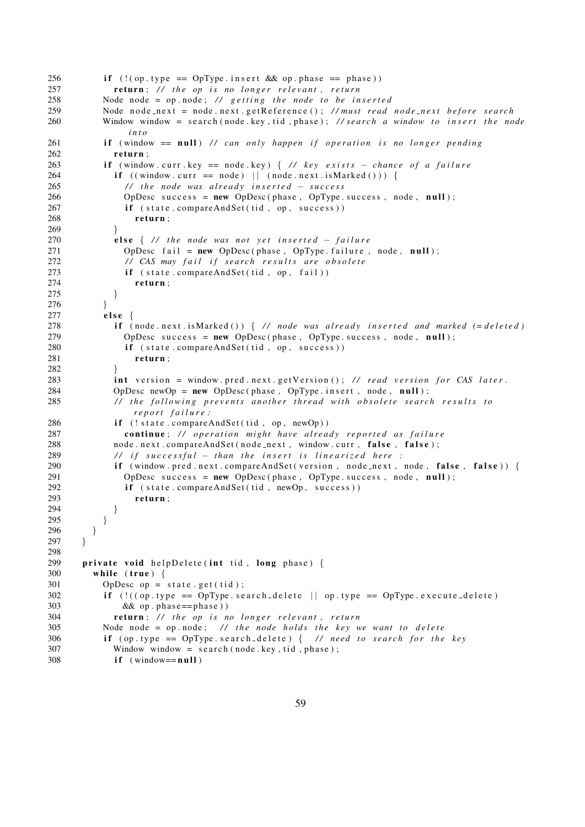```
256 if \left( \frac{1}{\rho} \cdot \frac{1}{\rho} \right) = OpType . insert & op . phase = phase )
257 return; // the op is no longer relevant, return
258 Node node = op. node; // getting the node to be inserted
259 Node node_next = node.next.getReference(); //must read node_next before search
260 Window window = search (node .key, tid, phase); // search a window to insert the node
               i n t o
261 if (window == null) // can only happen if operation is no longer pending
262 return;
263 if (window . curr . key == node . key) { // key exists - chance of a failure
264 if ( ( window . curr == node ) || ( node . next . is Marked ( ) ) ) {
265 // the node was already inserted – success
266 OpDesc success = new OpDesc (phase, OpType success, node, null);
267 if ( state . compareAndSet ( tid , op , success ) )
268 return;
269 }
270 else { // the node was not yet inserted – failure
271 OpDesc fail = new OpDesc (phase, OpType failure, node, null);
272 // CAS may fail if search results are obsolete
273 if ( state . compare And Set ( tid , op , fail ) )
274 return:
275 }
276 }
277 e l s e {
278 if (node .next .isMarked ()) { // node was already inserted and marked (= deleted)
279 OpDesc success = new OpDesc (phase, OpType success, node, null);
280 if ( state . compareAndSet ( tid , op , success ) )
281 return;
282 }
283 int version = window.pred.next.getVersion(); // read version for CAS later.
284 OpDesc new Op = new OpDesc (phase, OpType . insert, node, null);
285 // the following prevents another thread with obsolete search results to
                 r e p o r t f a i l u r e :
286 if (! state . compareAndSet (tid, op, newOp))
287 continue; // operation might have already reported as failure<br>288 node.next.compareAndSet(node_next.window.curr. false. false):
            node . n ext . compareAndSet ( n ode_n ext , window . curr , false , false ) ;
289 // if successful – than the insert is linearized here :
290 if (window . pred . next . compareAndSet (version, node_next, node, false, false)) {
291 OpDesc success = new OpDesc (phase, OpType success, node, null);
292 if (state.compareAndSet(tid, newOp, success))
293 return;
294 }
295 }
296 }
297 }
298
299 private void helpDelete (int tid, long phase) {
300 while (true) {
301 OpDesc op = state.get(tid);
302 if \left( \frac{1}{\rho} \cdot \frac{1}{\rho} \right) (\left( \frac{1}{\rho} \cdot \frac{1}{\rho} \right) = OpType . execute \frac{1}{\rho} execute \frac{1}{\rho} execute \frac{1}{\rho} execute \frac{1}{\rho} execute \frac{1}{\rho} execute \frac{1}{\rho} execute \frac{1}{\rho} execute \frac{1}{\rho303 && op. phase == phase ))
304 return; // the op is no longer relevant, return
305 Node node = op. node; // the node holds the key we want to delete
306 if (op.type == OpType.search_delete) { // need to search for the key
307 Window window = search (node .key, tid, phase);
308 if (window==null)
```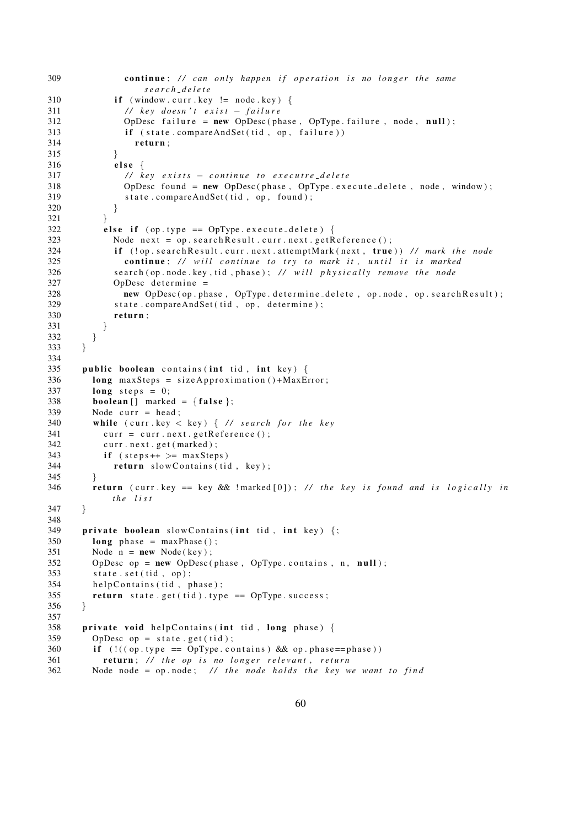```
309 continue; // can only happen if operation is no longer the same
                 s e a r c h d e l e t e
310 if (window.curr.key != node.key) {
311 // key doesn't exist – failure
312 OpDesc failure = new OpDesc (phase, OpType failure, node, null);
313 if (state.compareAndSet(tid, op, failure))
314 return:
315 }
316 e l s e {
317 // key exists – continue to executre_delete
318 OpDesc found = new OpDesc (phase, OpType execute delete, node, window);
319 state.compareAndSet(tid, op, found);
320 }
321 }
322 else if (op.type == OpType.execute_delete) {
323 Node next = op. search Result. curr. next. get R e f e rence ();
324 if (!op.searchResult.curr.next.attemptMark(next, true)) // mark the node
325 continue; // will continue to try to mark it, until it is marked
326 search (op. node. key, tid, phase); // will physically remove the node
327 OpDesc determine =
328 new OpDesc (op. phase, OpType. determine_delete, op. node, op. search Result);
329 state.compareAndSet(tid, op, determine);
330 return :
331 }
332 }
333 }
334
335 public boolean contains (int tid, int key) {
336 long maxSteps = sizeApproximation()+MaxError;
337 long steps = 0;
338 boolean [] marked = \{false\};
339 Node curr = head;
340 while (curr key < key) { // search for the key
341 curr = curr . next . get Reference ();<br>342 curr . next . get (marked) :
         curr . next . get (marked);
343 if (steps++ >= maxSteps)
344 return slowContains (tid, key);
345 }
346 return (curr.key == key && !marked [0]); // the key is found and is logically in
           t h e l i s t
347 }
348
349 private boolean slow Contains (int tid, int key) {;
350 long phase = maxPhase ();
351 Node n = new Node(key);352 OpDesc op = new OpDesc (phase, OpType.contains, n, null);
353 state.set (tid, op);
354 help Contains (tid, phase);
355 return state.get (tid).type == OpType.success;
356 }
357
358 private void help Contains (int tid, long phase) {
359 OpDesc op = state.get(tid);
360 if (!(\text{op. type} == \text{OpType}.\text{contains}) \&\&\text{op. phase} == \text{phase})361 return; // the op is no longer relevant, return
362 Node node = op. node; // the node holds the key we want to find
```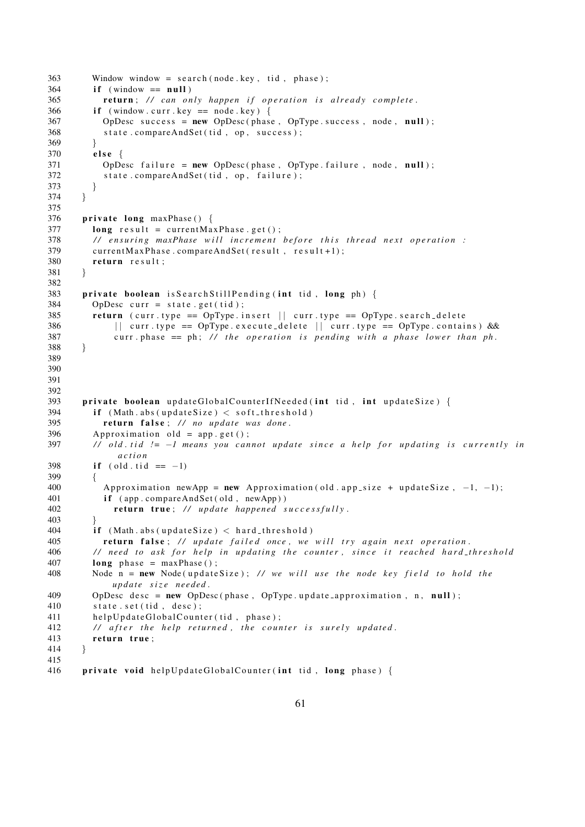```
363 Window window = search (node . key, tid, phase);
364 if (window == null)
365 return; // can only happen if operation is already complete.
366 if (window . curr . key == node . key) {
367 OpDesc success = new OpDesc (phase, OpType. success, node, null);
368 state.compareAndSet(tid, op, success);
369 }
370 e l s e {
371 OpDesc failure = new OpDesc (phase, OpType failure, node, null);
372 state.compareAndSet(tid, op, failure);
373 }
374 }
375
376 private long maxPhase () {
377 long result = currentMaxPhase.get();
378 // ensuring maxPhase will increment before this thread next operation :
379 currentMaxPhase.compareAndSet(result, result +1);
380 return result;
381 }
382
383 private boolean is Search Still Pending (int tid, long ph) {
384 OpDesc curr = state.get(tid);
385 return (curr type == OpType insert || curr type == OpType search delete
386 | curr type == OpType execute_delete | curr type == OpType contains ) & &
387 curr r phase == ph; // the operation is pending with a phase lower than ph.
388 }
389
390
391
392
393 private boolean update Global Counter If Needed (int tid, int update Size) {
394 if (Math. abs (update Size) \langle soft_threshold)
395 return false; // no update was done.
396 Approximation old = app.get();<br>397 // old.tid != -1 means you can
        // old . tid ! = −1 means you cannot update since a help for updating is currently in
             a c t i o n
398 if ( old . tid == -1)
399 {
400 Approximation newApp = new Approximation (old . app_size + updateSize, -1, -1);
401 if (app.compareAndSet(old, newApp))
402 return true; // update happened successfully.
403 }
404 if (Math.abs (updateSize) < hard_threshold)
405 return false; // update failed once, we will try again next operation.<br>406 // need to ask for help in updating the counter, since it reached hard_t
        // need to ask for help in updating the counter, since it reached hard_threshold
407 long phase = maxPhase();
408 Node n = new Node (update Size); // we will use the node key field to hold the
            u p d at e s i z e nee de d .
409 OpDesc desc = new OpDesc ( phase, OpType . update approximation, n, null );
410 state.set (tid, desc);
411 help Update Global Counter (tid, phase);
412 // after the help returned, the counter is surely updated.
413 return true;
414 }
415
416 private void help Update Global Counter (int tid, long phase) {
```